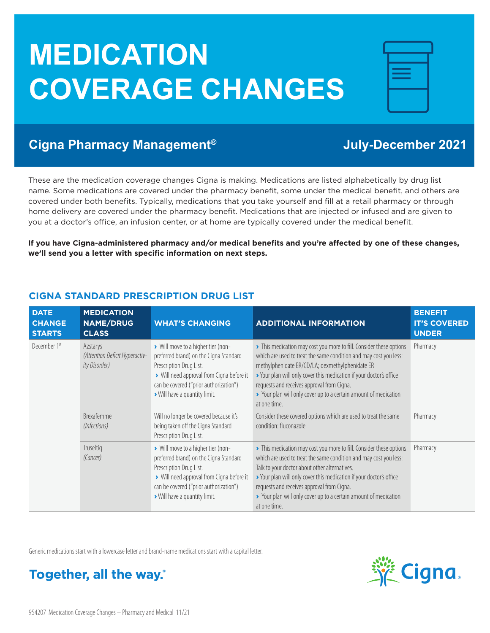# **MEDICATION COVERAGE CHANGES**

| <b>The Committee of the Committee</b><br><b>The Common State</b>                                                                           |  |
|--------------------------------------------------------------------------------------------------------------------------------------------|--|
| <b>Contract Contract Contract Contract Contract Contract Contract Contract Contract Contract Contract Contract Co</b><br><b>STATISTICS</b> |  |
|                                                                                                                                            |  |
|                                                                                                                                            |  |

## **Cigna Pharmacy Management® July-December 2021**

These are the medication coverage changes Cigna is making. Medications are listed alphabetically by drug list name. Some medications are covered under the pharmacy benefit, some under the medical benefit, and others are covered under both benefits. Typically, medications that you take yourself and fill at a retail pharmacy or through home delivery are covered under the pharmacy benefit. Medications that are injected or infused and are given to you at a doctor's office, an infusion center, or at home are typically covered under the medical benefit.

**If you have Cigna-administered pharmacy and/or medical benefits and you're affected by one of these changes, we'll send you a letter with specific information on next steps.** 

| <b>DATE</b><br><b>CHANGE</b><br><b>STARTS</b> | <b>MEDICATION</b><br><b>NAME/DRUG</b><br><b>CLASS</b>               | <b>WHAT'S CHANGING</b>                                                                                                                                                                                                        | <b>ADDITIONAL INFORMATION</b>                                                                                                                                                                                                                                                                                                                                                                        | <b>BENEFIT</b><br><b>IT'S COVERED</b><br><b>UNDER</b> |
|-----------------------------------------------|---------------------------------------------------------------------|-------------------------------------------------------------------------------------------------------------------------------------------------------------------------------------------------------------------------------|------------------------------------------------------------------------------------------------------------------------------------------------------------------------------------------------------------------------------------------------------------------------------------------------------------------------------------------------------------------------------------------------------|-------------------------------------------------------|
| December 1st                                  | Azstarys<br>(Attention Deficit Hyperactiv-<br><i>ity Disorder</i> ) | > Will move to a higher tier (non-<br>preferred brand) on the Cigna Standard<br>Prescription Drug List.<br>> Will need approval from Cigna before it<br>can be covered ("prior authorization")<br>Will have a quantity limit. | > This medication may cost you more to fill. Consider these options<br>which are used to treat the same condition and may cost you less:<br>methylphenidate ER/CD/LA; dexmethylphenidate ER<br>> Your plan will only cover this medication if your doctor's office<br>requests and receives approval from Cigna.<br>> Your plan will only cover up to a certain amount of medication<br>at one time. | Pharmacy                                              |
|                                               | <b>Brexafemme</b><br>(Infections)                                   | Will no longer be covered because it's<br>being taken off the Cigna Standard<br>Prescription Drug List.                                                                                                                       | Consider these covered options which are used to treat the same<br>condition: fluconazole                                                                                                                                                                                                                                                                                                            | Pharmacy                                              |
|                                               | Truseltig<br>(Cancer)                                               | > Will move to a higher tier (non-<br>preferred brand) on the Cigna Standard<br>Prescription Drug List.<br>> Will need approval from Cigna before it<br>can be covered ("prior authorization")<br>Will have a quantity limit. | This medication may cost you more to fill. Consider these options<br>which are used to treat the same condition and may cost you less:<br>Talk to your doctor about other alternatives.<br>> Your plan will only cover this medication if your doctor's office<br>requests and receives approval from Cigna.<br>> Your plan will only cover up to a certain amount of medication<br>at one time.     | Pharmacy                                              |

#### **CIGNA STANDARD PRESCRIPTION DRUG LIST**



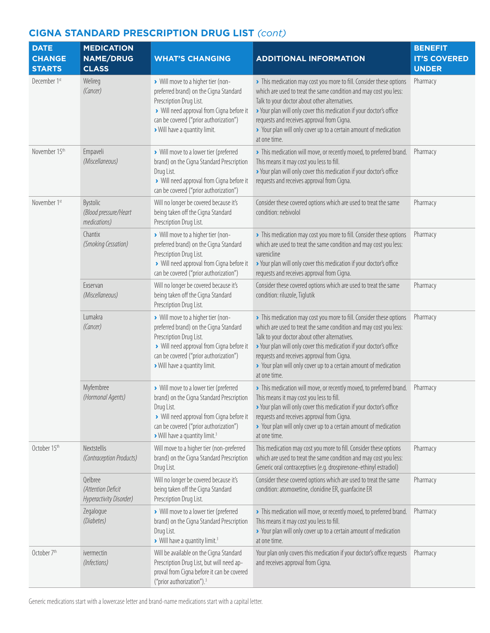| <b>DATE</b><br><b>CHANGE</b>  | <b>MEDICATION</b><br><b>NAME/DRUG</b>                    | <b>WHAT'S CHANGING</b>                                                                                                                                                                                                               | <b>ADDITIONAL INFORMATION</b>                                                                                                                                                                                                                                                                                                                                                                      | <b>BENEFIT</b><br><b>IT'S COVERED</b> |
|-------------------------------|----------------------------------------------------------|--------------------------------------------------------------------------------------------------------------------------------------------------------------------------------------------------------------------------------------|----------------------------------------------------------------------------------------------------------------------------------------------------------------------------------------------------------------------------------------------------------------------------------------------------------------------------------------------------------------------------------------------------|---------------------------------------|
| <b>STARTS</b><br>December 1st | <b>CLASS</b><br>Welireg<br>(Cancer)                      | > Will move to a higher tier (non-<br>preferred brand) on the Cigna Standard<br>Prescription Drug List.<br>> Will need approval from Cigna before it<br>can be covered ("prior authorization")<br>> Will have a quantity limit.      | > This medication may cost you more to fill. Consider these options<br>which are used to treat the same condition and may cost you less:<br>Talk to your doctor about other alternatives.<br>> Your plan will only cover this medication if your doctor's office<br>requests and receives approval from Cigna.<br>> Your plan will only cover up to a certain amount of medication<br>at one time. | <b>UNDER</b><br>Pharmacy              |
| November 15th                 | Empaveli<br>(Miscellaneous)                              | > Will move to a lower tier (preferred<br>brand) on the Cigna Standard Prescription<br>Drug List.<br>> Will need approval from Cigna before it<br>can be covered ("prior authorization")                                             | > This medication will move, or recently moved, to preferred brand.<br>This means it may cost you less to fill.<br>> Your plan will only cover this medication if your doctor's office<br>requests and receives approval from Cigna.                                                                                                                                                               | Pharmacy                              |
| November 1st                  | Bystolic<br>(Blood pressure/Heart<br>medications)        | Will no longer be covered because it's<br>being taken off the Cigna Standard<br>Prescription Drug List.                                                                                                                              | Consider these covered options which are used to treat the same<br>condition: nebivolol                                                                                                                                                                                                                                                                                                            | Pharmacy                              |
|                               | Chantix<br>(Smoking Cessation)                           | > Will move to a higher tier (non-<br>preferred brand) on the Cigna Standard<br>Prescription Drug List.<br>> Will need approval from Cigna before it<br>can be covered ("prior authorization")                                       | > This medication may cost you more to fill. Consider these options<br>which are used to treat the same condition and may cost you less:<br>varenicline<br>> Your plan will only cover this medication if your doctor's office<br>requests and receives approval from Cigna.                                                                                                                       | Pharmacy                              |
|                               | Exservan<br>(Miscellaneous)                              | Will no longer be covered because it's<br>being taken off the Cigna Standard<br>Prescription Drug List.                                                                                                                              | Consider these covered options which are used to treat the same<br>condition: riluzole, Tiglutik                                                                                                                                                                                                                                                                                                   | Pharmacy                              |
|                               | Lumakra<br>(Cancer)                                      | > Will move to a higher tier (non-<br>preferred brand) on the Cigna Standard<br>Prescription Drug List.<br>> Will need approval from Cigna before it<br>can be covered ("prior authorization")<br>> Will have a quantity limit.      | > This medication may cost you more to fill. Consider these options<br>which are used to treat the same condition and may cost you less:<br>Talk to your doctor about other alternatives.<br>> Your plan will only cover this medication if your doctor's office<br>requests and receives approval from Cigna.<br>> Your plan will only cover up to a certain amount of medication<br>at one time. | Pharmacy                              |
|                               | Myfembree<br>(Hormonal Agents)                           | > Will move to a lower tier (preferred<br>brand) on the Cigna Standard Prescription<br>Drug List.<br>> Will need approval from Cigna before it<br>can be covered ("prior authorization")<br>Will have a quantity limit. <sup>3</sup> | > This medication will move, or recently moved, to preferred brand.<br>This means it may cost you less to fill.<br>> Your plan will only cover this medication if your doctor's office<br>requests and receives approval from Cigna.<br>> Your plan will only cover up to a certain amount of medication<br>at one time.                                                                           | Pharmacy                              |
| October 15th                  | Nextstellis<br>(Contraception Products)                  | Will move to a higher tier (non-preferred<br>brand) on the Cigna Standard Prescription<br>Drug List.                                                                                                                                 | This medication may cost you more to fill. Consider these options<br>which are used to treat the same condition and may cost you less:<br>Generic oral contraceptives (e.g. drospirenone-ethinyl estradiol)                                                                                                                                                                                        | Pharmacy                              |
|                               | Qelbree<br>(Attention Deficit<br>Hyperactivity Disorder) | Will no longer be covered because it's<br>being taken off the Cigna Standard<br>Prescription Drug List.                                                                                                                              | Consider these covered options which are used to treat the same<br>condition: atomoxetine, clonidine ER, guanfacine ER                                                                                                                                                                                                                                                                             | Pharmacy                              |
|                               | Zegalogue<br>(Diabetes)                                  | > Will move to a lower tier (preferred<br>brand) on the Cigna Standard Prescription<br>Drug List.<br>> Will have a quantity limit. <sup>3</sup>                                                                                      | > This medication will move, or recently moved, to preferred brand.<br>This means it may cost you less to fill.<br>> Your plan will only cover up to a certain amount of medication<br>at one time.                                                                                                                                                                                                | Pharmacy                              |
| October 7 <sup>th</sup>       | ivermectin<br>(Infections)                               | Will be available on the Cigna Standard<br>Prescription Drug List, but will need ap-<br>proval from Cigna before it can be covered<br>("prior authorization"). <sup>3</sup>                                                          | Your plan only covers this medication if your doctor's office requests<br>and receives approval from Cigna.                                                                                                                                                                                                                                                                                        | Pharmacy                              |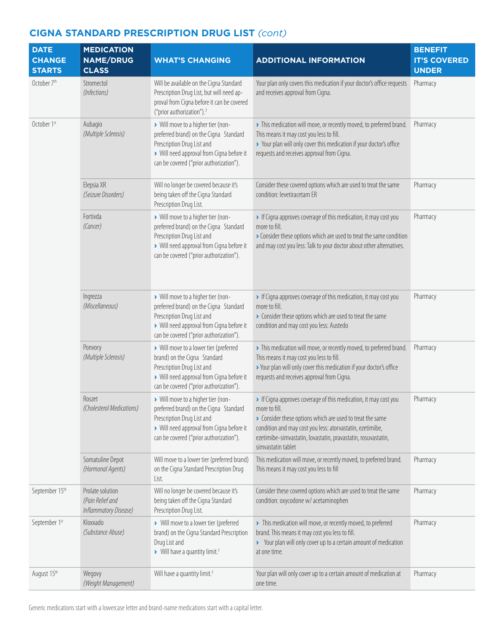| <b>DATE</b><br><b>CHANGE</b><br><b>STARTS</b> | <b>MEDICATION</b><br><b>NAME/DRUG</b><br><b>CLASS</b>         | <b>WHAT'S CHANGING</b>                                                                                                                                                                             | <b>ADDITIONAL INFORMATION</b>                                                                                                                                                                                                                                                                    | <b>BENEFIT</b><br><b>IT'S COVERED</b><br><b>UNDER</b> |
|-----------------------------------------------|---------------------------------------------------------------|----------------------------------------------------------------------------------------------------------------------------------------------------------------------------------------------------|--------------------------------------------------------------------------------------------------------------------------------------------------------------------------------------------------------------------------------------------------------------------------------------------------|-------------------------------------------------------|
| October 7 <sup>th</sup>                       | Stromectol<br>(Infections)                                    | Will be available on the Cigna Standard<br>Prescription Drug List, but will need ap-<br>proval from Cigna before it can be covered<br>("prior authorization"). <sup>3</sup>                        | Your plan only covers this medication if your doctor's office requests<br>and receives approval from Cigna.                                                                                                                                                                                      | Pharmacy                                              |
| October 1st                                   | Aubagio<br>(Multiple Sclerosis)                               | > Will move to a higher tier (non-<br>preferred brand) on the Cigna Standard<br>Prescription Drug List and<br>> Will need approval from Cigna before it<br>can be covered ("prior authorization"). | > This medication will move, or recently moved, to preferred brand.<br>This means it may cost you less to fill.<br>> Your plan will only cover this medication if your doctor's office<br>requests and receives approval from Cigna.                                                             | Pharmacy                                              |
|                                               | Elepsia XR<br>(Seizure Disorders)                             | Will no longer be covered because it's<br>being taken off the Cigna Standard<br>Prescription Drug List.                                                                                            | Consider these covered options which are used to treat the same<br>condition: levetiracetam ER                                                                                                                                                                                                   | Pharmacy                                              |
|                                               | Fortivda<br>(Cancer)                                          | > Will move to a higher tier (non-<br>preferred brand) on the Cigna Standard<br>Prescription Drug List and<br>> Will need approval from Cigna before it<br>can be covered ("prior authorization"). | If Cigna approves coverage of this medication, it may cost you<br>more to fill.<br>Consider these options which are used to treat the same condition<br>and may cost you less: Talk to your doctor about other alternatives.                                                                     | Pharmacy                                              |
|                                               | Ingrezza<br>(Miscellaneous)                                   | > Will move to a higher tier (non-<br>preferred brand) on the Cigna Standard<br>Prescription Drug List and<br>> Will need approval from Cigna before it<br>can be covered ("prior authorization"). | If Cigna approves coverage of this medication, it may cost you<br>more to fill.<br>> Consider these options which are used to treat the same<br>condition and may cost you less: Austedo                                                                                                         | Pharmacy                                              |
|                                               | Ponvory<br>(Multiple Sclerosis)                               | > Will move to a lower tier (preferred<br>brand) on the Cigna Standard<br>Prescription Drug List and<br>> Will need approval from Cigna before it<br>can be covered ("prior authorization").       | > This medication will move, or recently moved, to preferred brand.<br>This means it may cost you less to fill.<br>> Your plan will only cover this medication if your doctor's office<br>requests and receives approval from Cigna.                                                             | Pharmacy                                              |
|                                               | Roszet<br>(Cholesterol Medications)                           | > Will move to a higher tier (non-<br>preferred brand) on the Cigna Standard<br>Prescription Drug List and<br>> Will need approval from Cigna before it<br>can be covered ("prior authorization"). | If Cigna approves coverage of this medication, it may cost you<br>more to fill.<br>> Consider these options which are used to treat the same<br>condition and may cost you less: atorvastatin, ezetimibe,<br>ezetimibe-simvastatin, lovastatin, pravastatin, rosuvastatin,<br>simvastatin tablet | Pharmacy                                              |
|                                               | Somatuline Depot<br>(Hormonal Agents)                         | Will move to a lower tier (preferred brand)<br>on the Cigna Standard Prescription Drug<br>List.                                                                                                    | This medication will move, or recently moved, to preferred brand.<br>This means it may cost you less to fill                                                                                                                                                                                     | Pharmacy                                              |
| September 15th                                | Prolate solution<br>(Pain Relief and<br>Inflammatory Disease) | Will no longer be covered because it's<br>being taken off the Cigna Standard<br>Prescription Drug List.                                                                                            | Consider these covered options which are used to treat the same<br>condition: oxycodone w/ acetaminophen                                                                                                                                                                                         | Pharmacy                                              |
| September 1st                                 | Kloxxado<br>(Substance Abuse)                                 | > Will move to a lower tier (preferred<br>brand) on the Cigna Standard Prescription<br>Drug List and<br>> Will have a quantity limit. <sup>3</sup>                                                 | > This medication will move, or recently moved, to preferred<br>brand. This means it may cost you less to fill.<br>> Your plan will only cover up to a certain amount of medication<br>at one time.                                                                                              | Pharmacy                                              |
| August 15th                                   | Wegovy<br>(Weight Management)                                 | Will have a quantity limit. <sup>3</sup>                                                                                                                                                           | Your plan will only cover up to a certain amount of medication at<br>one time.                                                                                                                                                                                                                   | Pharmacy                                              |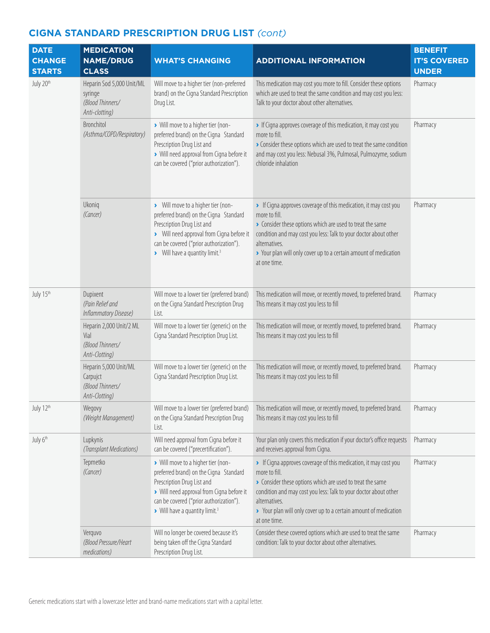| <b>DATE</b><br><b>CHANGE</b><br><b>STARTS</b> | <b>MEDICATION</b><br><b>NAME/DRUG</b><br><b>CLASS</b>                      | <b>WHAT'S CHANGING</b>                                                                                                                                                                                                                           | <b>ADDITIONAL INFORMATION</b>                                                                                                                                                                                                                                                                                           | <b>BENEFIT</b><br><b>IT'S COVERED</b><br><b>UNDER</b> |
|-----------------------------------------------|----------------------------------------------------------------------------|--------------------------------------------------------------------------------------------------------------------------------------------------------------------------------------------------------------------------------------------------|-------------------------------------------------------------------------------------------------------------------------------------------------------------------------------------------------------------------------------------------------------------------------------------------------------------------------|-------------------------------------------------------|
| July 20th                                     | Heparin Sod 5,000 Unit/ML<br>syringe<br>(Blood Thinners/<br>Anti-clotting) | Will move to a higher tier (non-preferred<br>brand) on the Cigna Standard Prescription<br>Drug List.                                                                                                                                             | This medication may cost you more to fill. Consider these options<br>which are used to treat the same condition and may cost you less:<br>Talk to your doctor about other alternatives.                                                                                                                                 | Pharmacy                                              |
|                                               | Bronchitol<br>(Asthma/COPD/Respiratory)                                    | > Will move to a higher tier (non-<br>preferred brand) on the Cigna Standard<br>Prescription Drug List and<br>> Will need approval from Cigna before it<br>can be covered ("prior authorization").                                               | If Cigna approves coverage of this medication, it may cost you<br>more to fill.<br>Consider these options which are used to treat the same condition<br>and may cost you less: Nebusal 3%, Pulmosal, Pulmozyme, sodium<br>chloride inhalation                                                                           | Pharmacy                                              |
|                                               | Ukoniq<br>(Cancer)                                                         | > Will move to a higher tier (non-<br>preferred brand) on the Cigna Standard<br>Prescription Drug List and<br>> Will need approval from Cigna before it<br>can be covered ("prior authorization").<br>> Will have a quantity limit. <sup>3</sup> | • If Cigna approves coverage of this medication, it may cost you<br>more to fill.<br>• Consider these options which are used to treat the same<br>condition and may cost you less: Talk to your doctor about other<br>alternatives.<br>> Your plan will only cover up to a certain amount of medication<br>at one time. | Pharmacy                                              |
| July 15th                                     | Dupixent<br>(Pain Relief and<br>Inflammatory Disease)                      | Will move to a lower tier (preferred brand)<br>on the Cigna Standard Prescription Drug<br>List.                                                                                                                                                  | This medication will move, or recently moved, to preferred brand.<br>This means it may cost you less to fill                                                                                                                                                                                                            | Pharmacy                                              |
|                                               | Heparin 2,000 Unit/2 ML<br>Vial<br>(Blood Thinners/<br>Anti-Clotting)      | Will move to a lower tier (generic) on the<br>Cigna Standard Prescription Drug List.                                                                                                                                                             | This medication will move, or recently moved, to preferred brand.<br>This means it may cost you less to fill                                                                                                                                                                                                            | Pharmacy                                              |
|                                               | Heparin 5,000 Unit/ML<br>Carpujct<br>(Blood Thinners/<br>Anti-Clotting)    | Will move to a lower tier (generic) on the<br>Cigna Standard Prescription Drug List.                                                                                                                                                             | This medication will move, or recently moved, to preferred brand.<br>This means it may cost you less to fill                                                                                                                                                                                                            | Pharmacy                                              |
| July 12th                                     | Wegovy<br>(Weight Management)                                              | Will move to a lower tier (preferred brand)<br>on the Cigna Standard Prescription Drug<br>List.                                                                                                                                                  | This medication will move, or recently moved, to preferred brand.<br>This means it may cost you less to fill                                                                                                                                                                                                            | Pharmacy                                              |
| July 6th                                      | Lupkynis<br>(Transplant Medications)                                       | Will need approval from Cigna before it<br>can be covered ("precertification").                                                                                                                                                                  | Your plan only covers this medication if your doctor's office requests<br>and receives approval from Cigna.                                                                                                                                                                                                             | Pharmacy                                              |
|                                               | Tepmetko<br>(Cancer)                                                       | > Will move to a higher tier (non-<br>preferred brand) on the Cigna Standard<br>Prescription Drug List and<br>> Will need approval from Cigna before it<br>can be covered ("prior authorization").<br>> Will have a quantity limit. <sup>3</sup> | • If Cigna approves coverage of this medication, it may cost you<br>more to fill.<br>Consider these options which are used to treat the same<br>condition and may cost you less: Talk to your doctor about other<br>alternatives.<br>> Your plan will only cover up to a certain amount of medication<br>at one time.   | Pharmacy                                              |
|                                               | Verquvo<br>(Blood Pressure/Heart<br>medications)                           | Will no longer be covered because it's<br>being taken off the Cigna Standard<br>Prescription Drug List.                                                                                                                                          | Consider these covered options which are used to treat the same<br>condition: Talk to your doctor about other alternatives.                                                                                                                                                                                             | Pharmacy                                              |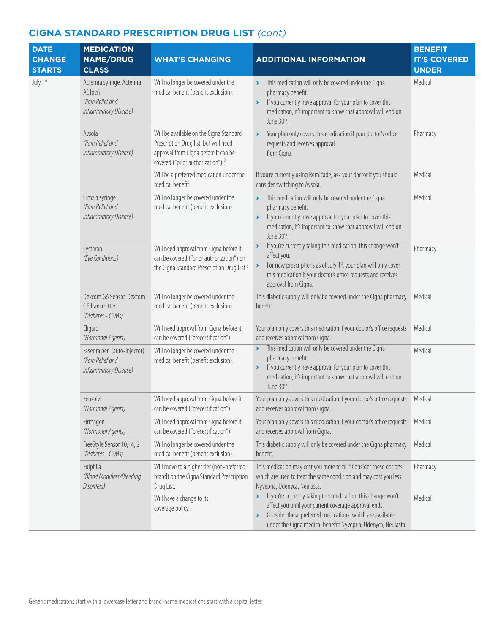| <b>DATE</b><br><b>CHANGE</b><br><b>STARTS</b> | <b>MEDICATION</b><br><b>NAME/DRUG</b><br><b>CLASS</b>                           | <b>WHAT'S CHANGING</b>                                                                                                                                                    | <b>ADDITIONAL INFORMATION</b>                                                                                                                                                                                                                                                                           | <b>BENEFIT</b><br><b>IT'S COVERED</b><br><b>UNDER</b> |
|-----------------------------------------------|---------------------------------------------------------------------------------|---------------------------------------------------------------------------------------------------------------------------------------------------------------------------|---------------------------------------------------------------------------------------------------------------------------------------------------------------------------------------------------------------------------------------------------------------------------------------------------------|-------------------------------------------------------|
| July 1st                                      | Actemra syringe, Actemra<br>ACTpen<br>(Pain Relief and<br>Inflammatory Disease) | Will no longer be covered under the<br>medical benefit (benefit exclusion).                                                                                               | This medication will only be covered under the Cigna<br>pharmacy benefit.<br>If you currently have approval for your plan to cover this<br>$\blacktriangleright$<br>medication, it's important to know that approval will end on<br>June 30th.                                                          | Medical                                               |
|                                               | Avsola<br>(Pain Relief and<br>Inflammatory Disease)                             | Will be available on the Cigna Standard<br>Prescription Drug list, but will need<br>approval from Cigna before it can be<br>covered ("prior authorization"). <sup>3</sup> | Your plan only covers this medication if your doctor's office<br>$\blacktriangleright$<br>requests and receives approval<br>from Cigna.                                                                                                                                                                 | Pharmacy                                              |
|                                               |                                                                                 | Will be a preferred medication under the<br>medical benefit.                                                                                                              | If you're currently using Remicade, ask your doctor if you should<br>consider switching to Avsola.                                                                                                                                                                                                      | Medical                                               |
|                                               | Cimzia syringe<br>(Pain Relief and<br>Inflammatory Disease)                     | Will no longer be covered under the<br>medical benefit (benefit exclusion).                                                                                               | This medication will only be covered under the Cigna<br>$\blacktriangleright$<br>pharmacy benefit.<br>If you currently have approval for your plan to cover this<br>$\blacktriangleright$<br>medication, it's important to know that approval will end on<br>June 30th.                                 | Medical                                               |
|                                               | Cystaran<br>(Eye Conditions)                                                    | Will need approval from Cigna before it<br>can be covered ("prior authorization") on<br>the Cigna Standard Prescription Drug List. <sup>3</sup>                           | If you're currently taking this medication, this change won't<br>$\blacktriangleright$<br>affect you.<br>For new prescriptions as of July 1 <sup>st</sup> , your plan will only cover<br>$\blacktriangleright$<br>this medication if your doctor's office requests and receives<br>approval from Cigna. | Pharmacy                                              |
|                                               | Dexcom G6 Sensor, Dexcom<br>G6 Transmitter<br>(Diabetes - CGMs)                 | Will no longer be covered under the<br>medical benefit (benefit exclusion).                                                                                               | This diabetic supply will only be covered under the Cigna pharmacy<br>benefit.                                                                                                                                                                                                                          | Medical                                               |
|                                               | Eligard<br>(Hormonal Agents)                                                    | Will need approval from Cigna before it<br>can be covered ("precertification").                                                                                           | Your plan only covers this medication if your doctor's office requests<br>and receives approval from Cigna.                                                                                                                                                                                             | Medical                                               |
|                                               | Fasenra pen (auto-injector)<br>(Pain Relief and<br>Inflammatory Disease)        | Will no longer be covered under the<br>medical benefit (benefit exclusion).                                                                                               | This medication will only be covered under the Cigna<br>$\blacktriangleright$<br>pharmacy benefit.<br>If you currently have approval for your plan to cover this<br>$\blacktriangleright$<br>medication, it's important to know that approval will end on<br>June 30th.                                 | Medical                                               |
|                                               | Fensolvi<br>(Hormonal Agents)                                                   | Will need approval from Cigna before it<br>can be covered ("precertification").                                                                                           | Your plan only covers this medication if your doctor's office requests<br>and receives approval from Cigna.                                                                                                                                                                                             | Medical                                               |
|                                               | Firmagon<br>(Hormonal Agents)                                                   | Will need approval from Cigna before it<br>can be covered ("precertification").                                                                                           | Your plan only covers this medication if your doctor's office requests<br>and receives approval from Cigna.                                                                                                                                                                                             | Medical                                               |
|                                               | FreeStyle Sensor 10,14, 2<br>(Diabetes - CGMs)                                  | Will no longer be covered under the<br>medical benefit (benefit exclusion).                                                                                               | This diabetic supply will only be covered under the Cigna pharmacy<br>benefit.                                                                                                                                                                                                                          | Medical                                               |
|                                               | Fulphila<br>(Blood Modifiers/Bleeding<br>Disorders)                             | Will move to a higher tier (non-preferred<br>brand) on the Cigna Standard Prescription<br>Drug List.                                                                      | This medication may cost you more to fill. <sup>4</sup> Consider these options<br>which are used to treat the same condition and may cost you less:<br>Nyvepria, Udenyca, Neulasta.                                                                                                                     | Pharmacy                                              |
|                                               |                                                                                 | Will have a change to its<br>coverage policy.                                                                                                                             | > If you're currently taking this medication, this change won't<br>affect you until your current coverage approval ends.<br>Consider these preferred medications, which are available<br>$\blacktriangleright$<br>under the Cigna medical benefit: Nyvepria, Udenyca, Neulasta.                         | Medical                                               |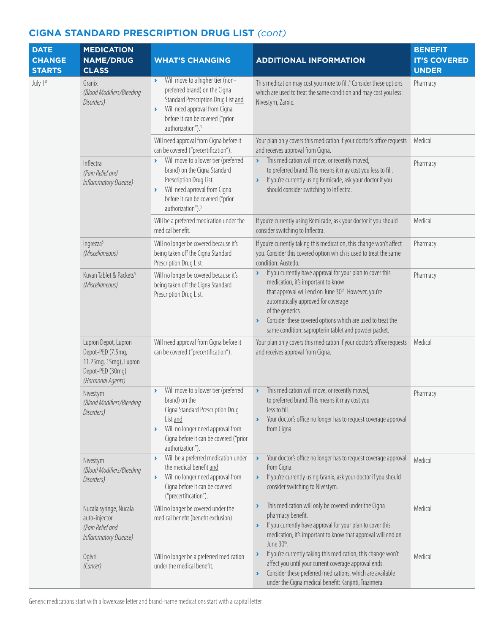| <b>DATE</b><br><b>CHANGE</b><br><b>STARTS</b> | <b>MEDICATION</b><br><b>NAME/DRUG</b><br><b>CLASS</b>                                                        | <b>WHAT'S CHANGING</b>                                                                                                                                                                                                                       | <b>ADDITIONAL INFORMATION</b>                                                                                                                                                                                                                                                                                                                                       | <b>BENEFIT</b><br><b>IT'S COVERED</b><br><b>UNDER</b> |
|-----------------------------------------------|--------------------------------------------------------------------------------------------------------------|----------------------------------------------------------------------------------------------------------------------------------------------------------------------------------------------------------------------------------------------|---------------------------------------------------------------------------------------------------------------------------------------------------------------------------------------------------------------------------------------------------------------------------------------------------------------------------------------------------------------------|-------------------------------------------------------|
| July 1st                                      | Granix<br>(Blood Modifiers/Bleeding<br>Disorders)                                                            | Will move to a higher tier (non-<br>$\blacktriangleright$<br>preferred brand) on the Cigna<br>Standard Prescription Drug List and<br>Will need approval from Cigna<br>×<br>before it can be covered ("prior<br>authorization"). <sup>3</sup> | This medication may cost you more to fill. <sup>4</sup> Consider these options<br>which are used to treat the same condition and may cost you less:<br>Nivestym, Zarxio.                                                                                                                                                                                            | Pharmacy                                              |
|                                               |                                                                                                              | Will need approval from Cigna before it<br>can be covered ("precertification").                                                                                                                                                              | Your plan only covers this medication if your doctor's office requests<br>and receives approval from Cigna.                                                                                                                                                                                                                                                         | Medical                                               |
|                                               | Inflectra<br>(Pain Relief and<br>Inflammatory Disease)                                                       | Will move to a lower tier (preferred<br>×<br>brand) on the Cigna Standard<br>Prescription Drug List.<br>Will need aprroval from Cigna<br>×<br>before it can be covered ("prior<br>authorization"). <sup>3</sup>                              | This medication will move, or recently moved,<br>$\blacktriangleright$<br>to preferred brand. This means it may cost you less to fill.<br>If you're currently using Remicade, ask your doctor if you<br>$\blacktriangleright$<br>should consider switching to Inflectra.                                                                                            | Pharmacy                                              |
|                                               |                                                                                                              | Will be a preferred medication under the<br>medical benefit.                                                                                                                                                                                 | If you're currently using Remicade, ask your doctor if you should<br>consider switching to Inflectra.                                                                                                                                                                                                                                                               | Medical                                               |
|                                               | Ingrezza <sup>5</sup><br>(Miscellaneous)                                                                     | Will no longer be covered because it's<br>being taken off the Cigna Standard<br>Prescription Drug List.                                                                                                                                      | If you're currently taking this medication, this change won't affect<br>you. Consider this covered option which is used to treat the same<br>condition: Austedo.                                                                                                                                                                                                    | Pharmacy                                              |
|                                               | Kuvan Tablet & Packets <sup>5</sup><br>(Miscellaneous)                                                       | Will no longer be covered because it's<br>being taken off the Cigna Standard<br>Prescription Drug List.                                                                                                                                      | If you currently have approval for your plan to cover this<br>$\blacktriangleright$<br>medication, it's important to know<br>that approval will end on June 30th. However, you're<br>automatically approved for coverage<br>of the generics.<br>Consider these covered options which are used to treat the<br>same condition: sapropterin tablet and powder packet. | Pharmacy                                              |
|                                               | Lupron Depot, Lupron<br>Depot-PED (7.5mg,<br>11.25mg, 15mg), Lupron<br>Depot-PED (30mg)<br>(Hormonal Agents) | Will need approval from Cigna before it<br>can be covered ("precertification").                                                                                                                                                              | Your plan only covers this medication if your doctor's office requests<br>and receives approval from Cigna.                                                                                                                                                                                                                                                         | Medical                                               |
|                                               | Nivestym<br>(Blood Modifiers/Bleeding<br>Disorders)                                                          | Will move to a lower tier (preferred<br>$\blacktriangleright$<br>brand) on the<br>Cigna Standard Prescription Drug<br>List and<br>Will no longer need approval from<br>×<br>Cigna before it can be covered ("prior<br>authorization").       | This medication will move, or recently moved,<br>$\blacktriangleright$<br>to preferred brand. This means it may cost you<br>less to fill.<br>Your doctor's office no longer has to request coverage approval<br>$\blacktriangleright$<br>from Cigna.                                                                                                                | Pharmacy                                              |
|                                               | Nivestym<br>(Blood Modifiers/Bleeding<br>Disorders)                                                          | Will be a preferred medication under<br>$\blacktriangleright$<br>the medical benefit and<br>Will no longer need approval from<br>×<br>Cigna before it can be covered<br>("precertification").                                                | Your doctor's office no longer has to request coverage approval<br>$\blacktriangleright$<br>from Cigna.<br>If you're currently using Granix, ask your doctor if you should<br>$\blacktriangleright$<br>consider switching to Nivestym.                                                                                                                              | Medical                                               |
|                                               | Nucala syringe, Nucala<br>auto-injector<br>(Pain Relief and<br>Inflammatory Disease)                         | Will no longer be covered under the<br>medical benefit (benefit exclusion).                                                                                                                                                                  | This medication will only be covered under the Cigna<br>$\blacktriangleright$<br>pharmacy benefit.<br>If you currently have approval for your plan to cover this<br>$\blacktriangleright$<br>medication, it's important to know that approval will end on<br>June 30 <sup>th</sup> .                                                                                | Medical                                               |
|                                               | Ogivri<br>(Cancer)                                                                                           | Will no longer be a preferred medication<br>under the medical benefit.                                                                                                                                                                       | If you're currently taking this medication, this change won't<br>$\blacktriangleright$<br>affect you until your current coverage approval ends.<br>Consider these preferred medications, which are available<br>$\blacktriangleright$<br>under the Cigna medical benefit: Kanjinti, Trazimera.                                                                      | Medical                                               |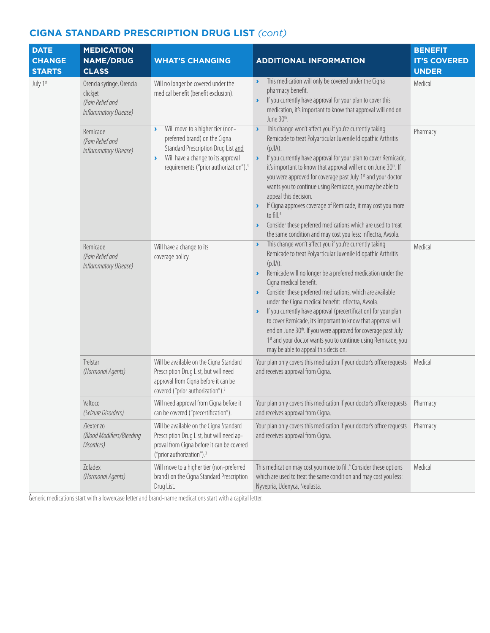| <b>DATE</b><br><b>CHANGE</b><br><b>STARTS</b> | <b>MEDICATION</b><br><b>NAME/DRUG</b><br><b>CLASS</b>                             | <b>WHAT'S CHANGING</b>                                                                                                                                                                                                                                 | <b>ADDITIONAL INFORMATION</b>                                                                                                                                                                                                                                                                                                                                                                                                                                                                                                                                                                                                                                                                                                                                 | <b>BENEFIT</b><br><b>IT'S COVERED</b><br><b>UNDER</b> |
|-----------------------------------------------|-----------------------------------------------------------------------------------|--------------------------------------------------------------------------------------------------------------------------------------------------------------------------------------------------------------------------------------------------------|---------------------------------------------------------------------------------------------------------------------------------------------------------------------------------------------------------------------------------------------------------------------------------------------------------------------------------------------------------------------------------------------------------------------------------------------------------------------------------------------------------------------------------------------------------------------------------------------------------------------------------------------------------------------------------------------------------------------------------------------------------------|-------------------------------------------------------|
| July 1st                                      | Orencia syringe, Orencia<br>clickjet<br>(Pain Relief and<br>Inflammatory Disease) | Will no longer be covered under the<br>medical benefit (benefit exclusion).                                                                                                                                                                            | This medication will only be covered under the Cigna<br>$\blacktriangleright$<br>pharmacy benefit.<br>If you currently have approval for your plan to cover this<br>$\blacktriangleright$<br>medication, it's important to know that approval will end on<br>June 30 <sup>th</sup> .                                                                                                                                                                                                                                                                                                                                                                                                                                                                          | Medical                                               |
|                                               | Remicade<br>(Pain Relief and<br>Inflammatory Disease)                             | Will move to a higher tier (non-<br>$\blacktriangleright$<br>preferred brand) on the Cigna<br>Standard Prescription Drug List and<br>Will have a change to its approval<br>$\blacktriangleright$<br>requirements ("prior authorization"). <sup>3</sup> | This change won't affect you if you're currently taking<br>$\blacktriangleright$<br>Remicade to treat Polyarticular Juvenile Idiopathic Arthritis<br>$(pJ A)$ .<br>If you currently have approval for your plan to cover Remicade,<br>$\blacktriangleright$<br>it's important to know that approval will end on June 30th. If<br>you were approved for coverage past July 1st and your doctor<br>wants you to continue using Remicade, you may be able to<br>appeal this decision.<br>If Cigna approves coverage of Remicade, it may cost you more<br>$\blacktriangleright$<br>to fill. <sup>4</sup><br>Consider these preferred medications which are used to treat<br>$\blacktriangleright$<br>the same condition and may cost you less: Inflectra, Avsola. | Pharmacy                                              |
|                                               | Remicade<br>(Pain Relief and<br>Inflammatory Disease)                             | Will have a change to its<br>coverage policy.                                                                                                                                                                                                          | This change won't affect you if you're currently taking<br>$\blacktriangleright$<br>Remicade to treat Polyarticular Juvenile Idiopathic Arthritis<br>(pJIA).<br>Remicade will no longer be a preferred medication under the<br>$\blacktriangleright$<br>Cigna medical benefit.<br>Consider these preferred medications, which are available<br>under the Cigna medical benefit: Inflectra, Avsola.<br>If you currently have approval (precertification) for your plan<br>$\blacktriangleright$<br>to cover Remicade, it's important to know that approval will<br>end on June 30 <sup>th</sup> . If you were approved for coverage past July<br>1st and your doctor wants you to continue using Remicade, you<br>may be able to appeal this decision.         | Medical                                               |
|                                               | Trelstar<br>(Hormonal Agents)                                                     | Will be available on the Cigna Standard<br>Prescription Drug List, but will need<br>approval from Cigna before it can be<br>covered ("prior authorization"). <sup>3</sup>                                                                              | Your plan only covers this medication if your doctor's office requests<br>and receives approval from Cigna.                                                                                                                                                                                                                                                                                                                                                                                                                                                                                                                                                                                                                                                   | Medical                                               |
|                                               | Valtoco<br>(Seizure Disorders)                                                    | Will need approval from Cigna before it<br>can be covered ("precertification").                                                                                                                                                                        | Your plan only covers this medication if your doctor's office requests Pharmacy<br>and receives approval from Cigna.                                                                                                                                                                                                                                                                                                                                                                                                                                                                                                                                                                                                                                          |                                                       |
|                                               | 7iextenzo<br>(Blood Modifiers/Bleeding<br>Disorders)                              | Will be available on the Cigna Standard<br>Prescription Drug List, but will need ap-<br>proval from Cigna before it can be covered<br>("prior authorization"). <sup>3</sup>                                                                            | Your plan only covers this medication if your doctor's office requests<br>and receives approval from Cigna.                                                                                                                                                                                                                                                                                                                                                                                                                                                                                                                                                                                                                                                   | Pharmacy                                              |
|                                               | Zoladex<br>(Hormonal Agents)                                                      | Will move to a higher tier (non-preferred<br>brand) on the Cigna Standard Prescription<br>Drug List.                                                                                                                                                   | This medication may cost you more to fill. <sup>4</sup> Consider these options<br>which are used to treat the same condition and may cost you less:<br>Nyvepria, Udenyca, Neulasta.                                                                                                                                                                                                                                                                                                                                                                                                                                                                                                                                                                           | Medical                                               |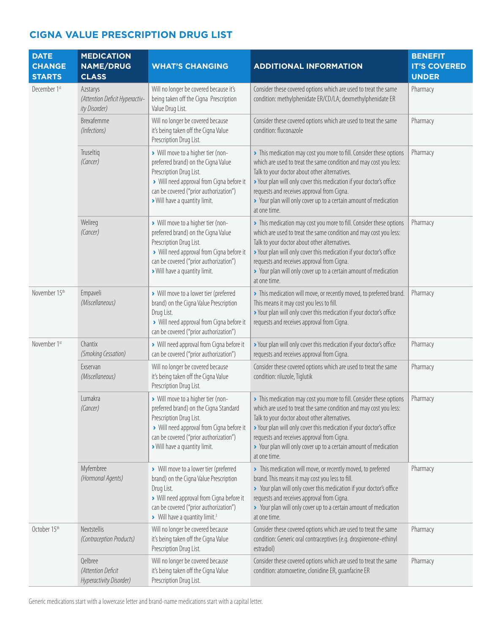| <b>DATE</b><br><b>CHANGE</b><br><b>STARTS</b> | <b>MEDICATION</b><br><b>NAME/DRUG</b><br><b>CLASS</b>       | <b>WHAT'S CHANGING</b>                                                                                                                                                                                                              | <b>ADDITIONAL INFORMATION</b>                                                                                                                                                                                                                                                                                                                                                                      | <b>BENEFIT</b><br><b>IT'S COVERED</b><br><b>UNDER</b> |
|-----------------------------------------------|-------------------------------------------------------------|-------------------------------------------------------------------------------------------------------------------------------------------------------------------------------------------------------------------------------------|----------------------------------------------------------------------------------------------------------------------------------------------------------------------------------------------------------------------------------------------------------------------------------------------------------------------------------------------------------------------------------------------------|-------------------------------------------------------|
| December 1st                                  | Azstarys<br>(Attention Deficit Hyperactiv-<br>ity Disorder) | Will no longer be covered because it's<br>being taken off the Cigna Prescription<br>Value Drug List.                                                                                                                                | Consider these covered options which are used to treat the same<br>condition: methylphenidate ER/CD/LA; dexmethylphenidate ER                                                                                                                                                                                                                                                                      | Pharmacy                                              |
|                                               | Brexafemme<br>(Infections)                                  | Will no longer be covered because<br>it's being taken off the Cigna Value<br>Prescription Drug List.                                                                                                                                | Consider these covered options which are used to treat the same<br>condition: fluconazole                                                                                                                                                                                                                                                                                                          | Pharmacy                                              |
|                                               | Truseltig<br>(Cancer)                                       | > Will move to a higher tier (non-<br>preferred brand) on the Cigna Value<br>Prescription Drug List.<br>> Will need approval from Cigna before it<br>can be covered ("prior authorization")<br>> Will have a quantity limit.        | > This medication may cost you more to fill. Consider these options<br>which are used to treat the same condition and may cost you less:<br>Talk to your doctor about other alternatives.<br>> Your plan will only cover this medication if your doctor's office<br>requests and receives approval from Cigna.<br>> Your plan will only cover up to a certain amount of medication<br>at one time. | Pharmacy                                              |
|                                               | Welireg<br>(Cancer)                                         | > Will move to a higher tier (non-<br>preferred brand) on the Cigna Value<br>Prescription Drug List.<br>> Will need approval from Cigna before it<br>can be covered ("prior authorization")<br>> Will have a quantity limit.        | > This medication may cost you more to fill. Consider these options<br>which are used to treat the same condition and may cost you less:<br>Talk to your doctor about other alternatives.<br>> Your plan will only cover this medication if your doctor's office<br>requests and receives approval from Cigna.<br>> Your plan will only cover up to a certain amount of medication<br>at one time. | Pharmacy                                              |
| November 15th                                 | Empaveli<br>(Miscellaneous)                                 | > Will move to a lower tier (preferred<br>brand) on the Cigna Value Prescription<br>Drug List.<br>> Will need approval from Cigna before it<br>can be covered ("prior authorization")                                               | > This medication will move, or recently moved, to preferred brand.<br>This means it may cost you less to fill.<br>> Your plan will only cover this medication if your doctor's office<br>requests and receives approval from Cigna.                                                                                                                                                               | Pharmacy                                              |
| November 1st                                  | Chantix<br>(Smoking Cessation)                              | > Will need approval from Cigna before it<br>can be covered ("prior authorization")                                                                                                                                                 | > Your plan will only cover this medication if your doctor's office<br>requests and receives approval from Cigna.                                                                                                                                                                                                                                                                                  | Pharmacy                                              |
|                                               | Exservan<br>(Miscellaneous)                                 | Will no longer be covered because<br>it's being taken off the Cigna Value<br>Prescription Drug List.                                                                                                                                | Consider these covered options which are used to treat the same<br>condition: riluzole, Tiglutik                                                                                                                                                                                                                                                                                                   | Pharmacy                                              |
|                                               | Lumakra<br>(Cancer)                                         | > Will move to a higher tier (non-<br>preferred brand) on the Cigna Standard<br>Prescription Drug List.<br>> Will need approval from Cigna before it<br>can be covered ("prior authorization")<br>> Will have a quantity limit.     | > This medication may cost you more to fill. Consider these options<br>which are used to treat the same condition and may cost you less:<br>Talk to your doctor about other alternatives.<br>> Your plan will only cover this medication if your doctor's office<br>requests and receives approval from Cigna.<br>> Your plan will only cover up to a certain amount of medication<br>at one time. | Pharmacy                                              |
|                                               | Myfembree<br>(Hormonal Agents)                              | > Will move to a lower tier (preferred<br>brand) on the Cigna Value Prescription<br>Drug List.<br>> Will need approval from Cigna before it<br>can be covered ("prior authorization")<br>> Will have a quantity limit. <sup>3</sup> | > This medication will move, or recently moved, to preferred<br>brand. This means it may cost you less to fill.<br>> Your plan will only cover this medication if your doctor's office<br>requests and receives approval from Cigna.<br>> Your plan will only cover up to a certain amount of medication<br>at one time.                                                                           | Pharmacy                                              |
| October 15th                                  | Nextstellis<br>(Contraception Products)                     | Will no longer be covered because<br>it's being taken off the Cigna Value<br>Prescription Drug List.                                                                                                                                | Consider these covered options which are used to treat the same<br>condition: Generic oral contraceptives (e.g. drospirenone-ethinyl<br>estradiol)                                                                                                                                                                                                                                                 | Pharmacy                                              |
|                                               | Qelbree<br>(Attention Deficit<br>Hyperactivity Disorder)    | Will no longer be covered because<br>it's being taken off the Cigna Value<br>Prescription Drug List.                                                                                                                                | Consider these covered options which are used to treat the same<br>condition: atomoxetine, clonidine ER, guanfacine ER                                                                                                                                                                                                                                                                             | Pharmacy                                              |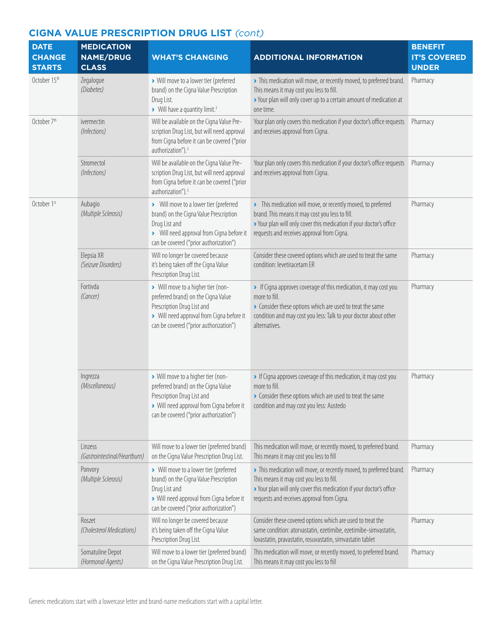| <b>DATE</b><br><b>CHANGE</b>  | <b>MEDICATION</b><br><b>NAME/DRUG</b>   | <b>WHAT'S CHANGING</b>                                                                                                                                                                         | <b>ADDITIONAL INFORMATION</b>                                                                                                                                                                                                        | <b>BENEFIT</b><br><b>IT'S COVERED</b> |
|-------------------------------|-----------------------------------------|------------------------------------------------------------------------------------------------------------------------------------------------------------------------------------------------|--------------------------------------------------------------------------------------------------------------------------------------------------------------------------------------------------------------------------------------|---------------------------------------|
| <b>STARTS</b><br>October 15th | <b>CLASS</b><br>Zegalogue<br>(Diabetes) | > Will move to a lower tier (preferred<br>brand) on the Cigna Value Prescription<br>Drug List.<br>> Will have a quantity limit. <sup>3</sup>                                                   | > This medication will move, or recently moved, to preferred brand.<br>This means it may cost you less to fill.<br>> Your plan will only cover up to a certain amount of medication at<br>one time.                                  | <b>UNDER</b><br>Pharmacy              |
| October 7 <sup>th</sup>       | ivermectin<br>(Infections)              | Will be available on the Cigna Value Pre-<br>scription Drug List, but will need approval<br>from Cigna before it can be covered ("prior<br>authorization"). <sup>3</sup>                       | Your plan only covers this medication if your doctor's office requests<br>and receives approval from Cigna.                                                                                                                          | Pharmacy                              |
|                               | Stromectol<br>(Infections)              | Will be available on the Cigna Value Pre-<br>scription Drug List, but will need approval<br>from Cigna before it can be covered ("prior<br>authorization"). <sup>3</sup>                       | Your plan only covers this medication if your doctor's office requests<br>and receives approval from Cigna.                                                                                                                          | Pharmacy                              |
| October 1st                   | Aubagio<br>(Multiple Sclerosis)         | > Will move to a lower tier (preferred<br>brand) on the Cigna Value Prescription<br>Drug List and<br>> Will need approval from Cigna before it<br>can be covered ("prior authorization")       | > This medication will move, or recently moved, to preferred<br>brand. This means it may cost you less to fill.<br>> Your plan will only cover this medication if your doctor's office<br>requests and receives approval from Cigna. | Pharmacy                              |
|                               | Elepsia XR<br>(Seizure Disorders)       | Will no longer be covered because<br>it's being taken off the Cigna Value<br>Prescription Drug List.                                                                                           | Consider these covered options which are used to treat the same<br>condition: levetiracetam ER                                                                                                                                       | Pharmacy                              |
|                               | Fortivda<br>(Cancer)                    | > Will move to a higher tier (non-<br>preferred brand) on the Cigna Value<br>Prescription Drug List and<br>> Will need approval from Cigna before it<br>can be covered ("prior authorization") | > If Cigna approves coverage of this medication, it may cost you<br>more to fill.<br>• Consider these options which are used to treat the same<br>condition and may cost you less: Talk to your doctor about other<br>alternatives.  | Pharmacy                              |
|                               | Ingrezza<br>(Miscellaneous)             | > Will move to a higher tier (non-<br>preferred brand) on the Cigna Value<br>Prescription Drug List and<br>> Will need approval from Cigna before it<br>can be covered ("prior authorization") | If Cigna approves coverage of this medication, it may cost you<br>more to fill.<br>> Consider these options which are used to treat the same<br>condition and may cost you less: Austedo                                             | Pharmacy                              |
|                               | Linzess<br>(Gastrointestinal/Heartburn) | Will move to a lower tier (preferred brand)<br>on the Cigna Value Prescription Drug List.                                                                                                      | This medication will move, or recently moved, to preferred brand.<br>This means it may cost you less to fill                                                                                                                         | Pharmacy                              |
|                               | Ponvory<br>(Multiple Sclerosis)         | > Will move to a lower tier (preferred<br>brand) on the Cigna Value Prescription<br>Drug List and<br>> Will need approval from Cigna before it<br>can be covered ("prior authorization")       | > This medication will move, or recently moved, to preferred brand.<br>This means it may cost you less to fill.<br>> Your plan will only cover this medication if your doctor's office<br>requests and receives approval from Cigna. | Pharmacy                              |
|                               | Roszet<br>(Cholesterol Medications)     | Will no longer be covered because<br>it's being taken off the Cigna Value<br>Prescription Drug List.                                                                                           | Consider these covered options which are used to treat the<br>same condition: atorvastatin, ezetimibe, ezetimibe-simvastatin,<br>lovastatin, pravastatin, rosuvastatin, simvastatin tablet                                           | Pharmacy                              |
|                               | Somatuline Depot<br>(Hormonal Agents)   | Will move to a lower tier (preferred brand)<br>on the Cigna Value Prescription Drug List.                                                                                                      | This medication will move, or recently moved, to preferred brand.<br>This means it may cost you less to fill                                                                                                                         | Pharmacy                              |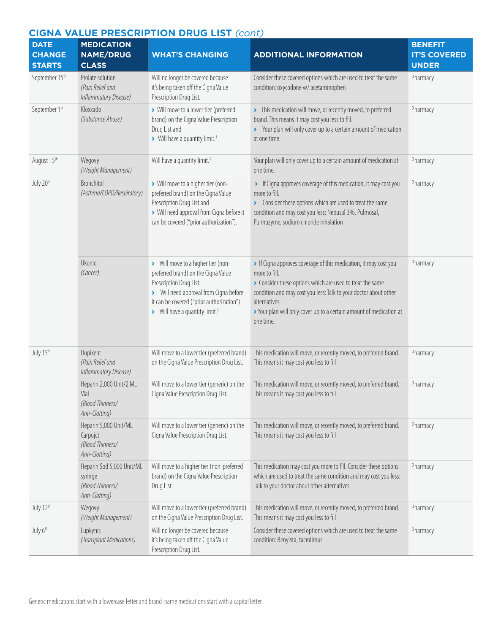#### **DATE CHANGE STARTS MEDICATION NAME/DRUG CLASS WHAT'S CHANGING ADDITIONAL INFORMATION BENEFIT IT'S COVERED UNDER** September 15<sup>th</sup> Prolate solution *(Pain Relief and Inflammatory Disease)* Will no longer be covered because it's being taken off the Cigna Value Prescription Drug List. Consider these covered options which are used to treat the same condition: oxycodone w/ acetaminophen Pharmacy September 1<sup>st</sup> Kloxxado *(Substance Abuse)* **›** Will move to a lower tier (preferred brand) on the Cigna Value Prescription Drug List and **›** Will have a quantity limit.3 **›** This medication will move, or recently moved, to preferred brand. This means it may cost you less to fill. **›** Your plan will only cover up to a certain amount of medication at one time. Pharmacy August 15th Wegovy *(Weight Management)* Will have a quantity limit.<sup>3</sup> Your plan will only cover up to a certain amount of medication at one time. Pharmacy July 20<sup>th</sup> Bronchitol *(Asthma/COPD/Respiratory)* **›** Will move to a higher tier (nonpreferred brand) on the Cigna Value Prescription Drug List and **›** Will need approval from Cigna before it can be covered ("prior authorization"). **›** If Cigna approves coverage of this medication, it may cost you more to fill. **›** Consider these options which are used to treat the same condition and may cost you less: Nebusal 3%, Pulmosal, Pulmozyme, sodium chloride inhalation Pharmacy Ukoniq *(Cancer)* **›** Will move to a higher tier (nonpreferred brand) on the Cigna Value Prescription Drug List. **›** Will need approval from Cigna before it can be covered ("prior authorization") **›** Will have a quantity limit.3 **›** If Cigna approves coverage of this medication, it may cost you more to fill. **›** Consider these options which are used to treat the same condition and may cost you less: Talk to your doctor about other alternatives. **›** Your plan will only cover up to a certain amount of medication at one time. Pharmacy July 15th Dupixent *(Pain Relief and Inflammatory Disease)* Will move to a lower tier (preferred brand) on the Cigna Value Prescription Drug List. This medication will move, or recently moved, to preferred brand. This means it may cost you less to fill Pharmacy Heparin 2,000 Unit/2 ML Vial *(Blood Thinners/ Anti-Clotting)* Will move to a lower tier (generic) on the Cigna Value Prescription Drug List. This medication will move, or recently moved, to preferred brand. This means it may cost you less to fill Pharmacy Heparin 5,000 Unit/ML Carpujct *(Blood Thinners/ Anti-Clotting)* Will move to a lower tier (generic) on the Cigna Value Prescription Drug List. This medication will move, or recently moved, to preferred brand. This means it may cost you less to fill Pharmacy Heparin Sod 5,000 Unit/ML syringe *(Blood Thinners/ Anti-Clotting)* Will move to a higher tier (non-preferred brand) on the Cigna Value Prescription Drug List. This medication may cost you more to fill. Consider these options which are used to treat the same condition and may cost you less: Talk to your doctor about other alternatives. Pharmacy July 12<sup>th</sup> Wegovy *(Weight Management)* Will move to a lower tier (preferred brand) on the Cigna Value Prescription Drug List. This medication will move, or recently moved, to preferred brand. This means it may cost you less to fill Pharmacy July 6th Lupkynis *(Transplant Medications)* Will no longer be covered because it's being taken off the Cigna Value Prescription Drug List. Consider these covered options which are used to treat the same condition: Benylsta, tacrolimus Pharmacy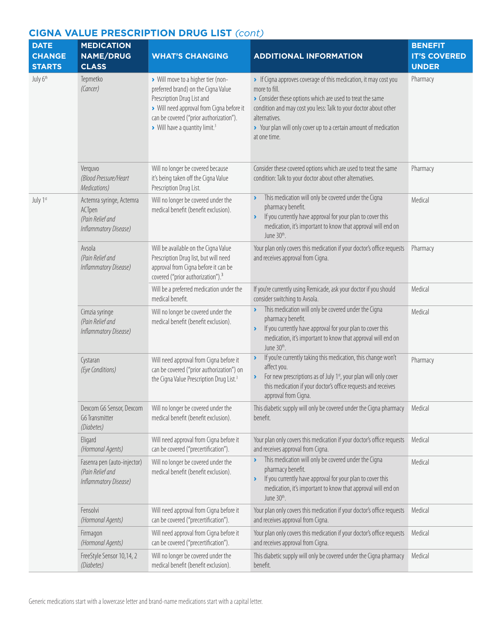| <b>DATE</b><br><b>CHANGE</b><br><b>STARTS</b> | <b>MEDICATION</b><br><b>NAME/DRUG</b><br><b>CLASS</b>                           | <b>WHAT'S CHANGING</b>                                                                                                                                                                                                                        | <b>ADDITIONAL INFORMATION</b>                                                                                                                                                                                                                                                                                         | <b>BENEFIT</b><br><b>IT'S COVERED</b><br><b>UNDER</b> |
|-----------------------------------------------|---------------------------------------------------------------------------------|-----------------------------------------------------------------------------------------------------------------------------------------------------------------------------------------------------------------------------------------------|-----------------------------------------------------------------------------------------------------------------------------------------------------------------------------------------------------------------------------------------------------------------------------------------------------------------------|-------------------------------------------------------|
| July 6th                                      | Tepmetko<br>(Cancer)                                                            | > Will move to a higher tier (non-<br>preferred brand) on the Cigna Value<br>Prescription Drug List and<br>> Will need approval from Cigna before it<br>can be covered ("prior authorization").<br>> Will have a quantity limit. <sup>3</sup> | If Cigna approves coverage of this medication, it may cost you<br>more to fill.<br>• Consider these options which are used to treat the same<br>condition and may cost you less: Talk to your doctor about other<br>alternatives.<br>> Your plan will only cover up to a certain amount of medication<br>at one time. | Pharmacy                                              |
|                                               | Verquvo<br>(Blood Pressure/Heart<br>Medications)                                | Will no longer be covered because<br>it's being taken off the Cigna Value<br>Prescription Drug List.                                                                                                                                          | Consider these covered options which are used to treat the same<br>condition: Talk to your doctor about other alternatives.                                                                                                                                                                                           | Pharmacy                                              |
| July 1st                                      | Actemra syringe, Actemra<br>ACTpen<br>(Pain Relief and<br>Inflammatory Disease) | Will no longer be covered under the<br>medical benefit (benefit exclusion).                                                                                                                                                                   | This medication will only be covered under the Cigna<br>١<br>pharmacy benefit.<br>If you currently have approval for your plan to cover this<br>X<br>medication, it's important to know that approval will end on<br>June 30th.                                                                                       | Medical                                               |
|                                               | Avsola<br>(Pain Relief and<br>Inflammatory Disease)                             | Will be available on the Cigna Value<br>Prescription Drug list, but will need<br>approval from Cigna before it can be<br>covered ("prior authorization"). <sup>3</sup>                                                                        | Your plan only covers this medication if your doctor's office requests<br>and receives approval from Cigna.                                                                                                                                                                                                           | Pharmacy                                              |
|                                               |                                                                                 | Will be a preferred medication under the<br>medical benefit.                                                                                                                                                                                  | If you're currently using Remicade, ask your doctor if you should<br>consider switching to Avsola.                                                                                                                                                                                                                    | Medical                                               |
|                                               | Cimzia syringe<br>(Pain Relief and<br>Inflammatory Disease)                     | Will no longer be covered under the<br>medical benefit (benefit exclusion).                                                                                                                                                                   | This medication will only be covered under the Cigna<br>٧<br>pharmacy benefit.<br>If you currently have approval for your plan to cover this<br>$\blacktriangleright$<br>medication, it's important to know that approval will end on<br>June 30th.                                                                   | Medical                                               |
|                                               | Cystaran<br>(Eye Conditions)                                                    | Will need approval from Cigna before it<br>can be covered ("prior authorization") on<br>the Cigna Value Prescription Drug List. <sup>3</sup>                                                                                                  | If you're currently taking this medication, this change won't<br>$\blacktriangleright$<br>affect you.<br>For new prescriptions as of July 1 <sup>st</sup> , your plan will only cover<br>$\blacktriangleright$<br>this medication if your doctor's office requests and receives<br>approval from Cigna.               | Pharmacy                                              |
|                                               | Dexcom G6 Sensor, Dexcom<br>G6 Transmitter<br>(Diabetes)                        | Will no longer be covered under the<br>medical benefit (benefit exclusion).                                                                                                                                                                   | This diabetic supply will only be covered under the Cigna pharmacy<br>benefit.                                                                                                                                                                                                                                        | Medical                                               |
|                                               | Eligard<br>(Hormonal Agents)                                                    | Will need approval from Cigna before it<br>can be covered ("precertification").                                                                                                                                                               | Your plan only covers this medication if your doctor's office requests<br>and receives approval from Cigna.                                                                                                                                                                                                           | Medical                                               |
|                                               | Fasenra pen (auto-injector)<br>(Pain Relief and<br>Inflammatory Disease)        | Will no longer be covered under the<br>medical benefit (benefit exclusion).                                                                                                                                                                   | This medication will only be covered under the Cigna<br>pharmacy benefit.<br>If you currently have approval for your plan to cover this<br>$\blacktriangleright$<br>medication, it's important to know that approval will end on<br>June 30 <sup>th</sup> .                                                           | Medical                                               |
|                                               | Fensolvi<br>(Hormonal Agents)                                                   | Will need approval from Cigna before it<br>can be covered ("precertification").                                                                                                                                                               | Your plan only covers this medication if your doctor's office requests<br>and receives approval from Cigna.                                                                                                                                                                                                           | Medical                                               |
|                                               | Firmagon<br>(Hormonal Agents)                                                   | Will need approval from Cigna before it<br>can be covered ("precertification").                                                                                                                                                               | Your plan only covers this medication if your doctor's office requests<br>and receives approval from Cigna.                                                                                                                                                                                                           | Medical                                               |
|                                               | FreeStyle Sensor 10,14, 2<br>(Diabetes)                                         | Will no longer be covered under the<br>medical benefit (benefit exclusion).                                                                                                                                                                   | This diabetic supply will only be covered under the Cigna pharmacy<br>benefit.                                                                                                                                                                                                                                        | Medical                                               |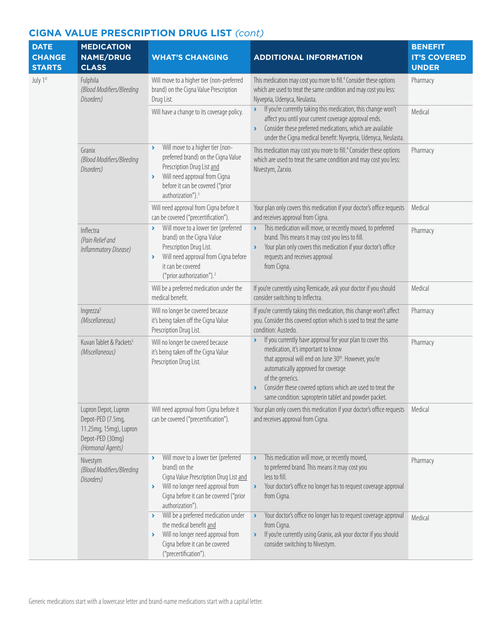| <b>DATE</b><br><b>CHANGE</b><br><b>STARTS</b> | <b>MEDICATION</b><br><b>NAME/DRUG</b><br><b>CLASS</b>                                                        | <b>WHAT'S CHANGING</b>                                                                                                                                                                                                                                        | <b>ADDITIONAL INFORMATION</b>                                                                                                                                                                                                                                                                                                                                                         | <b>BENEFIT</b><br><b>IT'S COVERED</b><br><b>UNDER</b> |
|-----------------------------------------------|--------------------------------------------------------------------------------------------------------------|---------------------------------------------------------------------------------------------------------------------------------------------------------------------------------------------------------------------------------------------------------------|---------------------------------------------------------------------------------------------------------------------------------------------------------------------------------------------------------------------------------------------------------------------------------------------------------------------------------------------------------------------------------------|-------------------------------------------------------|
| July 1st                                      | Fulphila<br>(Blood Modifiers/Bleeding<br>Disorders)                                                          | Will move to a higher tier (non-preferred<br>brand) on the Cigna Value Prescription<br>Drug List.                                                                                                                                                             | This medication may cost you more to fill. <sup>4</sup> Consider these options<br>which are used to treat the same condition and may cost you less:<br>Nyvepria, Udenyca, Neulasta.                                                                                                                                                                                                   | Pharmacy                                              |
|                                               |                                                                                                              | Will have a change to its coverage policy.                                                                                                                                                                                                                    | If you're currently taking this medication, this change won't<br>$\blacktriangleright$<br>affect you until your current coverage approval ends.<br>Consider these preferred medications, which are available<br>$\blacktriangleright$<br>under the Cigna medical benefit: Nyvepria, Udenyca, Neulasta.                                                                                | Medical                                               |
|                                               | Granix<br>(Blood Modifiers/Bleeding<br>Disorders)                                                            | Will move to a higher tier (non-<br>$\blacktriangleright$<br>preferred brand) on the Cigna Value<br>Prescription Drug List and<br>Will need approval from Cigna<br>$\blacktriangleright$<br>before it can be covered ("prior<br>authorization"). <sup>3</sup> | This medication may cost you more to fill. <sup>4</sup> Consider these options<br>which are used to treat the same condition and may cost you less:<br>Nivestym, Zarxio.                                                                                                                                                                                                              | Pharmacy                                              |
|                                               |                                                                                                              | Will need approval from Cigna before it<br>can be covered ("precertification").                                                                                                                                                                               | Your plan only covers this medication if your doctor's office requests<br>and receives approval from Cigna.                                                                                                                                                                                                                                                                           | Medical                                               |
|                                               | Inflectra<br>(Pain Relief and<br>Inflammatory Disease)                                                       | Will move to a lower tier (preferred<br>$\blacktriangleright$<br>brand) on the Cigna Value<br>Prescription Drug List.<br>Will need approval from Cigna before<br>$\blacktriangleright$<br>it can be covered<br>("prior authorization"). <sup>3</sup>          | This medication will move, or recently moved, to preferred<br>$\blacktriangleright$<br>brand. This means it may cost you less to fill.<br>Your plan only covers this medication if your doctor's office<br>$\blacktriangleright$<br>requests and receives approval<br>from Cigna.                                                                                                     | Pharmacy                                              |
|                                               |                                                                                                              | Will be a preferred medication under the<br>medical benefit.                                                                                                                                                                                                  | If you're currently using Remicade, ask your doctor if you should<br>consider switching to Inflectra.                                                                                                                                                                                                                                                                                 | Medical                                               |
|                                               | Ingrezza <sup>5</sup><br>(Miscellaneous)                                                                     | Will no longer be covered because<br>it's being taken off the Cigna Value<br>Prescription Drug List.                                                                                                                                                          | If you're currently taking this medication, this change won't affect<br>you. Consider this covered option which is used to treat the same<br>condition: Austedo.                                                                                                                                                                                                                      | Pharmacy                                              |
|                                               | Kuvan Tablet & Packets <sup>5</sup><br>(Miscellaneous)                                                       | Will no longer be covered because<br>it's being taken off the Cigna Value<br>Prescription Drug List.                                                                                                                                                          | If you currently have approval for your plan to cover this<br>$\blacktriangleright$<br>medication, it's important to know<br>that approval will end on June 30 <sup>th</sup> . However, you're<br>automatically approved for coverage<br>of the generics.<br>Consider these covered options which are used to treat the<br>٠<br>same condition: sapropterin tablet and powder packet. | Pharmacy                                              |
|                                               | Lupron Depot, Lupron<br>Depot-PED (7.5mg,<br>11.25mg, 15mg), Lupron<br>Depot-PED (30mg)<br>(Hormonal Agents) | Will need approval from Cigna before it<br>can be covered ("precertification").                                                                                                                                                                               | Your plan only covers this medication if your doctor's office requests<br>and receives approval from Cigna.                                                                                                                                                                                                                                                                           | Medical                                               |
|                                               | Nivestym<br>(Blood Modifiers/Bleeding<br>Disorders)                                                          | Will move to a lower tier (preferred<br>$\blacktriangleright$<br>brand) on the<br>Cigna Value Prescription Drug List and<br>Will no longer need approval from<br>$\blacktriangleright$<br>Cigna before it can be covered ("prior<br>authorization").          | This medication will move, or recently moved,<br>$\blacktriangleright$<br>to preferred brand. This means it may cost you<br>less to fill.<br>Your doctor's office no longer has to request coverage approval<br>$\blacktriangleright$<br>from Cigna.                                                                                                                                  | Pharmacy                                              |
|                                               |                                                                                                              | Will be a preferred medication under<br>$\sum_{i=1}^{n}$<br>the medical benefit and<br>Will no longer need approval from<br>$\blacktriangleright$<br>Cigna before it can be covered<br>("precertification").                                                  | Your doctor's office no longer has to request coverage approval<br>$\blacktriangleright$<br>from Cigna.<br>If you're currently using Granix, ask your doctor if you should<br>$\blacktriangleright$<br>consider switching to Nivestym.                                                                                                                                                | Medical                                               |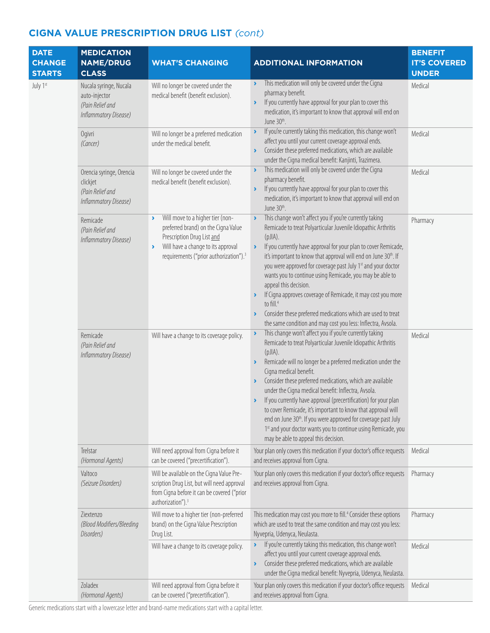| <b>DATE</b><br><b>CHANGE</b><br><b>STARTS</b> | <b>MEDICATION</b><br><b>NAME/DRUG</b><br><b>CLASS</b>                                | <b>WHAT'S CHANGING</b>                                                                                                                                                                                                                              | <b>ADDITIONAL INFORMATION</b>                                                                                                                                                                                                                                                                                                                                                                                                                                                                                                                                                                                                                                                                                                                                                  | <b>BENEFIT</b><br><b>IT'S COVERED</b><br><b>UNDER</b> |
|-----------------------------------------------|--------------------------------------------------------------------------------------|-----------------------------------------------------------------------------------------------------------------------------------------------------------------------------------------------------------------------------------------------------|--------------------------------------------------------------------------------------------------------------------------------------------------------------------------------------------------------------------------------------------------------------------------------------------------------------------------------------------------------------------------------------------------------------------------------------------------------------------------------------------------------------------------------------------------------------------------------------------------------------------------------------------------------------------------------------------------------------------------------------------------------------------------------|-------------------------------------------------------|
| July 1st                                      | Nucala syringe, Nucala<br>auto-injector<br>(Pain Relief and<br>Inflammatory Disease) | Will no longer be covered under the<br>medical benefit (benefit exclusion).                                                                                                                                                                         | This medication will only be covered under the Cigna<br>$\blacktriangleright$<br>pharmacy benefit.<br>If you currently have approval for your plan to cover this<br>$\lambda$<br>medication, it's important to know that approval will end on<br>June 30 <sup>th</sup> .                                                                                                                                                                                                                                                                                                                                                                                                                                                                                                       | Medical                                               |
|                                               | Ogivri<br>(Cancer)                                                                   | Will no longer be a preferred medication<br>under the medical benefit.                                                                                                                                                                              | If you're currently taking this medication, this change won't<br>$\lambda$<br>affect you until your current coverage approval ends.<br>Consider these preferred medications, which are available<br>$\blacktriangleright$<br>under the Cigna medical benefit: Kanjinti, Trazimera.                                                                                                                                                                                                                                                                                                                                                                                                                                                                                             | Medical                                               |
|                                               | Orencia syringe, Orencia<br>clickjet<br>(Pain Relief and<br>Inflammatory Disease)    | Will no longer be covered under the<br>medical benefit (benefit exclusion).                                                                                                                                                                         | This medication will only be covered under the Cigna<br>$\blacktriangleright$<br>pharmacy benefit.<br>If you currently have approval for your plan to cover this<br>$\blacktriangleright$<br>medication, it's important to know that approval will end on<br>June 30 <sup>th</sup> .                                                                                                                                                                                                                                                                                                                                                                                                                                                                                           | Medical                                               |
|                                               | Remicade<br>(Pain Relief and<br>Inflammatory Disease)                                | Will move to a higher tier (non-<br>$\blacktriangleright$<br>preferred brand) on the Cigna Value<br>Prescription Drug List and<br>Will have a change to its approval<br>$\blacktriangleright$<br>requirements ("prior authorization"). <sup>3</sup> | This change won't affect you if you're currently taking<br>$\blacktriangleright$<br>Remicade to treat Polyarticular Juvenile Idiopathic Arthritis<br>$(pJIA)$ .<br>If you currently have approval for your plan to cover Remicade,<br>$\blacktriangleright$<br>it's important to know that approval will end on June 30th. If<br>you were approved for coverage past July 1st and your doctor<br>wants you to continue using Remicade, you may be able to<br>appeal this decision.<br>If Cigna approves coverage of Remicade, it may cost you more<br>$\blacktriangleright$<br>to fill. <sup>4</sup><br>Consider these preferred medications which are used to treat<br>$\blacktriangleright$<br>the same condition and may cost you less: Inflectra, Avsola.                  | Pharmacy                                              |
|                                               | Remicade<br>(Pain Relief and<br>Inflammatory Disease)                                | Will have a change to its coverage policy.                                                                                                                                                                                                          | This change won't affect you if you're currently taking<br>$\blacktriangleright$<br>Remicade to treat Polyarticular Juvenile Idiopathic Arthritis<br>(pJIA).<br>Remicade will no longer be a preferred medication under the<br>$\blacktriangleright$<br>Cigna medical benefit.<br>Consider these preferred medications, which are available<br>$\blacktriangleright$<br>under the Cigna medical benefit: Inflectra, Avsola.<br>If you currently have approval (precertification) for your plan<br>$\blacktriangleright$<br>to cover Remicade, it's important to know that approval will<br>end on June 30 <sup>th</sup> . If you were approved for coverage past July<br>1st and your doctor wants you to continue using Remicade, you<br>may be able to appeal this decision. | Medical                                               |
|                                               | Trelstar<br>(Hormonal Agents)                                                        | Will need approval from Cigna before it<br>can be covered ("precertification").                                                                                                                                                                     | Your plan only covers this medication if your doctor's office requests<br>and receives approval from Cigna.                                                                                                                                                                                                                                                                                                                                                                                                                                                                                                                                                                                                                                                                    | Medical                                               |
|                                               | Valtoco<br>(Seizure Disorders)                                                       | Will be available on the Cigna Value Pre-<br>scription Drug List, but will need approval<br>from Cigna before it can be covered ("prior<br>authorization"). <sup>3</sup>                                                                            | Your plan only covers this medication if your doctor's office requests<br>and receives approval from Cigna.                                                                                                                                                                                                                                                                                                                                                                                                                                                                                                                                                                                                                                                                    | Pharmacy                                              |
|                                               | Ziextenzo<br>(Blood Modifiers/Bleeding<br>Disorders)                                 | Will move to a higher tier (non-preferred<br>brand) on the Cigna Value Prescription<br>Drug List.                                                                                                                                                   | This medication may cost you more to fill. <sup>4</sup> Consider these options<br>which are used to treat the same condition and may cost you less:<br>Nyvepria, Udenyca, Neulasta.                                                                                                                                                                                                                                                                                                                                                                                                                                                                                                                                                                                            | Pharmacy                                              |
|                                               |                                                                                      | Will have a change to its coverage policy.                                                                                                                                                                                                          | If you're currently taking this medication, this change won't<br>$\blacktriangleright$<br>affect you until your current coverage approval ends.<br>Consider these preferred medications, which are available<br>$\blacktriangleright$<br>under the Cigna medical benefit: Nyvepria, Udenyca, Neulasta.                                                                                                                                                                                                                                                                                                                                                                                                                                                                         | Medical                                               |
|                                               | Zoladex<br>(Hormonal Agents)                                                         | Will need approval from Cigna before it<br>can be covered ("precertification").                                                                                                                                                                     | Your plan only covers this medication if your doctor's office requests<br>and receives approval from Cigna.                                                                                                                                                                                                                                                                                                                                                                                                                                                                                                                                                                                                                                                                    | Medical                                               |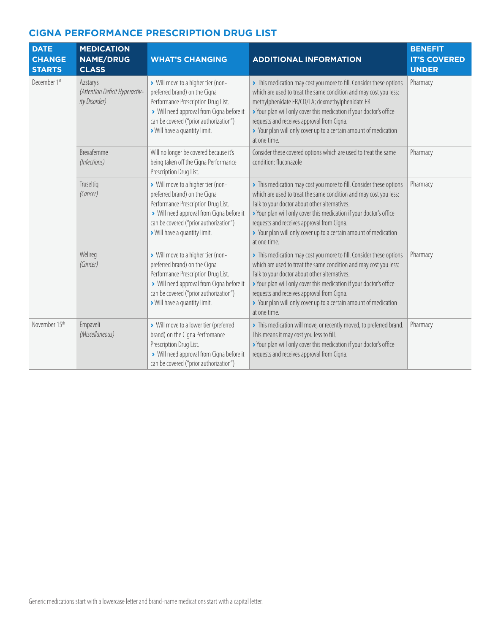| <b>DATE</b><br><b>CHANGE</b><br><b>STARTS</b> | <b>MEDICATION</b><br><b>NAME/DRUG</b><br><b>CLASS</b>       | <b>WHAT'S CHANGING</b>                                                                                                                                                                                                             | <b>ADDITIONAL INFORMATION</b>                                                                                                                                                                                                                                                                                                                                                                        | <b>BENEFIT</b><br><b>IT'S COVERED</b><br><b>UNDER</b> |
|-----------------------------------------------|-------------------------------------------------------------|------------------------------------------------------------------------------------------------------------------------------------------------------------------------------------------------------------------------------------|------------------------------------------------------------------------------------------------------------------------------------------------------------------------------------------------------------------------------------------------------------------------------------------------------------------------------------------------------------------------------------------------------|-------------------------------------------------------|
| December 1st                                  | Azstarys<br>(Attention Deficit Hyperactiv-<br>ity Disorder) | > Will move to a higher tier (non-<br>preferred brand) on the Cigna<br>Performance Prescription Drug List.<br>> Will need approval from Cigna before it<br>can be covered ("prior authorization")<br>> Will have a quantity limit. | > This medication may cost you more to fill. Consider these options<br>which are used to treat the same condition and may cost you less:<br>methylphenidate ER/CD/LA; dexmethylphenidate ER<br>> Your plan will only cover this medication if your doctor's office<br>requests and receives approval from Cigna.<br>> Your plan will only cover up to a certain amount of medication<br>at one time. | Pharmacy                                              |
|                                               | Brexafemme<br>(Infections)                                  | Will no longer be covered because it's<br>being taken off the Cigna Performance<br>Prescription Drug List.                                                                                                                         | Consider these covered options which are used to treat the same<br>condition: fluconazole                                                                                                                                                                                                                                                                                                            | Pharmacy                                              |
|                                               | Truseltig<br>(Cancer)                                       | > Will move to a higher tier (non-<br>preferred brand) on the Cigna<br>Performance Prescription Drug List.<br>> Will need approval from Cigna before it<br>can be covered ("prior authorization")<br>> Will have a quantity limit. | > This medication may cost you more to fill. Consider these options<br>which are used to treat the same condition and may cost you less:<br>Talk to your doctor about other alternatives.<br>> Your plan will only cover this medication if your doctor's office<br>requests and receives approval from Cigna.<br>> Your plan will only cover up to a certain amount of medication<br>at one time.   | Pharmacy                                              |
|                                               | Welireg<br>(Cancer)                                         | > Will move to a higher tier (non-<br>preferred brand) on the Cigna<br>Performance Prescription Drug List.<br>> Will need approval from Cigna before it<br>can be covered ("prior authorization")<br>> Will have a quantity limit. | > This medication may cost you more to fill. Consider these options<br>which are used to treat the same condition and may cost you less:<br>Talk to your doctor about other alternatives.<br>> Your plan will only cover this medication if your doctor's office<br>requests and receives approval from Cigna.<br>> Your plan will only cover up to a certain amount of medication<br>at one time.   | Pharmacy                                              |
| November 15th                                 | Empaveli<br>(Miscellaneous)                                 | > Will move to a lower tier (preferred<br>brand) on the Cigna Perfromance<br>Prescription Drug List.<br>> Will need approval from Cigna before it<br>can be covered ("prior authorization")                                        | > This medication will move, or recently moved, to preferred brand.<br>This means it may cost you less to fill.<br>> Your plan will only cover this medication if your doctor's office<br>requests and receives approval from Cigna.                                                                                                                                                                 | Pharmacy                                              |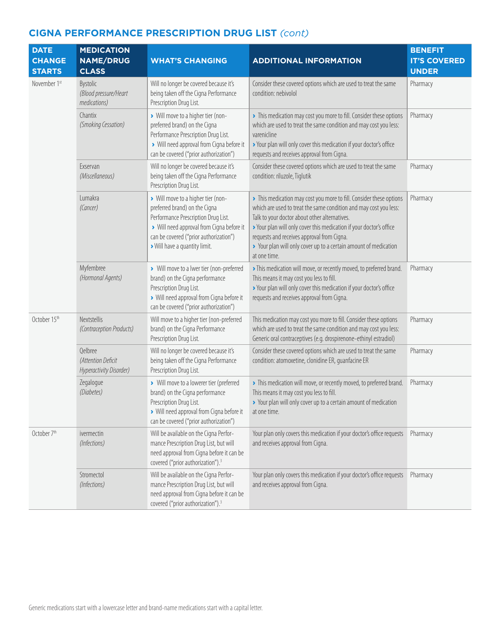| <b>DATE</b><br><b>CHANGE</b><br><b>STARTS</b> | <b>MEDICATION</b><br><b>NAME/DRUG</b><br><b>CLASS</b>    | <b>WHAT'S CHANGING</b>                                                                                                                                                                                                             | <b>ADDITIONAL INFORMATION</b>                                                                                                                                                                                                                                                                                                                                                                      | <b>BENEFIT</b><br><b>IT'S COVERED</b><br><b>UNDER</b> |
|-----------------------------------------------|----------------------------------------------------------|------------------------------------------------------------------------------------------------------------------------------------------------------------------------------------------------------------------------------------|----------------------------------------------------------------------------------------------------------------------------------------------------------------------------------------------------------------------------------------------------------------------------------------------------------------------------------------------------------------------------------------------------|-------------------------------------------------------|
| November 1st                                  | Bystolic<br>(Blood pressure/Heart<br>medications)        | Will no longer be covered because it's<br>being taken off the Cigna Performance<br>Prescription Drug List.                                                                                                                         | Consider these covered options which are used to treat the same<br>condition: nebivolol                                                                                                                                                                                                                                                                                                            | Pharmacy                                              |
|                                               | Chantix<br>(Smoking Cessation)                           | > Will move to a higher tier (non-<br>preferred brand) on the Cigna<br>Performance Prescription Drug List.<br>> Will need approval from Cigna before it<br>can be covered ("prior authorization")                                  | > This medication may cost you more to fill. Consider these options<br>which are used to treat the same condition and may cost you less:<br>varenicline<br>> Your plan will only cover this medication if your doctor's office<br>requests and receives approval from Cigna.                                                                                                                       | Pharmacy                                              |
|                                               | Exservan<br>(Miscellaneous)                              | Will no longer be covered because it's<br>being taken off the Cigna Performance<br>Prescription Drug List.                                                                                                                         | Consider these covered options which are used to treat the same<br>condition: riluzole, Tiglutik                                                                                                                                                                                                                                                                                                   | Pharmacy                                              |
|                                               | Lumakra<br>(Cancer)                                      | > Will move to a higher tier (non-<br>preferred brand) on the Cigna<br>Performance Prescription Drug List.<br>> Will need approval from Cigna before it<br>can be covered ("prior authorization")<br>> Will have a quantity limit. | > This medication may cost you more to fill. Consider these options<br>which are used to treat the same condition and may cost you less:<br>Talk to your doctor about other alternatives.<br>> Your plan will only cover this medication if your doctor's office<br>requests and receives approval from Cigna.<br>> Your plan will only cover up to a certain amount of medication<br>at one time. | Pharmacy                                              |
|                                               | Myfembree<br>(Hormonal Agents)                           | > Will move to a lwer tier (non-preferred<br>brand) on the Cigna performance<br>Prescription Drug List.<br>> Will need approval from Cigna before it<br>can be covered ("prior authorization")                                     | > This medication will move, or recently moved, to preferred brand.<br>This means it may cost you less to fill.<br>> Your plan will only cover this medication if your doctor's office<br>requests and receives approval from Cigna.                                                                                                                                                               | Pharmacy                                              |
| October 15th                                  | Nextstellis<br>(Contraception Products)                  | Will move to a higher tier (non-preferred<br>brand) on the Cigna Performance<br>Prescription Drug List.                                                                                                                            | This medication may cost you more to fill. Consider these options<br>which are used to treat the same condition and may cost you less:<br>Generic oral contraceptives (e.g. drospirenone-ethinyl estradiol)                                                                                                                                                                                        | Pharmacy                                              |
|                                               | Qelbree<br>(Attention Deficit<br>Hyperactivity Disorder) | Will no longer be covered because it's<br>being taken off the Cigna Performance<br>Prescription Drug List.                                                                                                                         | Consider these covered options which are used to treat the same<br>condition: atomoxetine, clonidine ER, quanfacine ER                                                                                                                                                                                                                                                                             | Pharmacy                                              |
|                                               | Zegalogue<br>(Diabetes)                                  | > Will move to a lowerer tier (preferred<br>brand) on the Cigna performance<br>Prescription Drug List.<br>> Will need approval from Cigna before it<br>can be covered ("prior authorization")                                      | > This medication will move, or recently moved, to preferred brand.<br>This means it may cost you less to fill.<br>> Your plan will only cover up to a certain amount of medication<br>at one time.                                                                                                                                                                                                | Pharmacy                                              |
| October 7 <sup>th</sup>                       | ivermectin<br>(Infections)                               | Will be available on the Cigna Perfor-<br>mance Prescription Drug List, but will<br>need approval from Cigna before it can be<br>covered ("prior authorization"). <sup>3</sup>                                                     | Your plan only covers this medication if your doctor's office requests<br>and receives approval from Cigna.                                                                                                                                                                                                                                                                                        | Pharmacy                                              |
|                                               | Stromectol<br>(Infections)                               | Will be available on the Cigna Perfor-<br>mance Prescription Drug List, but will<br>need approval from Cigna before it can be<br>covered ("prior authorization"). <sup>3</sup>                                                     | Your plan only covers this medication if your doctor's office requests<br>and receives approval from Cigna.                                                                                                                                                                                                                                                                                        | Pharmacy                                              |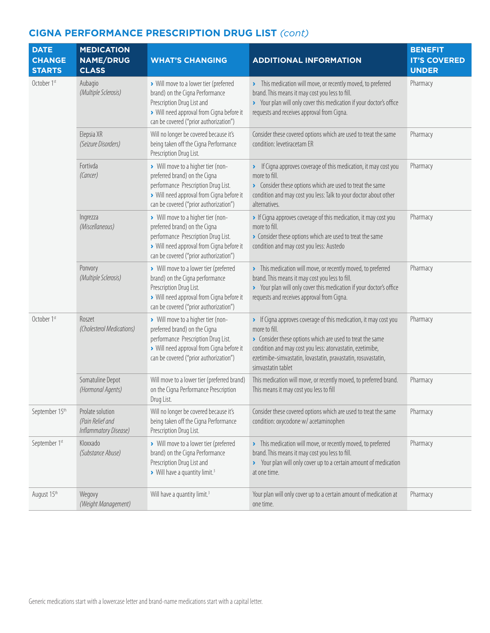| <b>DATE</b><br><b>CHANGE</b><br><b>STARTS</b> | <b>MEDICATION</b><br><b>NAME/DRUG</b><br><b>CLASS</b>         | <b>WHAT'S CHANGING</b>                                                                                                                                                                            | <b>ADDITIONAL INFORMATION</b>                                                                                                                                                                                                                                                                      | <b>BENEFIT</b><br><b>IT'S COVERED</b><br><b>UNDER</b> |
|-----------------------------------------------|---------------------------------------------------------------|---------------------------------------------------------------------------------------------------------------------------------------------------------------------------------------------------|----------------------------------------------------------------------------------------------------------------------------------------------------------------------------------------------------------------------------------------------------------------------------------------------------|-------------------------------------------------------|
| October 1st                                   | Aubagio<br>(Multiple Sclerosis)                               | > Will move to a lower tier (preferred<br>brand) on the Cigna Performance<br>Prescription Drug List and<br>> Will need approval from Cigna before it<br>can be covered ("prior authorization")    | > This medication will move, or recently moved, to preferred<br>brand. This means it may cost you less to fill.<br>> Your plan will only cover this medication if your doctor's office<br>requests and receives approval from Cigna.                                                               | Pharmacy                                              |
|                                               | Elepsia XR<br>(Seizure Disorders)                             | Will no longer be covered because it's<br>being taken off the Cigna Performance<br>Prescription Drug List.                                                                                        | Consider these covered options which are used to treat the same<br>condition: levetiracetam ER                                                                                                                                                                                                     | Pharmacy                                              |
|                                               | Fortivda<br>(Cancer)                                          | > Will move to a higher tier (non-<br>preferred brand) on the Cigna<br>performance Prescription Drug List.<br>> Will need approval from Cigna before it<br>can be covered ("prior authorization") | > If Cigna approves coverage of this medication, it may cost you<br>more to fill.<br>> Consider these options which are used to treat the same<br>condition and may cost you less: Talk to your doctor about other<br>alternatives.                                                                | Pharmacy                                              |
|                                               | Ingrezza<br>(Miscellaneous)                                   | > Will move to a higher tier (non-<br>preferred brand) on the Cigna<br>performance Prescription Drug List.<br>> Will need approval from Cigna before it<br>can be covered ("prior authorization") | If Cigna approves coverage of this medication, it may cost you<br>more to fill.<br>Consider these options which are used to treat the same<br>condition and may cost you less: Austedo                                                                                                             | Pharmacy                                              |
|                                               | Ponvory<br>(Multiple Sclerosis)                               | > Will move to a lower tier (preferred<br>brand) on the Cigna performance<br>Prescription Drug List.<br>> Will need approval from Cigna before it<br>can be covered ("prior authorization")       | > This medication will move, or recently moved, to preferred<br>brand. This means it may cost you less to fill.<br>> Your plan will only cover this medication if your doctor's office<br>requests and receives approval from Cigna.                                                               | Pharmacy                                              |
| October 1st                                   | Roszet<br>(Cholesterol Medications)                           | > Will move to a higher tier (non-<br>preferred brand) on the Cigna<br>performance Prescription Drug List.<br>> Will need approval from Cigna before it<br>can be covered ("prior authorization") | > If Cigna approves coverage of this medication, it may cost you<br>more to fill.<br>> Consider these options which are used to treat the same<br>condition and may cost you less: atorvastatin, ezetimibe,<br>ezetimibe-simvastatin, lovastatin, pravastatin, rosuvastatin,<br>simvastatin tablet | Pharmacy                                              |
|                                               | Somatuline Depot<br>(Hormonal Agents)                         | Will move to a lower tier (preferred brand)<br>on the Cigna Performance Prescription<br>Drug List.                                                                                                | This medication will move, or recently moved, to preferred brand.<br>This means it may cost you less to fill                                                                                                                                                                                       | Pharmacy                                              |
| September 15th                                | Prolate solution<br>(Pain Relief and<br>Inflammatory Disease) | Will no longer be covered because it's<br>being taken off the Cigna Performance<br>Prescription Drug List.                                                                                        | Consider these covered options which are used to treat the same<br>condition: oxycodone w/ acetaminophen                                                                                                                                                                                           | Pharmacy                                              |
| September 1st                                 | Kloxxado<br>(Substance Abuse)                                 | > Will move to a lower tier (preferred<br>brand) on the Cigna Performance<br>Prescription Drug List and<br>> Will have a quantity limit. <sup>3</sup>                                             | > This medication will move, or recently moved, to preferred<br>brand. This means it may cost you less to fill.<br>> Your plan will only cover up to a certain amount of medication<br>at one time.                                                                                                | Pharmacy                                              |
| August 15th                                   | Wegovy<br>(Weight Management)                                 | Will have a quantity limit. <sup>3</sup>                                                                                                                                                          | Your plan will only cover up to a certain amount of medication at<br>one time.                                                                                                                                                                                                                     | Pharmacy                                              |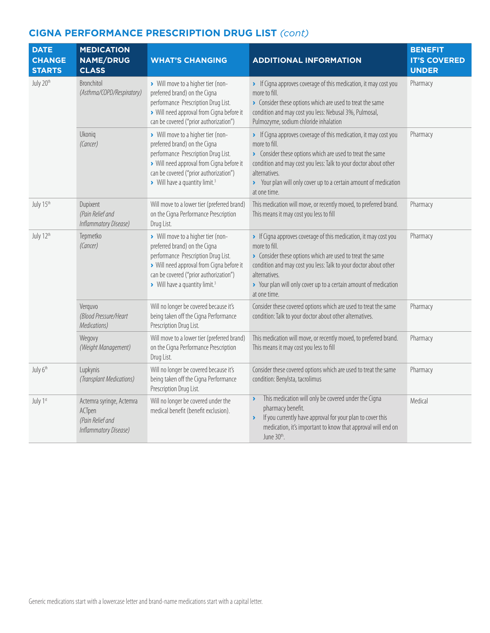| <b>DATE</b><br><b>CHANGE</b><br><b>STARTS</b> | <b>MEDICATION</b><br><b>NAME/DRUG</b><br><b>CLASS</b>                           | <b>WHAT'S CHANGING</b>                                                                                                                                                                                                                        | <b>ADDITIONAL INFORMATION</b>                                                                                                                                                                                                                                                                                           | <b>BENEFIT</b><br><b>IT'S COVERED</b><br><b>UNDER</b> |
|-----------------------------------------------|---------------------------------------------------------------------------------|-----------------------------------------------------------------------------------------------------------------------------------------------------------------------------------------------------------------------------------------------|-------------------------------------------------------------------------------------------------------------------------------------------------------------------------------------------------------------------------------------------------------------------------------------------------------------------------|-------------------------------------------------------|
| July 20 <sup>th</sup>                         | Bronchitol<br>(Asthma/COPD/Respiratory)                                         | > Will move to a higher tier (non-<br>preferred brand) on the Cigna<br>performance Prescription Drug List.<br>> Will need approval from Cigna before it<br>can be covered ("prior authorization")                                             | If Cigna approves coverage of this medication, it may cost you<br>more to fill.<br>> Consider these options which are used to treat the same<br>condition and may cost you less: Nebusal 3%, Pulmosal,<br>Pulmozyme, sodium chloride inhalation                                                                         | Pharmacy                                              |
|                                               | Ukoniq<br>(Cancer)                                                              | > Will move to a higher tier (non-<br>preferred brand) on the Cigna<br>performance Prescription Drug List.<br>> Will need approval from Cigna before it<br>can be covered ("prior authorization")<br>Will have a quantity limit. <sup>3</sup> | • If Cigna approves coverage of this medication, it may cost you<br>more to fill.<br>> Consider these options which are used to treat the same<br>condition and may cost you less: Talk to your doctor about other<br>alternatives.<br>> Your plan will only cover up to a certain amount of medication<br>at one time. | Pharmacy                                              |
| July 15th                                     | Dupixent<br>(Pain Relief and<br>Inflammatory Disease)                           | Will move to a lower tier (preferred brand)<br>on the Cigna Performance Prescription<br>Drug List.                                                                                                                                            | This medication will move, or recently moved, to preferred brand.<br>This means it may cost you less to fill                                                                                                                                                                                                            | Pharmacy                                              |
| July 12th                                     | Tepmetko<br>(Cancer)                                                            | > Will move to a higher tier (non-<br>preferred brand) on the Cigna<br>performance Prescription Drug List.<br>> Will need approval from Cigna before it<br>can be covered ("prior authorization")<br>Will have a quantity limit. <sup>3</sup> | If Cigna approves coverage of this medication, it may cost you<br>more to fill.<br>Consider these options which are used to treat the same<br>condition and may cost you less: Talk to your doctor about other<br>alternatives.<br>> Your plan will only cover up to a certain amount of medication<br>at one time.     | Pharmacy                                              |
|                                               | Verquvo<br>(Blood Pressure/Heart<br>Medications)                                | Will no longer be covered because it's<br>being taken off the Cigna Performance<br>Prescription Drug List.                                                                                                                                    | Consider these covered options which are used to treat the same<br>condition: Talk to your doctor about other alternatives.                                                                                                                                                                                             | Pharmacy                                              |
|                                               | Wegovy<br>(Weight Management)                                                   | Will move to a lower tier (preferred brand)<br>on the Cigna Performance Prescription<br>Drug List.                                                                                                                                            | This medication will move, or recently moved, to preferred brand.<br>This means it may cost you less to fill                                                                                                                                                                                                            | Pharmacy                                              |
| July 6th                                      | Lupkynis<br>(Transplant Medications)                                            | Will no longer be covered because it's<br>being taken off the Cigna Performance<br>Prescription Drug List.                                                                                                                                    | Consider these covered options which are used to treat the same<br>condition: Benylsta, tacrolimus                                                                                                                                                                                                                      | Pharmacy                                              |
| July 1st                                      | Actemra syringe, Actemra<br>ACTpen<br>(Pain Relief and<br>Inflammatory Disease) | Will no longer be covered under the<br>medical benefit (benefit exclusion).                                                                                                                                                                   | This medication will only be covered under the Cigna<br>$\blacktriangleright$<br>pharmacy benefit.<br>If you currently have approval for your plan to cover this<br>¥<br>medication, it's important to know that approval will end on<br>June 30th.                                                                     | Medical                                               |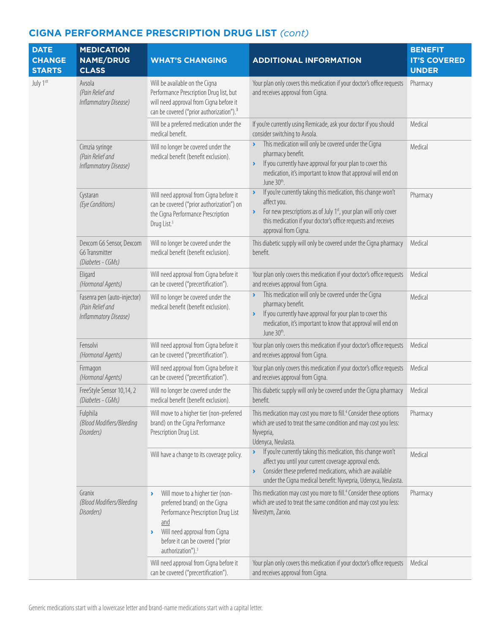| <b>DATE</b><br><b>CHANGE</b><br><b>STARTS</b> | <b>MEDICATION</b><br><b>NAME/DRUG</b><br><b>CLASS</b>                    | <b>WHAT'S CHANGING</b>                                                                                                                                                                                                    | <b>ADDITIONAL INFORMATION</b>                                                                                                                                                                                                                                                        | <b>BENEFIT</b><br><b>IT'S COVERED</b><br><b>UNDER</b> |
|-----------------------------------------------|--------------------------------------------------------------------------|---------------------------------------------------------------------------------------------------------------------------------------------------------------------------------------------------------------------------|--------------------------------------------------------------------------------------------------------------------------------------------------------------------------------------------------------------------------------------------------------------------------------------|-------------------------------------------------------|
| July 1stt                                     | Avsola<br>(Pain Relief and<br>Inflammatory Disease)                      | Will be available on the Cigna<br>Performance Prescription Drug list, but<br>will need approval from Cigna before it<br>can be covered ("prior authorization"). <sup>3</sup>                                              | Your plan only covers this medication if your doctor's office requests<br>and receives approval from Cigna.                                                                                                                                                                          | Pharmacy                                              |
|                                               |                                                                          | Will be a preferred medication under the<br>medical benefit.                                                                                                                                                              | If you're currently using Remicade, ask your doctor if you should<br>consider switching to Avsola.                                                                                                                                                                                   | Medical                                               |
|                                               | Cimzia syringe<br>(Pain Relief and<br>Inflammatory Disease)              | Will no longer be covered under the<br>medical benefit (benefit exclusion).                                                                                                                                               | This medication will only be covered under the Cigna<br>pharmacy benefit.<br>If you currently have approval for your plan to cover this<br>Y<br>medication, it's important to know that approval will end on<br>June 30th.                                                           | Medical                                               |
|                                               | Cystaran<br>(Eye Conditions)                                             | Will need approval from Cigna before it<br>can be covered ("prior authorization") on<br>the Cigna Performance Prescription<br>Drug List. <sup>3</sup>                                                                     | If you're currently taking this medication, this change won't<br>$\blacktriangleright$<br>affect you.<br>For new prescriptions as of July 1st, your plan will only cover<br>Y<br>this medication if your doctor's office requests and receives<br>approval from Cigna.               | Pharmacy                                              |
|                                               | Dexcom G6 Sensor, Dexcom<br>G6 Transmitter<br>(Diabetes - CGMs)          | Will no longer be covered under the<br>medical benefit (benefit exclusion).                                                                                                                                               | This diabetic supply will only be covered under the Cigna pharmacy<br>benefit.                                                                                                                                                                                                       | Medical                                               |
|                                               | Eligard<br>(Hormonal Agents)                                             | Will need approval from Cigna before it<br>can be covered ("precertification").                                                                                                                                           | Your plan only covers this medication if your doctor's office requests<br>and receives approval from Cigna.                                                                                                                                                                          | Medical                                               |
|                                               | Fasenra pen (auto-injector)<br>(Pain Relief and<br>Inflammatory Disease) | Will no longer be covered under the<br>medical benefit (benefit exclusion).                                                                                                                                               | This medication will only be covered under the Cigna<br>$\blacktriangleright$<br>pharmacy benefit.<br>If you currently have approval for your plan to cover this<br>$\blacktriangleright$<br>medication, it's important to know that approval will end on<br>June 30 <sup>th</sup> . | Medical                                               |
|                                               | Fensolvi<br>(Hormonal Agents)                                            | Will need approval from Cigna before it<br>can be covered ("precertification").                                                                                                                                           | Your plan only covers this medication if your doctor's office requests<br>and receives approval from Cigna.                                                                                                                                                                          | Medical                                               |
|                                               | Firmagon<br>(Hormonal Agents)                                            | Will need approval from Cigna before it<br>can be covered ("precertification").                                                                                                                                           | Your plan only covers this medication if your doctor's office requests<br>and receives approval from Cigna.                                                                                                                                                                          | Medical                                               |
|                                               | FreeStyle Sensor 10,14, 2<br>(Diabetes - CGMs)                           | Will no longer be covered under the<br>medical benefit (benefit exclusion).                                                                                                                                               | This diabetic supply will only be covered under the Cigna pharmacy<br>benefit.                                                                                                                                                                                                       | Medical                                               |
|                                               | Fulphila<br>(Blood Modifiers/Bleeding<br>Disorders)                      | Will move to a higher tier (non-preferred<br>brand) on the Cigna Performance<br>Prescription Drug List.                                                                                                                   | This medication may cost you more to fill. <sup>4</sup> Consider these options<br>which are used to treat the same condition and may cost you less:<br>Nyvepria,<br>Udenyca, Neulasta.                                                                                               | Pharmacy                                              |
|                                               |                                                                          | Will have a change to its coverage policy.                                                                                                                                                                                | If you're currently taking this medication, this change won't<br>×.<br>affect you until your current coverage approval ends.<br>Consider these preferred medications, which are available<br>$\blacktriangleright$<br>under the Cigna medical benefit: Nyvepria, Udenyca, Neulasta.  | Medical                                               |
|                                               | Granix<br>(Blood Modifiers/Bleeding<br>Disorders)                        | Will move to a higher tier (non-<br>preferred brand) on the Cigna<br>Performance Prescription Drug List<br>and<br>Will need approval from Cigna<br>٠<br>before it can be covered ("prior<br>authorization"). <sup>3</sup> | This medication may cost you more to fill. <sup>4</sup> Consider these options<br>which are used to treat the same condition and may cost you less:<br>Nivestym, Zarxio.                                                                                                             | Pharmacy                                              |
|                                               |                                                                          | Will need approval from Cigna before it<br>can be covered ("precertification").                                                                                                                                           | Your plan only covers this medication if your doctor's office requests<br>and receives approval from Cigna.                                                                                                                                                                          | Medical                                               |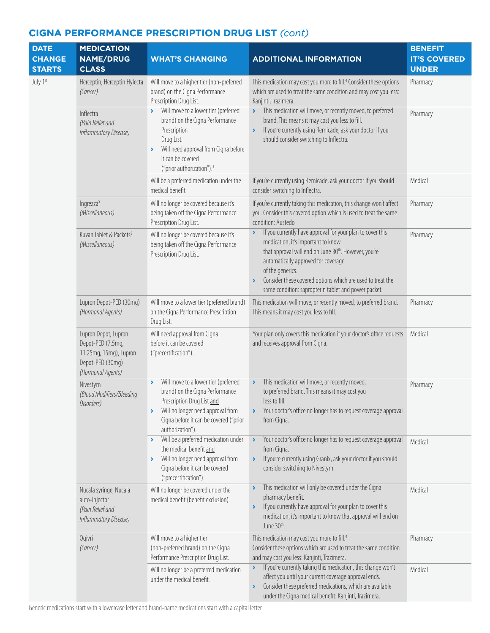| <b>DATE</b><br><b>CHANGE</b><br><b>STARTS</b> | <b>MEDICATION</b><br><b>NAME/DRUG</b><br><b>CLASS</b>                                                        | <b>WHAT'S CHANGING</b>                                                                                                                                                                                                                                        | <b>ADDITIONAL INFORMATION</b>                                                                                                                                                                                                                                                                                                                                                                                                                                                                                                                                   | <b>BENEFIT</b><br><b>IT'S COVERED</b><br><b>UNDER</b> |
|-----------------------------------------------|--------------------------------------------------------------------------------------------------------------|---------------------------------------------------------------------------------------------------------------------------------------------------------------------------------------------------------------------------------------------------------------|-----------------------------------------------------------------------------------------------------------------------------------------------------------------------------------------------------------------------------------------------------------------------------------------------------------------------------------------------------------------------------------------------------------------------------------------------------------------------------------------------------------------------------------------------------------------|-------------------------------------------------------|
| July 1st                                      | Herceptin, Herceptin Hylecta<br>(Cancer)                                                                     | Will move to a higher tier (non-preferred<br>brand) on the Cigna Performance<br>Prescription Drug List.                                                                                                                                                       | This medication may cost you more to fill. <sup>4</sup> Consider these options<br>which are used to treat the same condition and may cost you less:<br>Kanjinti, Trazimera.                                                                                                                                                                                                                                                                                                                                                                                     | Pharmacy                                              |
|                                               | Inflectra<br>(Pain Relief and<br>Inflammatory Disease)                                                       | Will move to a lower tier (preferred<br>$\blacktriangleright$<br>brand) on the Cigna Performance<br>Prescription<br>Drug List.<br>Will need approval from Cigna before<br>$\blacktriangleright$<br>it can be covered<br>("prior authorization"). <sup>3</sup> | This medication will move, or recently moved, to preferred<br>$\blacktriangleright$<br>brand. This means it may cost you less to fill.<br>If you're currently using Remicade, ask your doctor if you<br>$\blacktriangleright$<br>should consider switching to Inflectra.                                                                                                                                                                                                                                                                                        | Pharmacy                                              |
|                                               |                                                                                                              | Will be a preferred medication under the<br>medical benefit.                                                                                                                                                                                                  | If you're currently using Remicade, ask your doctor if you should<br>consider switching to Inflectra.                                                                                                                                                                                                                                                                                                                                                                                                                                                           | Medical                                               |
|                                               | Ingrezza <sup>5</sup><br>(Miscellaneous)                                                                     | Will no longer be covered because it's<br>being taken off the Cigna Performance<br>Prescription Drug List.                                                                                                                                                    | If you're currently taking this medication, this change won't affect<br>you. Consider this covered option which is used to treat the same<br>condition: Austedo.<br>If you currently have approval for your plan to cover this<br>$\blacktriangleright$<br>medication, it's important to know<br>that approval will end on June 30th. However, you're<br>automatically approved for coverage<br>of the generics.<br>Consider these covered options which are used to treat the<br>$\blacktriangleright$<br>same condition: sapropterin tablet and power packet. | Pharmacy                                              |
|                                               | Kuvan Tablet & Packets <sup>5</sup><br>(Miscellaneous)                                                       | Will no longer be covered because it's<br>being taken off the Cigna Performance<br>Prescription Drug List.                                                                                                                                                    |                                                                                                                                                                                                                                                                                                                                                                                                                                                                                                                                                                 | Pharmacy                                              |
|                                               | Lupron Depot-PED (30mg)<br>(Hormonal Agents)                                                                 | Will move to a lower tier (preferred brand)<br>on the Cigna Performance Prescription<br>Drug List.                                                                                                                                                            | This medication will move, or recently moved, to preferred brand.<br>This means it may cost you less to fill.                                                                                                                                                                                                                                                                                                                                                                                                                                                   | Pharmacy                                              |
|                                               | Lupron Depot, Lupron<br>Depot-PED (7.5mg,<br>11.25mg, 15mg), Lupron<br>Depot-PED (30mg)<br>(Hormonal Agents) | Will need approval from Cigna<br>before it can be covered<br>("precertification").                                                                                                                                                                            | Your plan only covers this medication if your doctor's office requests<br>and receives approval from Cigna.                                                                                                                                                                                                                                                                                                                                                                                                                                                     | Medical                                               |
|                                               | Nivestym<br>(Blood Modifiers/Bleeding<br>Disorders)                                                          | Will move to a lower tier (preferred<br>brand) on the Cigna Performance<br>Prescription Drug List and<br>Will no longer need approval from<br>Cigna before it can be covered ("prior<br>authorization").                                                      | This medication will move, or recently moved,<br>$\blacktriangleright$<br>to preferred brand. This means it may cost you<br>less to fill.<br>Your doctor's office no longer has to request coverage approval<br>$\blacktriangleright$<br>from Cigna.                                                                                                                                                                                                                                                                                                            | Pharmacy                                              |
|                                               |                                                                                                              | Will be a preferred medication under<br>$\blacktriangleright$<br>the medical benefit and<br>Will no longer need approval from<br>$\blacktriangleright$<br>Cigna before it can be covered<br>("precertification").                                             | Your doctor's office no longer has to request coverage approval<br>$\blacktriangleright$<br>from Cigna.<br>If you're currently using Granix, ask your doctor if you should<br>$\blacktriangleright$<br>consider switching to Nivestym.                                                                                                                                                                                                                                                                                                                          | Medical                                               |
|                                               | Nucala syringe, Nucala<br>auto-injector<br>(Pain Relief and<br>Inflammatory Disease)                         | Will no longer be covered under the<br>medical benefit (benefit exclusion).                                                                                                                                                                                   | This medication will only be covered under the Cigna<br>$\blacktriangleright$<br>pharmacy benefit.<br>If you currently have approval for your plan to cover this<br>$\blacktriangleright$<br>medication, it's important to know that approval will end on<br>June 30th.                                                                                                                                                                                                                                                                                         | Medical                                               |
|                                               | Ogivri<br>(Cancer)                                                                                           | Will move to a higher tier<br>(non-preferred brand) on the Cigna<br>Performance Prescription Drug List.                                                                                                                                                       | This medication may cost you more to fill. <sup>4</sup><br>Consider these options which are used to treat the same condition<br>and may cost you less: Kanjinti, Trazimera.                                                                                                                                                                                                                                                                                                                                                                                     | Pharmacy                                              |
|                                               |                                                                                                              | Will no longer be a preferred medication<br>under the medical benefit.                                                                                                                                                                                        | If you're currently taking this medication, this change won't<br>$\blacktriangleright$<br>affect you until your current coverage approval ends.<br>Consider these preferred medications, which are available<br>$\blacktriangleright$<br>under the Cigna medical benefit: Kanjinti, Trazimera.                                                                                                                                                                                                                                                                  | Medical                                               |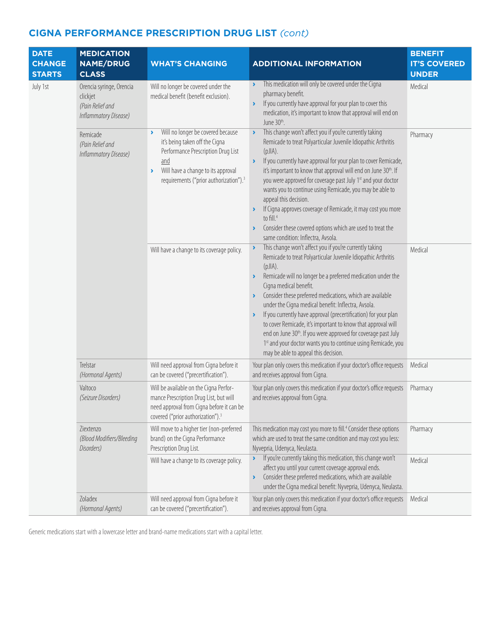| <b>DATE</b><br><b>CHANGE</b><br><b>STARTS</b> | <b>MEDICATION</b><br><b>NAME/DRUG</b><br><b>CLASS</b>                             | <b>WHAT'S CHANGING</b>                                                                                                                                                                                                                                                                               | <b>ADDITIONAL INFORMATION</b>                                                                                                                                                                                                                                                                                                                                                                                                                                                                                                                                                                                                                                                                                                                                                                                                                                                                                                                                                                                                                                                                                                                                                                                                                                                                                                                                                                                                                                     | <b>BENEFIT</b><br><b>IT'S COVERED</b><br><b>UNDER</b> |
|-----------------------------------------------|-----------------------------------------------------------------------------------|------------------------------------------------------------------------------------------------------------------------------------------------------------------------------------------------------------------------------------------------------------------------------------------------------|-------------------------------------------------------------------------------------------------------------------------------------------------------------------------------------------------------------------------------------------------------------------------------------------------------------------------------------------------------------------------------------------------------------------------------------------------------------------------------------------------------------------------------------------------------------------------------------------------------------------------------------------------------------------------------------------------------------------------------------------------------------------------------------------------------------------------------------------------------------------------------------------------------------------------------------------------------------------------------------------------------------------------------------------------------------------------------------------------------------------------------------------------------------------------------------------------------------------------------------------------------------------------------------------------------------------------------------------------------------------------------------------------------------------------------------------------------------------|-------------------------------------------------------|
| July 1st                                      | Orencia syringe, Orencia<br>clickjet<br>(Pain Relief and<br>Inflammatory Disease) | Will no longer be covered under the<br>medical benefit (benefit exclusion).                                                                                                                                                                                                                          | This medication will only be covered under the Cigna<br>$\blacktriangleright$<br>pharmacy benefit.<br>If you currently have approval for your plan to cover this<br>$\blacktriangleright$<br>medication, it's important to know that approval will end on<br>June 30th.                                                                                                                                                                                                                                                                                                                                                                                                                                                                                                                                                                                                                                                                                                                                                                                                                                                                                                                                                                                                                                                                                                                                                                                           | Medical                                               |
|                                               | Remicade<br>(Pain Relief and<br>Inflammatory Disease)                             | Will no longer be covered because<br>$\rightarrow$<br>it's being taken off the Cigna<br>Performance Prescription Drug List<br>and<br>Will have a change to its approval<br>$\blacktriangleright$<br>requirements ("prior authorization"). <sup>3</sup><br>Will have a change to its coverage policy. | This change won't affect you if you're currently taking<br>$\blacktriangleright$<br>Remicade to treat Polyarticular Juvenile Idiopathic Arthritis<br>$(pJIA)$ .<br>If you currently have approval for your plan to cover Remicade,<br>$\blacktriangleright$<br>it's important to know that approval will end on June 30th. If<br>you were approved for coverage past July 1st and your doctor<br>wants you to continue using Remicade, you may be able to<br>appeal this decision.<br>If Cigna approves coverage of Remicade, it may cost you more<br>to fill. <sup>4</sup><br>Consider these covered options which are used to treat the<br>$\blacktriangleright$<br>same condition: Inflectra, Avsola.<br>This change won't affect you if you're currently taking<br>$\blacktriangleright$<br>Remicade to treat Polyarticular Juvenile Idiopathic Arthritis<br>(pJIA).<br>Remicade will no longer be a preferred medication under the<br>$\blacktriangleright$<br>Cigna medical benefit.<br>Consider these preferred medications, which are available<br>under the Cigna medical benefit: Inflectra, Avsola.<br>If you currently have approval (precertification) for your plan<br>$\blacktriangleright$<br>to cover Remicade, it's important to know that approval will<br>end on June 30 <sup>th</sup> . If you were approved for coverage past July<br>1st and your doctor wants you to continue using Remicade, you<br>may be able to appeal this decision. | Pharmacy<br>Medical                                   |
|                                               | Trelstar<br>(Hormonal Agents)                                                     | Will need approval from Cigna before it<br>can be covered ("precertification").                                                                                                                                                                                                                      | Your plan only covers this medication if your doctor's office requests<br>and receives approval from Cigna.                                                                                                                                                                                                                                                                                                                                                                                                                                                                                                                                                                                                                                                                                                                                                                                                                                                                                                                                                                                                                                                                                                                                                                                                                                                                                                                                                       | Medical                                               |
|                                               | Valtoco<br>(Seizure Disorders)                                                    | Will be available on the Cigna Perfor-<br>mance Prescription Drug List, but will<br>need approval from Cigna before it can be<br>covered ("prior authorization"). <sup>3</sup>                                                                                                                       | Your plan only covers this medication if your doctor's office requests<br>and receives approval from Cigna.                                                                                                                                                                                                                                                                                                                                                                                                                                                                                                                                                                                                                                                                                                                                                                                                                                                                                                                                                                                                                                                                                                                                                                                                                                                                                                                                                       | Pharmacy                                              |
|                                               | Ziextenzo<br>(Blood Modifiers/Bleeding<br>Disorders)                              | Will move to a higher tier (non-preferred<br>brand) on the Cigna Performance<br>Prescription Drug List.                                                                                                                                                                                              | This medication may cost you more to fill. <sup>4</sup> Consider these options<br>which are used to treat the same condition and may cost you less:<br>Nyvepria, Udenyca, Neulasta.                                                                                                                                                                                                                                                                                                                                                                                                                                                                                                                                                                                                                                                                                                                                                                                                                                                                                                                                                                                                                                                                                                                                                                                                                                                                               | Pharmacy                                              |
|                                               |                                                                                   | Will have a change to its coverage policy.                                                                                                                                                                                                                                                           | If you're currently taking this medication, this change won't<br>$\blacktriangleright$<br>affect you until your current coverage approval ends.<br>Consider these preferred medications, which are available<br>$\blacktriangleright$<br>under the Cigna medical benefit: Nyvepria, Udenyca, Neulasta.                                                                                                                                                                                                                                                                                                                                                                                                                                                                                                                                                                                                                                                                                                                                                                                                                                                                                                                                                                                                                                                                                                                                                            | Medical                                               |
|                                               | Zoladex<br>(Hormonal Agents)                                                      | Will need approval from Cigna before it<br>can be covered ("precertification").                                                                                                                                                                                                                      | Your plan only covers this medication if your doctor's office requests<br>and receives approval from Cigna.                                                                                                                                                                                                                                                                                                                                                                                                                                                                                                                                                                                                                                                                                                                                                                                                                                                                                                                                                                                                                                                                                                                                                                                                                                                                                                                                                       | Medical                                               |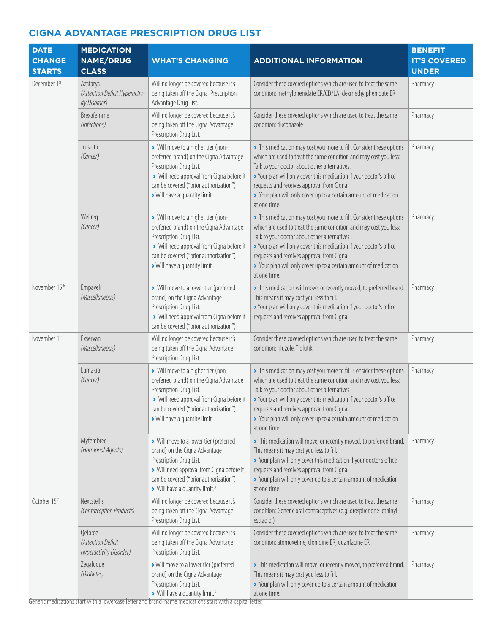| <b>DATE</b><br><b>CHANGE</b><br><b>STARTS</b> | <b>MEDICATION</b><br><b>NAME/DRUG</b><br><b>CLASS</b>       | <b>WHAT'S CHANGING</b>                                                                                                                                                                                                                  | <b>ADDITIONAL INFORMATION</b>                                                                                                                                                                                                                                                                                                                                                                      | <b>BENEFIT</b><br><b>IT'S COVERED</b><br><b>UNDER</b> |
|-----------------------------------------------|-------------------------------------------------------------|-----------------------------------------------------------------------------------------------------------------------------------------------------------------------------------------------------------------------------------------|----------------------------------------------------------------------------------------------------------------------------------------------------------------------------------------------------------------------------------------------------------------------------------------------------------------------------------------------------------------------------------------------------|-------------------------------------------------------|
| December 1st                                  | Azstarys<br>(Attention Deficit Hyperactiv-<br>ity Disorder) | Will no longer be covered because it's<br>being taken off the Cigna Prescription<br>Advantage Drug List.                                                                                                                                | Consider these covered options which are used to treat the same<br>condition: methylphenidate ER/CD/LA; dexmethylphenidate ER                                                                                                                                                                                                                                                                      | Pharmacy                                              |
|                                               | Brexafemme<br>(Infections)                                  | Will no longer be covered because it's<br>being taken off the Cigna Advantage<br>Prescription Drug List.                                                                                                                                | Consider these covered options which are used to treat the same<br>condition: fluconazole                                                                                                                                                                                                                                                                                                          | Pharmacy                                              |
|                                               | Truseltig<br>(Cancer)                                       | > Will move to a higher tier (non-<br>preferred brand) on the Cigna Advantage<br>Prescription Drug List.<br>> Will need approval from Cigna before it<br>can be covered ("prior authorization")<br>> Will have a quantity limit.        | > This medication may cost you more to fill. Consider these options<br>which are used to treat the same condition and may cost you less:<br>Talk to your doctor about other alternatives.<br>> Your plan will only cover this medication if your doctor's office<br>requests and receives approval from Cigna.<br>> Your plan will only cover up to a certain amount of medication<br>at one time. | Pharmacy                                              |
|                                               | Welireg<br>(Cancer)                                         | > Will move to a higher tier (non-<br>preferred brand) on the Cigna Advantage<br>Prescription Drug List.<br>> Will need approval from Cigna before it<br>can be covered ("prior authorization")<br>> Will have a quantity limit.        | > This medication may cost you more to fill. Consider these options<br>which are used to treat the same condition and may cost you less:<br>Talk to your doctor about other alternatives.<br>> Your plan will only cover this medication if your doctor's office<br>requests and receives approval from Cigna.<br>> Your plan will only cover up to a certain amount of medication<br>at one time. | Pharmacy                                              |
| November 15th                                 | Empaveli<br>(Miscellaneous)                                 | > Will move to a lower tier (preferred<br>brand) on the Cigna Advantage<br>Prescription Drug List.<br>> Will need approval from Cigna before it<br>can be covered ("prior authorization")                                               | > This medication will move, or recently moved, to preferred brand.<br>This means it may cost you less to fill.<br>> Your plan will only cover this medication if your doctor's office<br>requests and receives approval from Cigna.                                                                                                                                                               | Pharmacy                                              |
| November 1st                                  | Exservan<br>(Miscellaneous)                                 | Will no longer be covered because it's<br>being taken off the Cigna Advantage<br>Prescription Drug List.                                                                                                                                | Consider these covered options which are used to treat the same<br>condition: riluzole, Tiglutik                                                                                                                                                                                                                                                                                                   | Pharmacy                                              |
|                                               | Lumakra<br>(Cancer)                                         | > Will move to a higher tier (non-<br>preferred brand) on the Cigna Advantage<br>Prescription Drug List.<br>> Will need approval from Cigna before it<br>can be covered ("prior authorization")<br>> Will have a quantity limit.        | > This medication may cost you more to fill. Consider these options<br>which are used to treat the same condition and may cost you less:<br>Talk to your doctor about other alternatives.<br>> Your plan will only cover this medication if your doctor's office<br>requests and receives approval from Cigna.<br>> Your plan will only cover up to a certain amount of medication<br>at one time. | Pharmacy                                              |
|                                               | Myfembree<br>(Hormonal Agents)                              | > Will move to a lower tier (preferred<br>brand) on the Cigna Advantage<br>Prescription Drug List.<br>> Will need approval from Cigna before it<br>can be covered ("prior authorization")<br>> Will have a quantity limit. <sup>3</sup> | > This medication will move, or recently moved, to preferred brand.<br>This means it may cost you less to fill.<br>> Your plan will only cover this medication if your doctor's office<br>requests and receives approval from Cigna.<br>> Your plan will only cover up to a certain amount of medication<br>at one time.                                                                           | Pharmacy                                              |
| October 15th                                  | <b>Nextstellis</b><br>(Contraception Products)              | Will no longer be covered because it's<br>being taken off the Cigna Advantage<br>Prescription Drug List.                                                                                                                                | Consider these covered options which are used to treat the same<br>condition: Generic oral contraceptives (e.g. drospirenone-ethinyl<br>estradiol)                                                                                                                                                                                                                                                 | Pharmacy                                              |
|                                               | Qelbree<br>(Attention Deficit<br>Hyperactivity Disorder)    | Will no longer be covered because it's<br>being taken off the Cigna Advantage<br>Prescription Drug List.                                                                                                                                | Consider these covered options which are used to treat the same<br>condition: atomoxetine, clonidine ER, quanfacine ER                                                                                                                                                                                                                                                                             | Pharmacy                                              |
|                                               | Zegalogue<br>(Diabetes)                                     | > Will move to a lower tier (preferred<br>brand) on the Cigna Advantage<br>Prescription Drug List.<br>> Will have a quantity limit. <sup>3</sup>                                                                                        | > This medication will move, or recently moved, to preferred brand.<br>This means it may cost you less to fill.<br>> Your plan will only cover up to a certain amount of medication<br>at one time.                                                                                                                                                                                                | Pharmacy                                              |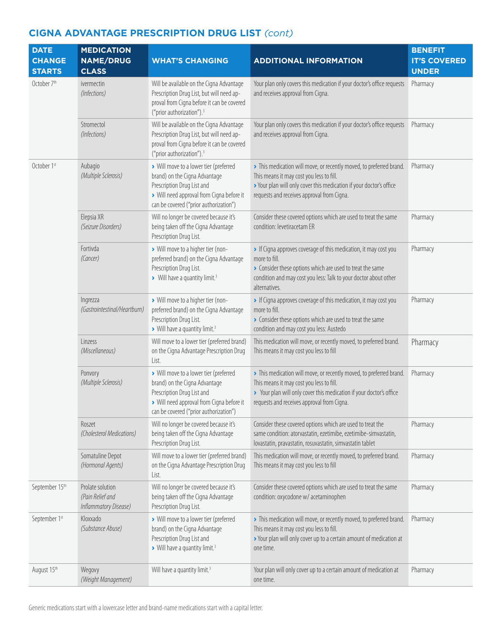| <b>DATE</b><br><b>CHANGE</b> | <b>MEDICATION</b><br><b>NAME/DRUG</b>                         | <b>WHAT'S CHANGING</b>                                                                                                                                                                       | <b>ADDITIONAL INFORMATION</b>                                                                                                                                                                                                        | <b>BENEFIT</b><br><b>IT'S COVERED</b> |
|------------------------------|---------------------------------------------------------------|----------------------------------------------------------------------------------------------------------------------------------------------------------------------------------------------|--------------------------------------------------------------------------------------------------------------------------------------------------------------------------------------------------------------------------------------|---------------------------------------|
| <b>STARTS</b>                | <b>CLASS</b>                                                  |                                                                                                                                                                                              |                                                                                                                                                                                                                                      | <b>UNDER</b>                          |
| October 7 <sup>th</sup>      | ivermectin<br>(Infections)                                    | Will be available on the Cigna Advantage<br>Prescription Drug List, but will need ap-<br>proval from Cigna before it can be covered<br>("prior authorization"). <sup>3</sup>                 | Your plan only covers this medication if your doctor's office requests<br>and receives approval from Cigna.                                                                                                                          | Pharmacy                              |
|                              | Stromectol<br>(Infections)                                    | Will be available on the Cigna Advantage<br>Prescription Drug List, but will need ap-<br>proval from Cigna before it can be covered<br>("prior authorization"). <sup>3</sup>                 | Your plan only covers this medication if your doctor's office requests<br>and receives approval from Cigna.                                                                                                                          | Pharmacy                              |
| October 1st                  | Aubagio<br>(Multiple Sclerosis)                               | > Will move to a lower tier (preferred<br>brand) on the Cigna Advantage<br>Prescription Drug List and<br>> Will need approval from Cigna before it<br>can be covered ("prior authorization") | > This medication will move, or recently moved, to preferred brand.<br>This means it may cost you less to fill.<br>> Your plan will only cover this medication if your doctor's office<br>requests and receives approval from Cigna. | Pharmacy                              |
|                              | Elepsia XR<br>(Seizure Disorders)                             | Will no longer be covered because it's<br>being taken off the Cigna Advantage<br>Prescription Drug List.                                                                                     | Consider these covered options which are used to treat the same<br>condition: levetiracetam ER                                                                                                                                       | Pharmacy                              |
|                              | Fortivda<br>(Cancer)                                          | > Will move to a higher tier (non-<br>preferred brand) on the Cigna Advantage<br>Prescription Drug List.<br>> Will have a quantity limit. <sup>3</sup>                                       | If Cigna approves coverage of this medication, it may cost you<br>more to fill.<br>• Consider these options which are used to treat the same<br>condition and may cost you less: Talk to your doctor about other<br>alternatives.    | Pharmacy                              |
|                              | Ingrezza<br>(Gastrointestinal/Heartburn)                      | > Will move to a higher tier (non-<br>preferred brand) on the Cigna Advantage<br>Prescription Drug List.<br>> Will have a quantity limit. <sup>3</sup>                                       | If Cigna approves coverage of this medication, it may cost you<br>more to fill.<br>• Consider these options which are used to treat the same<br>condition and may cost you less: Austedo                                             | Pharmacy                              |
|                              | Linzess<br>(Miscellaneous)                                    | Will move to a lower tier (preferred brand)<br>on the Cigna Advantage Prescription Drug<br>List.                                                                                             | This medication will move, or recently moved, to preferred brand.<br>This means it may cost you less to fill                                                                                                                         | Pharmacy                              |
|                              | Ponvory<br>(Multiple Sclerosis)                               | > Will move to a lower tier (preferred<br>brand) on the Cigna Advantage<br>Prescription Drug List and<br>> Will need approval from Cigna before it<br>can be covered ("prior authorization") | > This medication will move, or recently moved, to preferred brand.<br>This means it may cost you less to fill.<br>> Your plan will only cover this medication if your doctor's office<br>requests and receives approval from Cigna. | Pharmacy                              |
|                              | Roszet<br>(Cholesterol Medications)                           | Will no longer be covered because it's<br>being taken off the Cigna Advantage<br>Prescription Drug List.                                                                                     | Consider these covered options which are used to treat the<br>same condition: atorvastatin, ezetimibe, ezetimibe-simvastatin,<br>lovastatin, pravastatin, rosuvastatin, simvastatin tablet                                           | Pharmacy                              |
|                              | Somatuline Depot<br>(Hormonal Agents)                         | Will move to a lower tier (preferred brand)<br>on the Cigna Advantage Prescription Drug<br>List.                                                                                             | This medication will move, or recently moved, to preferred brand.<br>This means it may cost you less to fill                                                                                                                         | Pharmacy                              |
| September 15th               | Prolate solution<br>(Pain Relief and<br>Inflammatory Disease) | Will no longer be covered because it's<br>being taken off the Cigna Advantage<br>Prescription Drug List.                                                                                     | Consider these covered options which are used to treat the same<br>condition: oxycodone w/ acetaminophen                                                                                                                             | Pharmacy                              |
| September 1st                | Kloxxado<br>(Substance Abuse)                                 | > Will move to a lower tier (preferred<br>brand) on the Cigna Advantage<br>Prescription Drug List and<br>> Will have a quantity limit. <sup>3</sup>                                          | > This medication will move, or recently moved, to preferred brand.<br>This means it may cost you less to fill.<br>> Your plan will only cover up to a certain amount of medication at<br>one time.                                  | Pharmacy                              |
| August 15th                  | Wegovy<br>(Weight Management)                                 | Will have a quantity limit. <sup>3</sup>                                                                                                                                                     | Your plan will only cover up to a certain amount of medication at<br>one time.                                                                                                                                                       | Pharmacy                              |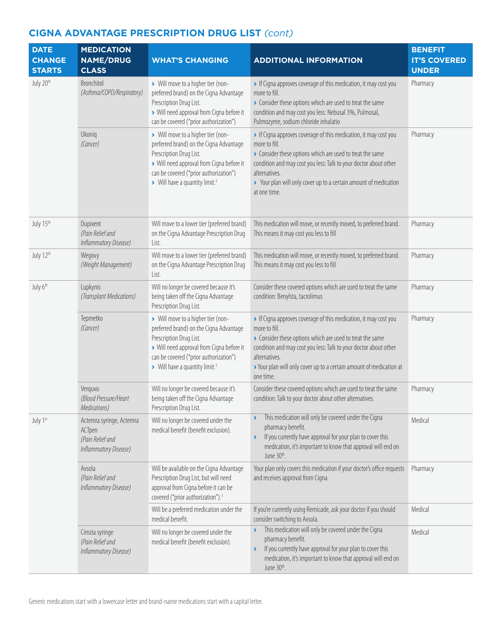| <b>DATE</b><br><b>CHANGE</b><br><b>STARTS</b> | <b>MEDICATION</b><br><b>NAME/DRUG</b><br><b>CLASS</b>                           | <b>WHAT'S CHANGING</b>                                                                                                                                                                                                                        | <b>ADDITIONAL INFORMATION</b>                                                                                                                                                                                                                                                                                       | <b>BENEFIT</b><br><b>IT'S COVERED</b><br><b>UNDER</b> |
|-----------------------------------------------|---------------------------------------------------------------------------------|-----------------------------------------------------------------------------------------------------------------------------------------------------------------------------------------------------------------------------------------------|---------------------------------------------------------------------------------------------------------------------------------------------------------------------------------------------------------------------------------------------------------------------------------------------------------------------|-------------------------------------------------------|
| July 20th                                     | Bronchitol<br>(Asthma/COPD/Respiratory)                                         | > Will move to a higher tier (non-<br>preferred brand) on the Cigna Advantage<br>Prescription Drug List.<br>> Will need approval from Cigna before it<br>can be covered ("prior authorization")                                               | If Cigna approves coverage of this medication, it may cost you<br>more to fill.<br>• Consider these options which are used to treat the same<br>condition and may cost you less: Nebusal 3%, Pulmosal,<br>Pulmozyme, sodium chloride inhalatio                                                                      | Pharmacy                                              |
|                                               | Ukoniq<br>(Cancer)                                                              | > Will move to a higher tier (non-<br>preferred brand) on the Cigna Advantage<br>Prescription Drug List.<br>> Will need approval from Cigna before it<br>can be covered ("prior authorization")<br>> Will have a quantity limit. <sup>3</sup> | If Cigna approves coverage of this medication, it may cost you<br>more to fill.<br>Consider these options which are used to treat the same<br>condition and may cost you less: Talk to your doctor about other<br>alternatives.<br>> Your plan will only cover up to a certain amount of medication<br>at one time. | Pharmacy                                              |
| July 15th                                     | Dupixent<br>(Pain Relief and<br>Inflammatory Disease)                           | Will move to a lower tier (preferred brand)<br>on the Cigna Advantage Prescription Drug<br>List.                                                                                                                                              | This medication will move, or recently moved, to preferred brand.<br>This means it may cost you less to fill                                                                                                                                                                                                        | Pharmacy                                              |
| July 12th                                     | Wegovy<br>(Weight Management)                                                   | Will move to a lower tier (preferred brand)<br>on the Cigna Advantage Prescription Drug<br>List.                                                                                                                                              | This medication will move, or recently moved, to preferred brand.<br>This means it may cost you less to fill                                                                                                                                                                                                        | Pharmacy                                              |
| July 6 <sup>th</sup>                          | Lupkynis<br>(Transplant Medications)                                            | Will no longer be covered because it's<br>being taken off the Cigna Advantage<br>Prescription Drug List.                                                                                                                                      | Consider these covered options which are used to treat the same<br>condition: Benylsta, tacrolimus                                                                                                                                                                                                                  | Pharmacy                                              |
|                                               | Tepmetko<br>(Cancer)                                                            | > Will move to a higher tier (non-<br>preferred brand) on the Cigna Advantage<br>Prescription Drug List.<br>> Will need approval from Cigna before it<br>can be covered ("prior authorization")<br>> Will have a quantity limit. <sup>3</sup> | If Cigna approves coverage of this medication, it may cost you<br>more to fill.<br>Consider these options which are used to treat the same<br>condition and may cost you less: Talk to your doctor about other<br>alternatives.<br>> Your plan will only cover up to a certain amount of medication at<br>one time. | Pharmacy                                              |
|                                               | Verquvo<br>(Blood Pressure/Heart<br>Medications)                                | Will no longer be covered because it's<br>being taken off the Cigna Advantage<br>Prescription Drug List.                                                                                                                                      | Consider these covered options which are used to treat the same<br>condition: Talk to your doctor about other alternatives.                                                                                                                                                                                         | Pharmacy                                              |
| July 1st                                      | Actemra syringe, Actemra<br>ACTpen<br>(Pain Relief and<br>Inflammatory Disease) | Will no longer be covered under the<br>medical benefit (benefit exclusion).                                                                                                                                                                   | This medication will only be covered under the Cigna<br>pharmacy benefit.<br>If you currently have approval for your plan to cover this<br>×<br>medication, it's important to know that approval will end on<br>June 30th.                                                                                          | Medical                                               |
|                                               | Avsola<br>(Pain Relief and<br>Inflammatory Disease)                             | Will be available on the Cigna Advantage<br>Prescription Drug List, but will need<br>approval from Cigna before it can be<br>covered ("prior authorization"). <sup>3</sup>                                                                    | Your plan only covers this medication if your doctor's office requests<br>and receives approval from Cigna.                                                                                                                                                                                                         | Pharmacy                                              |
|                                               |                                                                                 | Will be a preferred medication under the<br>medical benefit.                                                                                                                                                                                  | If you're currently using Remicade, ask your doctor if you should<br>consider switching to Avsola.                                                                                                                                                                                                                  | Medical                                               |
|                                               | Cimzia syringe<br>(Pain Relief and<br>Inflammatory Disease)                     | Will no longer be covered under the<br>medical benefit (benefit exclusion).                                                                                                                                                                   | This medication will only be covered under the Cigna<br>Y<br>pharmacy benefit.<br>If you currently have approval for your plan to cover this<br>×<br>medication, it's important to know that approval will end on<br>June 30th.                                                                                     | Medical                                               |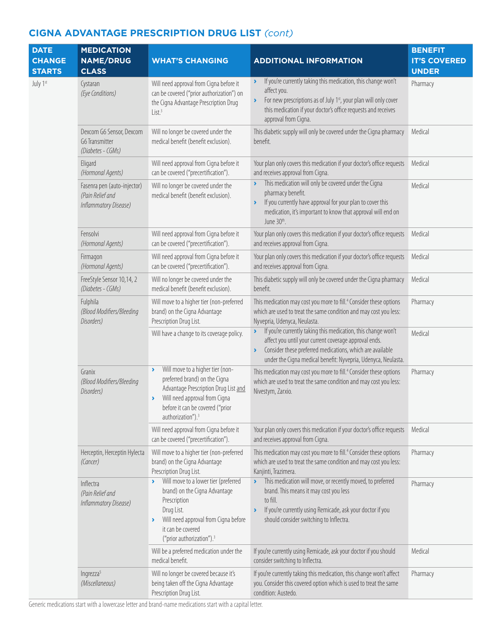| <b>DATE</b><br><b>CHANGE</b><br><b>STARTS</b> | <b>MEDICATION</b><br><b>NAME/DRUG</b><br><b>CLASS</b>                    | <b>WHAT'S CHANGING</b>                                                                                                                                                                                                              | <b>ADDITIONAL INFORMATION</b>                                                                                                                                                                                                                                                                           | <b>BENEFIT</b><br><b>IT'S COVERED</b><br><b>UNDER</b> |
|-----------------------------------------------|--------------------------------------------------------------------------|-------------------------------------------------------------------------------------------------------------------------------------------------------------------------------------------------------------------------------------|---------------------------------------------------------------------------------------------------------------------------------------------------------------------------------------------------------------------------------------------------------------------------------------------------------|-------------------------------------------------------|
| July 1st                                      | Cystaran<br>(Eye Conditions)                                             | Will need approval from Cigna before it<br>can be covered ("prior authorization") on<br>the Cigna Advantage Prescription Drug<br>List <sup>3</sup>                                                                                  | If you're currently taking this medication, this change won't<br>$\blacktriangleright$<br>affect you.<br>For new prescriptions as of July 1 <sup>st</sup> , your plan will only cover<br>$\blacktriangleright$<br>this medication if your doctor's office requests and receives<br>approval from Cigna. | Pharmacy                                              |
|                                               | Dexcom G6 Sensor, Dexcom<br>G6 Transmitter<br>(Diabetes - CGMs)          | Will no longer be covered under the<br>medical benefit (benefit exclusion).                                                                                                                                                         | This diabetic supply will only be covered under the Cigna pharmacy<br>benefit.                                                                                                                                                                                                                          | Medical                                               |
|                                               | Eligard<br>(Hormonal Agents)                                             | Will need approval from Cigna before it<br>can be covered ("precertification").                                                                                                                                                     | Your plan only covers this medication if your doctor's office requests<br>and receives approval from Cigna.                                                                                                                                                                                             | Medical                                               |
|                                               | Fasenra pen (auto-injector)<br>(Pain Relief and<br>Inflammatory Disease) | Will no longer be covered under the<br>medical benefit (benefit exclusion).                                                                                                                                                         | This medication will only be covered under the Cigna<br>pharmacy benefit.<br>If you currently have approval for your plan to cover this<br>$\blacktriangleright$<br>medication, it's important to know that approval will end on<br>June 30th.                                                          | Medical                                               |
|                                               | Fensolvi<br>(Hormonal Agents)                                            | Will need approval from Cigna before it<br>can be covered ("precertification").                                                                                                                                                     | Your plan only covers this medication if your doctor's office requests<br>and receives approval from Cigna.                                                                                                                                                                                             | Medical                                               |
|                                               | Firmagon<br>(Hormonal Agents)                                            | Will need approval from Cigna before it<br>can be covered ("precertification").                                                                                                                                                     | Your plan only covers this medication if your doctor's office requests<br>and receives approval from Cigna.                                                                                                                                                                                             | Medical                                               |
|                                               | FreeStyle Sensor 10,14, 2<br>(Diabetes - CGMs)                           | Will no longer be covered under the<br>medical benefit (benefit exclusion).                                                                                                                                                         | This diabetic supply will only be covered under the Cigna pharmacy<br>benefit.                                                                                                                                                                                                                          | Medical                                               |
|                                               | Fulphila<br>(Blood Modifiers/Bleeding<br>Disorders)                      | Will move to a higher tier (non-preferred<br>brand) on the Cigna Advantage<br>Prescription Drug List.                                                                                                                               | This medication may cost you more to fill. <sup>4</sup> Consider these options<br>which are used to treat the same condition and may cost you less:<br>Nyvepria, Udenyca, Neulasta.                                                                                                                     | Pharmacy                                              |
|                                               |                                                                          | Will have a change to its coverage policy.                                                                                                                                                                                          | If you're currently taking this medication, this change won't<br>$\blacktriangleright$<br>affect you until your current coverage approval ends.<br>Consider these preferred medications, which are available<br>$\blacktriangleright$<br>under the Cigna medical benefit: Nyvepria, Udenyca, Neulasta.  | Medical                                               |
|                                               | Granix<br>(Blood Modifiers/Bleeding<br>Disorders)                        | Will move to a higher tier (non-<br>×<br>preferred brand) on the Cigna<br>Advantage Prescription Drug List and<br>Will need approval from Cigna<br>×.<br>before it can be covered ("prior<br>authorization"). <sup>3</sup>          | This medication may cost you more to fill. <sup>4</sup> Consider these options<br>which are used to treat the same condition and may cost you less:<br>Nivestym, Zarxio.                                                                                                                                | Pharmacy                                              |
|                                               |                                                                          | Will need approval from Cigna before it<br>can be covered ("precertification").                                                                                                                                                     | Your plan only covers this medication if your doctor's office requests<br>and receives approval from Cigna.                                                                                                                                                                                             | Medical                                               |
|                                               | Herceptin, Herceptin Hylecta<br>(Cancer)                                 | Will move to a higher tier (non-preferred<br>brand) on the Cigna Advantage<br>Prescription Drug List.                                                                                                                               | This medication may cost you more to fill. <sup>4</sup> Consider these options<br>which are used to treat the same condition and may cost you less:<br>Kanjinti, Trazimera.                                                                                                                             | Pharmacy                                              |
|                                               | Inflectra<br>(Pain Relief and<br>Inflammatory Disease)                   | Will move to a lower tier (preferred<br>$\sum_{i=1}^{n}$<br>brand) on the Cigna Advantage<br>Prescription<br>Drug List.<br>Will need approval from Cigna before<br>×.<br>it can be covered<br>("prior authorization"). <sup>3</sup> | This medication will move, or recently moved, to preferred<br>$\blacktriangleright$<br>brand. This means it may cost you less<br>to fill.<br>If you're currently using Remicade, ask your doctor if you<br>$\blacktriangleright$<br>should consider switching to Inflectra.                             | Pharmacy                                              |
|                                               |                                                                          | Will be a preferred medication under the<br>medical benefit.                                                                                                                                                                        | If you're currently using Remicade, ask your doctor if you should<br>consider switching to Inflectra.                                                                                                                                                                                                   | Medical                                               |
|                                               | Ingrezza <sup>5</sup><br>(Miscellaneous)                                 | Will no longer be covered because it's<br>being taken off the Cigna Advantage<br>Prescription Drug List.                                                                                                                            | If you're currently taking this medication, this change won't affect<br>you. Consider this covered option which is used to treat the same<br>condition: Austedo.                                                                                                                                        | Pharmacy                                              |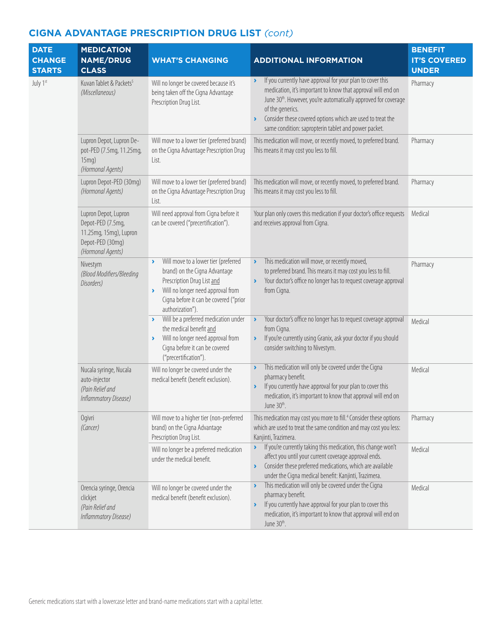| <b>DATE</b><br><b>CHANGE</b><br><b>STARTS</b> | <b>MEDICATION</b><br><b>NAME/DRUG</b><br><b>CLASS</b>                                                        | <b>WHAT'S CHANGING</b>                                                                                                                                                                                                                | <b>ADDITIONAL INFORMATION</b>                                                                                                                                                                                                                                                                                                                                                                         | <b>BENEFIT</b><br><b>IT'S COVERED</b><br><b>UNDER</b> |
|-----------------------------------------------|--------------------------------------------------------------------------------------------------------------|---------------------------------------------------------------------------------------------------------------------------------------------------------------------------------------------------------------------------------------|-------------------------------------------------------------------------------------------------------------------------------------------------------------------------------------------------------------------------------------------------------------------------------------------------------------------------------------------------------------------------------------------------------|-------------------------------------------------------|
| July 1st                                      | Kuvan Tablet & Packets <sup>5</sup><br>(Miscellaneous)                                                       | Will no longer be covered because it's<br>being taken off the Cigna Advantage<br>Prescription Drug List.                                                                                                                              | If you currently have approval for your plan to cover this<br>$\blacktriangleright$<br>medication, it's important to know that approval will end on<br>June 30 <sup>th</sup> . However, you're automatically approved for coverage<br>of the generics.<br>Consider these covered options which are used to treat the<br>$\blacktriangleright$<br>same condition: sapropterin tablet and power packet. | Pharmacy                                              |
|                                               | Lupron Depot, Lupron De-<br>pot-PED (7.5mg, 11.25mg,<br>$15mg$ )<br>(Hormonal Agents)                        | Will move to a lower tier (preferred brand)<br>on the Cigna Advantage Prescription Drug<br>List.                                                                                                                                      | This medication will move, or recently moved, to preferred brand.<br>This means it may cost you less to fill.                                                                                                                                                                                                                                                                                         | Pharmacy                                              |
|                                               | Lupron Depot-PED (30mg)<br>(Hormonal Agents)                                                                 | Will move to a lower tier (preferred brand)<br>on the Cigna Advantage Prescription Drug<br>List.                                                                                                                                      | This medication will move, or recently moved, to preferred brand.<br>This means it may cost you less to fill.                                                                                                                                                                                                                                                                                         | Pharmacy                                              |
|                                               | Lupron Depot, Lupron<br>Depot-PED (7.5mg,<br>11.25mg, 15mg), Lupron<br>Depot-PED (30mg)<br>(Hormonal Agents) | Will need approval from Cigna before it<br>can be covered ("precertification").                                                                                                                                                       | Your plan only covers this medication if your doctor's office requests<br>and receives approval from Cigna.                                                                                                                                                                                                                                                                                           | Medical                                               |
|                                               | Nivestym<br>(Blood Modifiers/Bleeding<br>Disorders)                                                          | Will move to a lower tier (preferred<br>$\blacktriangleright$<br>brand) on the Cigna Advantage<br>Prescription Drug List and<br>Will no longer need approval from<br>×.<br>Cigna before it can be covered ("prior<br>authorization"). | This medication will move, or recently moved,<br>$\blacktriangleright$<br>to preferred brand. This means it may cost you less to fill.<br>Your doctor's office no longer has to request coverage approval<br>$\blacktriangleright$<br>from Cigna.                                                                                                                                                     | Pharmacy                                              |
|                                               |                                                                                                              | Will be a preferred medication under<br>×<br>the medical benefit and<br>Will no longer need approval from<br>×.<br>Cigna before it can be covered<br>("precertification").                                                            | Your doctor's office no longer has to request coverage approval<br>$\blacktriangleright$<br>from Cigna.<br>If you're currently using Granix, ask your doctor if you should<br>$\blacktriangleright$<br>consider switching to Nivestym.                                                                                                                                                                | Medical                                               |
|                                               | Nucala syringe, Nucala<br>auto-injector<br>(Pain Relief and<br>Inflammatory Disease)                         | Will no longer be covered under the<br>medical benefit (benefit exclusion).                                                                                                                                                           | This medication will only be covered under the Cigna<br>$\blacktriangleright$<br>pharmacy benefit.<br>If you currently have approval for your plan to cover this<br>$\blacktriangleright$<br>medication, it's important to know that approval will end on<br>June 30th.                                                                                                                               | Medical                                               |
|                                               | Ogivri<br>(Cancer)                                                                                           | Will move to a higher tier (non-preferred<br>brand) on the Cigna Advantage<br>Prescription Drug List.                                                                                                                                 | This medication may cost you more to fill. <sup>4</sup> Consider these options<br>which are used to treat the same condition and may cost you less:<br>Kanjinti, Trazimera.                                                                                                                                                                                                                           | Pharmacy                                              |
|                                               |                                                                                                              | Will no longer be a preferred medication<br>under the medical benefit.                                                                                                                                                                | If you're currently taking this medication, this change won't<br>$\blacktriangleright$<br>affect you until your current coverage approval ends.<br>Consider these preferred medications, which are available<br>$\blacktriangleright$<br>under the Cigna medical benefit: Kanjinti, Trazimera.                                                                                                        | Medical                                               |
|                                               | Orencia syringe, Orencia<br>clickjet<br>(Pain Relief and<br>Inflammatory Disease)                            | Will no longer be covered under the<br>medical benefit (benefit exclusion).                                                                                                                                                           | This medication will only be covered under the Cigna<br>$\blacktriangleright$<br>pharmacy benefit.<br>If you currently have approval for your plan to cover this<br>$\blacktriangleright$<br>medication, it's important to know that approval will end on<br>June 30th.                                                                                                                               | Medical                                               |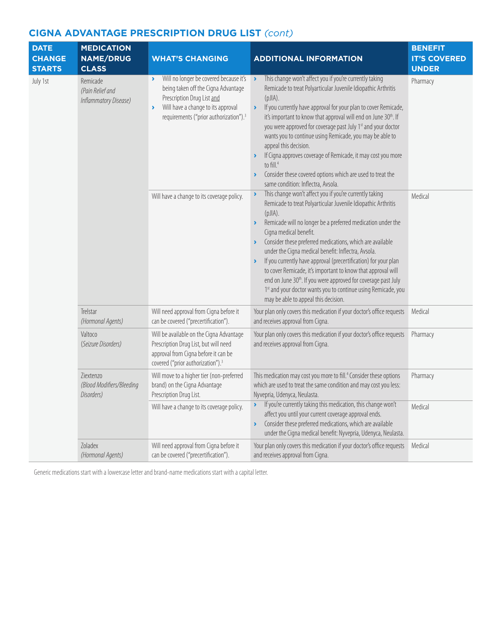| <b>DATE</b><br><b>CHANGE</b><br><b>STARTS</b> | <b>MEDICATION</b><br><b>NAME/DRUG</b><br><b>CLASS</b> | <b>WHAT'S CHANGING</b>                                                                                                                                                                                                                                    | <b>ADDITIONAL INFORMATION</b>                                                                                                                                                                                                                                                                                                                                                                                                                                                                                                                                                                                                                                                                                                                         | <b>BENEFIT</b><br><b>IT'S COVERED</b><br><b>UNDER</b> |
|-----------------------------------------------|-------------------------------------------------------|-----------------------------------------------------------------------------------------------------------------------------------------------------------------------------------------------------------------------------------------------------------|-------------------------------------------------------------------------------------------------------------------------------------------------------------------------------------------------------------------------------------------------------------------------------------------------------------------------------------------------------------------------------------------------------------------------------------------------------------------------------------------------------------------------------------------------------------------------------------------------------------------------------------------------------------------------------------------------------------------------------------------------------|-------------------------------------------------------|
| July 1st                                      | Remicade<br>(Pain Relief and<br>Inflammatory Disease) | Will no longer be covered because it's<br>$\blacktriangleright$<br>being taken off the Cigna Advantage<br>Prescription Drug List and<br>Will have a change to its approval<br>$\blacktriangleright$<br>requirements ("prior authorization"). <sup>3</sup> | This change won't affect you if you're currently taking<br>$\rightarrow$<br>Remicade to treat Polyarticular Juvenile Idiopathic Arthritis<br>$(pJ A)$ .<br>If you currently have approval for your plan to cover Remicade,<br>$\blacktriangleright$<br>it's important to know that approval will end on June 30th. If<br>you were approved for coverage past July 1st and your doctor<br>wants you to continue using Remicade, you may be able to<br>appeal this decision.<br>If Cigna approves coverage of Remicade, it may cost you more<br>$\blacktriangleright$<br>to fill. <sup>4</sup><br>Consider these covered options which are used to treat the<br>$\blacktriangleright$<br>same condition: Inflectra, Avsola.                             | Pharmacy                                              |
|                                               |                                                       | Will have a change to its coverage policy.                                                                                                                                                                                                                | This change won't affect you if you're currently taking<br>$\blacktriangleright$<br>Remicade to treat Polyarticular Juvenile Idiopathic Arthritis<br>(pJIA).<br>Remicade will no longer be a preferred medication under the<br>$\blacktriangleright$<br>Cigna medical benefit.<br>Consider these preferred medications, which are available<br>under the Cigna medical benefit: Inflectra, Avsola.<br>If you currently have approval (precertification) for your plan<br>$\blacktriangleright$<br>to cover Remicade, it's important to know that approval will<br>end on June 30 <sup>th</sup> . If you were approved for coverage past July<br>1st and your doctor wants you to continue using Remicade, you<br>may be able to appeal this decision. | Medical                                               |
|                                               | Trelstar<br>(Hormonal Agents)                         | Will need approval from Cigna before it<br>can be covered ("precertification").                                                                                                                                                                           | Your plan only covers this medication if your doctor's office requests<br>and receives approval from Cigna.                                                                                                                                                                                                                                                                                                                                                                                                                                                                                                                                                                                                                                           | Medical                                               |
|                                               | Valtoco<br>(Seizure Disorders)                        | Will be available on the Cigna Advantage<br>Prescription Drug List, but will need<br>approval from Cigna before it can be<br>covered ("prior authorization"). <sup>3</sup>                                                                                | Your plan only covers this medication if your doctor's office requests<br>and receives approval from Cigna.                                                                                                                                                                                                                                                                                                                                                                                                                                                                                                                                                                                                                                           | Pharmacy                                              |
|                                               | Ziextenzo<br>(Blood Modifiers/Bleeding<br>Disorders)  | Will move to a higher tier (non-preferred<br>brand) on the Cigna Advantage<br>Prescription Drug List.                                                                                                                                                     | This medication may cost you more to fill. <sup>4</sup> Consider these options<br>which are used to treat the same condition and may cost you less:<br>Nyvepria, Udenyca, Neulasta.                                                                                                                                                                                                                                                                                                                                                                                                                                                                                                                                                                   | Pharmacy                                              |
|                                               |                                                       | Will have a change to its coverage policy.                                                                                                                                                                                                                | If you're currently taking this medication, this change won't<br>▸<br>affect you until your current coverage approval ends.<br>Consider these preferred medications, which are available<br>$\blacktriangleright$<br>under the Cigna medical benefit: Nyvepria, Udenyca, Neulasta.                                                                                                                                                                                                                                                                                                                                                                                                                                                                    | Medical                                               |
|                                               | Zoladex<br>(Hormonal Agents)                          | Will need approval from Cigna before it<br>can be covered ("precertification").                                                                                                                                                                           | Your plan only covers this medication if your doctor's office requests<br>and receives approval from Cigna.                                                                                                                                                                                                                                                                                                                                                                                                                                                                                                                                                                                                                                           | Medical                                               |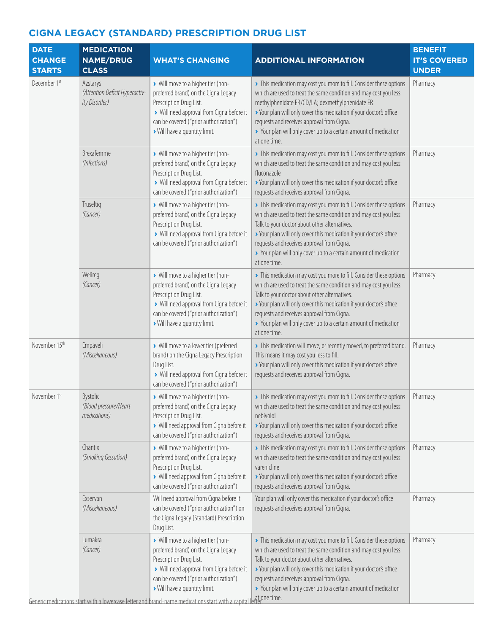| <b>DATE</b><br><b>CHANGE</b><br><b>STARTS</b> | <b>MEDICATION</b><br><b>NAME/DRUG</b><br><b>CLASS</b>       | <b>WHAT'S CHANGING</b>                                                                                                                                                                                                                                                                                                                     | <b>ADDITIONAL INFORMATION</b>                                                                                                                                                                                                                                                                                                                                                                        | <b>BENEFIT</b><br><b>IT'S COVERED</b><br><b>UNDER</b> |
|-----------------------------------------------|-------------------------------------------------------------|--------------------------------------------------------------------------------------------------------------------------------------------------------------------------------------------------------------------------------------------------------------------------------------------------------------------------------------------|------------------------------------------------------------------------------------------------------------------------------------------------------------------------------------------------------------------------------------------------------------------------------------------------------------------------------------------------------------------------------------------------------|-------------------------------------------------------|
| December 1st                                  | Azstarys<br>(Attention Deficit Hyperactiv-<br>ity Disorder) | > Will move to a higher tier (non-<br>preferred brand) on the Cigna Legacy<br>Prescription Drug List.<br>> Will need approval from Cigna before it<br>can be covered ("prior authorization")<br>Will have a quantity limit.                                                                                                                | > This medication may cost you more to fill. Consider these options<br>which are used to treat the same condition and may cost you less:<br>methylphenidate ER/CD/LA; dexmethylphenidate ER<br>> Your plan will only cover this medication if your doctor's office<br>requests and receives approval from Cigna.<br>> Your plan will only cover up to a certain amount of medication<br>at one time. | Pharmacy                                              |
|                                               | Brexafemme<br>(Infections)                                  | > Will move to a higher tier (non-<br>preferred brand) on the Cigna Legacy<br>Prescription Drug List.<br>> Will need approval from Cigna before it<br>can be covered ("prior authorization")                                                                                                                                               | > This medication may cost you more to fill. Consider these options<br>which are used to treat the same condition and may cost you less:<br>fluconazole<br>> Your plan will only cover this medication if your doctor's office<br>requests and receives approval from Cigna.                                                                                                                         | Pharmacy                                              |
|                                               | Truseltig<br>(Cancer)                                       | > Will move to a higher tier (non-<br>preferred brand) on the Cigna Legacy<br>Prescription Drug List.<br>> Will need approval from Cigna before it<br>can be covered ("prior authorization")                                                                                                                                               | > This medication may cost you more to fill. Consider these options<br>which are used to treat the same condition and may cost you less:<br>Talk to your doctor about other alternatives.<br>> Your plan will only cover this medication if your doctor's office<br>requests and receives approval from Cigna.<br>> Your plan will only cover up to a certain amount of medication<br>at one time.   | Pharmacy                                              |
|                                               | Welireg<br>(Cancer)                                         | > Will move to a higher tier (non-<br>preferred brand) on the Cigna Legacy<br>Prescription Drug List.<br>> Will need approval from Cigna before it<br>can be covered ("prior authorization")<br>Will have a quantity limit.                                                                                                                | > This medication may cost you more to fill. Consider these options<br>which are used to treat the same condition and may cost you less:<br>Talk to your doctor about other alternatives.<br>> Your plan will only cover this medication if your doctor's office<br>requests and receives approval from Cigna.<br>> Your plan will only cover up to a certain amount of medication<br>at one time.   | Pharmacy                                              |
| November 15th                                 | Empaveli<br>(Miscellaneous)                                 | > Will move to a lower tier (preferred<br>brand) on the Cigna Legacy Prescription<br>Drug List.<br>> Will need approval from Cigna before it<br>can be covered ("prior authorization")                                                                                                                                                     | > This medication will move, or recently moved, to preferred brand.<br>This means it may cost you less to fill.<br>> Your plan will only cover this medication if your doctor's office<br>requests and receives approval from Cigna.                                                                                                                                                                 | Pharmacy                                              |
| November 1st                                  | Bystolic<br>(Blood pressure/Heart<br>medications)           | > Will move to a higher tier (non-<br>preferred brand) on the Cigna Legacy<br>Prescription Drug List.<br>> Will need approval from Cigna before it<br>can be covered ("prior authorization")                                                                                                                                               | > This medication may cost you more to fill. Consider these options<br>which are used to treat the same condition and may cost you less:<br>nebivolol<br>> Your plan will only cover this medication if your doctor's office<br>requests and receives approval from Cigna.                                                                                                                           | Pharmacy                                              |
|                                               | Chantix<br>(Smoking Cessation)                              | > Will move to a higher tier (non-<br>preferred brand) on the Cigna Legacy<br>Prescription Drug List.<br>> Will need approval from Cigna before it<br>can be covered ("prior authorization")                                                                                                                                               | > This medication may cost you more to fill. Consider these options<br>which are used to treat the same condition and may cost you less:<br>varenicline<br>> Your plan will only cover this medication if your doctor's office<br>requests and receives approval from Cigna.                                                                                                                         | Pharmacy                                              |
|                                               | Exservan<br>(Miscellaneous)                                 | Will need approval from Cigna before it<br>can be covered ("prior authorization") on<br>the Cigna Legacy (Standard) Prescription<br>Drug List.                                                                                                                                                                                             | Your plan will only cover this medication if your doctor's office<br>requests and receives approval from Cigna.                                                                                                                                                                                                                                                                                      | Pharmacy                                              |
|                                               | Lumakra<br>(Cancer)                                         | > Will move to a higher tier (non-<br>preferred brand) on the Cigna Legacy<br>Prescription Drug List.<br>> Will need approval from Cigna before it<br>can be covered ("prior authorization")<br>> Will have a quantity limit.<br>Generic medications start with a lowercase letter and brand-name medications start with a capital letter. | > This medication may cost you more to fill. Consider these options<br>which are used to treat the same condition and may cost you less:<br>Talk to your doctor about other alternatives.<br>> Your plan will only cover this medication if your doctor's office<br>requests and receives approval from Cigna.<br>> Your plan will only cover up to a certain amount of medication                   | Pharmacy                                              |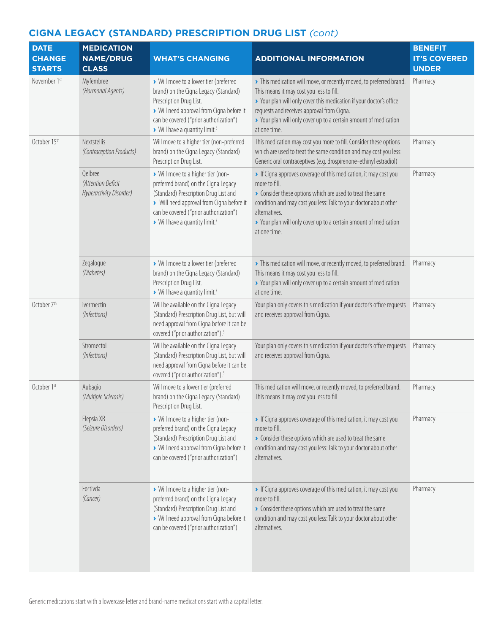| <b>DATE</b><br><b>CHANGE</b><br><b>STARTS</b> | <b>MEDICATION</b><br><b>NAME/DRUG</b><br><b>CLASS</b>    | <b>WHAT'S CHANGING</b>                                                                                                                                                                                                                                   | <b>ADDITIONAL INFORMATION</b>                                                                                                                                                                                                                                                                                            | <b>BENEFIT</b><br><b>IT'S COVERED</b><br><b>UNDER</b> |
|-----------------------------------------------|----------------------------------------------------------|----------------------------------------------------------------------------------------------------------------------------------------------------------------------------------------------------------------------------------------------------------|--------------------------------------------------------------------------------------------------------------------------------------------------------------------------------------------------------------------------------------------------------------------------------------------------------------------------|-------------------------------------------------------|
| November 1st                                  | Myfembree<br>(Hormonal Agents)                           | > Will move to a lower tier (preferred<br>brand) on the Cigna Legacy (Standard)<br>Prescription Drug List.<br>> Will need approval from Cigna before it<br>can be covered ("prior authorization")<br>> Will have a quantity limit. <sup>3</sup>          | > This medication will move, or recently moved, to preferred brand.<br>This means it may cost you less to fill.<br>> Your plan will only cover this medication if your doctor's office<br>requests and receives approval from Cigna.<br>> Your plan will only cover up to a certain amount of medication<br>at one time. | Pharmacy                                              |
| October 15th                                  | Nextstellis<br>(Contraception Products)                  | Will move to a higher tier (non-preferred<br>brand) on the Cigna Legacy (Standard)<br>Prescription Drug List.                                                                                                                                            | This medication may cost you more to fill. Consider these options<br>which are used to treat the same condition and may cost you less:<br>Generic oral contraceptives (e.g. drospirenone-ethinyl estradiol)                                                                                                              | Pharmacy                                              |
|                                               | Qelbree<br>(Attention Deficit<br>Hyperactivity Disorder) | > Will move to a higher tier (non-<br>preferred brand) on the Cigna Legacy<br>(Standard) Prescription Drug List and<br>> Will need approval from Cigna before it<br>can be covered ("prior authorization")<br>> Will have a quantity limit. <sup>3</sup> | If Cigna approves coverage of this medication, it may cost you<br>more to fill.<br>Consider these options which are used to treat the same<br>condition and may cost you less: Talk to your doctor about other<br>alternatives.<br>> Your plan will only cover up to a certain amount of medication<br>at one time.      | Pharmacy                                              |
|                                               | Zegalogue<br>(Diabetes)                                  | > Will move to a lower tier (preferred<br>brand) on the Cigna Legacy (Standard)<br>Prescription Drug List.<br>> Will have a quantity limit. <sup>3</sup>                                                                                                 | > This medication will move, or recently moved, to preferred brand.<br>This means it may cost you less to fill.<br>> Your plan will only cover up to a certain amount of medication<br>at one time.                                                                                                                      | Pharmacy                                              |
| October 7th                                   | ivermectin<br>(Infections)                               | Will be available on the Cigna Legacy<br>(Standard) Prescription Drug List, but will<br>need approval from Cigna before it can be<br>covered ("prior authorization"). <sup>3</sup>                                                                       | Your plan only covers this medication if your doctor's office requests<br>and receives approval from Cigna.                                                                                                                                                                                                              | Pharmacy                                              |
|                                               | Stromectol<br>(Infections)                               | Will be available on the Cigna Legacy<br>(Standard) Prescription Drug List, but will<br>need approval from Cigna before it can be<br>covered ("prior authorization"). <sup>3</sup>                                                                       | Your plan only covers this medication if your doctor's office requests<br>and receives approval from Cigna.                                                                                                                                                                                                              | Pharmacy                                              |
| October 1st                                   | Aubagio<br>(Multiple Sclerosis)                          | Will move to a lower tier (preferred<br>brand) on the Cigna Legacy (Standard)<br>Prescription Drug List.                                                                                                                                                 | This medication will move, or recently moved, to preferred brand.<br>This means it may cost you less to fill                                                                                                                                                                                                             | Pharmacy                                              |
|                                               | Elepsia XR<br>(Seizure Disorders)                        | > Will move to a higher tier (non-<br>preferred brand) on the Cigna Legacy<br>(Standard) Prescription Drug List and<br>> Will need approval from Cigna before it<br>can be covered ("prior authorization")                                               | If Cigna approves coverage of this medication, it may cost you<br>more to fill.<br>Consider these options which are used to treat the same<br>condition and may cost you less: Talk to your doctor about other<br>alternatives.                                                                                          | Pharmacy                                              |
|                                               | Fortivda<br>(Cancer)                                     | > Will move to a higher tier (non-<br>preferred brand) on the Cigna Legacy<br>(Standard) Prescription Drug List and<br>> Will need approval from Cigna before it<br>can be covered ("prior authorization")                                               | If Cigna approves coverage of this medication, it may cost you<br>more to fill.<br>Consider these options which are used to treat the same<br>condition and may cost you less: Talk to your doctor about other<br>alternatives.                                                                                          | Pharmacy                                              |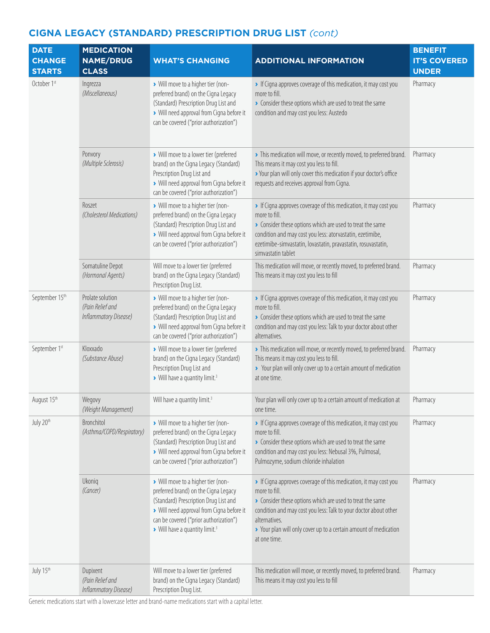| <b>DATE</b><br><b>CHANGE</b><br><b>STARTS</b> | <b>MEDICATION</b><br><b>NAME/DRUG</b><br><b>CLASS</b>         | <b>WHAT'S CHANGING</b>                                                                                                                                                                                                                                   | <b>ADDITIONAL INFORMATION</b>                                                                                                                                                                                                                                                                                       | <b>BENEFIT</b><br><b>IT'S COVERED</b><br><b>UNDER</b> |
|-----------------------------------------------|---------------------------------------------------------------|----------------------------------------------------------------------------------------------------------------------------------------------------------------------------------------------------------------------------------------------------------|---------------------------------------------------------------------------------------------------------------------------------------------------------------------------------------------------------------------------------------------------------------------------------------------------------------------|-------------------------------------------------------|
| October 1st                                   | Ingrezza<br>(Miscellaneous)                                   | > Will move to a higher tier (non-<br>preferred brand) on the Cigna Legacy<br>(Standard) Prescription Drug List and<br>> Will need approval from Cigna before it<br>can be covered ("prior authorization")                                               | If Cigna approves coverage of this medication, it may cost you<br>more to fill.<br>Consider these options which are used to treat the same<br>condition and may cost you less: Austedo                                                                                                                              | Pharmacy                                              |
|                                               | Ponvory<br>(Multiple Sclerosis)                               | > Will move to a lower tier (preferred<br>brand) on the Cigna Legacy (Standard)<br>Prescription Drug List and<br>> Will need approval from Cigna before it<br>can be covered ("prior authorization")                                                     | > This medication will move, or recently moved, to preferred brand.<br>This means it may cost you less to fill.<br>> Your plan will only cover this medication if your doctor's office<br>requests and receives approval from Cigna.                                                                                | Pharmacy                                              |
|                                               | Roszet<br>(Cholesterol Medications)                           | > Will move to a higher tier (non-<br>preferred brand) on the Cigna Legacy<br>(Standard) Prescription Drug List and<br>> Will need approval from Cigna before it<br>can be covered ("prior authorization")                                               | If Cigna approves coverage of this medication, it may cost you<br>more to fill.<br>Consider these options which are used to treat the same<br>condition and may cost you less: atorvastatin, ezetimibe,<br>ezetimibe-simvastatin, lovastatin, pravastatin, rosuvastatin,<br>simvastatin tablet                      | Pharmacy                                              |
|                                               | Somatuline Depot<br>(Hormonal Agents)                         | Will move to a lower tier (preferred<br>brand) on the Cigna Legacy (Standard)<br>Prescription Drug List.                                                                                                                                                 | This medication will move, or recently moved, to preferred brand.<br>This means it may cost you less to fill                                                                                                                                                                                                        | Pharmacy                                              |
| September 15th                                | Prolate solution<br>(Pain Relief and<br>Inflammatory Disease) | > Will move to a higher tier (non-<br>preferred brand) on the Cigna Legacy<br>(Standard) Prescription Drug List and<br>> Will need approval from Cigna before it<br>can be covered ("prior authorization")                                               | If Cigna approves coverage of this medication, it may cost you<br>more to fill.<br>Consider these options which are used to treat the same<br>condition and may cost you less: Talk to your doctor about other<br>alternatives.                                                                                     | Pharmacy                                              |
| September 1st                                 | Kloxxado<br>(Substance Abuse)                                 | > Will move to a lower tier (preferred<br>brand) on the Cigna Legacy (Standard)<br>Prescription Drug List and<br>Will have a quantity limit. <sup>3</sup>                                                                                                | > This medication will move, or recently moved, to preferred brand.<br>This means it may cost you less to fill.<br>> Your plan will only cover up to a certain amount of medication<br>at one time.                                                                                                                 | Pharmacy                                              |
| August 15th                                   | Wegovy<br>(Weight Management)                                 | Will have a quantity limit. <sup>3</sup>                                                                                                                                                                                                                 | Your plan will only cover up to a certain amount of medication at<br>one time.                                                                                                                                                                                                                                      | Pharmacy                                              |
| July 20th                                     | Bronchitol<br>(Asthma/COPD/Respiratory)                       | > Will move to a higher tier (non-<br>preferred brand) on the Cigna Legacy<br>(Standard) Prescription Drug List and<br>> Will need approval from Cigna before it<br>can be covered ("prior authorization")                                               | If Cigna approves coverage of this medication, it may cost you<br>more to fill.<br>• Consider these options which are used to treat the same<br>condition and may cost you less: Nebusal 3%, Pulmosal,<br>Pulmozyme, sodium chloride inhalation                                                                     | Pharmacy                                              |
|                                               | Ukoniq<br>(Cancer)                                            | > Will move to a higher tier (non-<br>preferred brand) on the Cigna Legacy<br>(Standard) Prescription Drug List and<br>> Will need approval from Cigna before it<br>can be covered ("prior authorization")<br>> Will have a quantity limit. <sup>3</sup> | If Cigna approves coverage of this medication, it may cost you<br>more to fill.<br>Consider these options which are used to treat the same<br>condition and may cost you less: Talk to your doctor about other<br>alternatives.<br>> Your plan will only cover up to a certain amount of medication<br>at one time. | Pharmacy                                              |
| July 15th                                     | Dupixent<br>(Pain Relief and<br>Inflammatory Disease)         | Will move to a lower tier (preferred<br>brand) on the Cigna Legacy (Standard)<br>Prescription Drug List.                                                                                                                                                 | This medication will move, or recently moved, to preferred brand.<br>This means it may cost you less to fill                                                                                                                                                                                                        | Pharmacy                                              |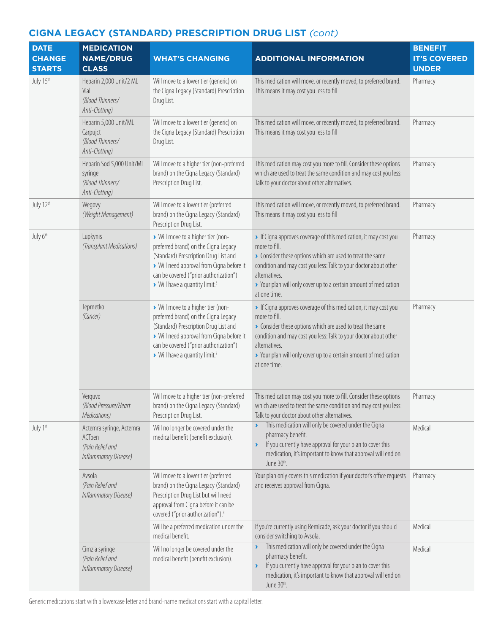| <b>DATE</b><br><b>CHANGE</b><br><b>STARTS</b> | <b>MEDICATION</b><br><b>NAME/DRUG</b><br><b>CLASS</b>                           | <b>WHAT'S CHANGING</b>                                                                                                                                                                                                                                   | <b>ADDITIONAL INFORMATION</b>                                                                                                                                                                                                                                                                                       | <b>BENEFIT</b><br><b>IT'S COVERED</b><br><b>UNDER</b> |
|-----------------------------------------------|---------------------------------------------------------------------------------|----------------------------------------------------------------------------------------------------------------------------------------------------------------------------------------------------------------------------------------------------------|---------------------------------------------------------------------------------------------------------------------------------------------------------------------------------------------------------------------------------------------------------------------------------------------------------------------|-------------------------------------------------------|
| July 15th                                     | Heparin 2,000 Unit/2 ML<br>Vial<br>(Blood Thinners/<br>Anti-Clotting)           | Will move to a lower tier (generic) on<br>the Cigna Legacy (Standard) Prescription<br>Drug List.                                                                                                                                                         | This medication will move, or recently moved, to preferred brand.<br>This means it may cost you less to fill                                                                                                                                                                                                        | Pharmacy                                              |
|                                               | Heparin 5,000 Unit/ML<br>Carpujct<br>(Blood Thinners/<br>Anti-Clotting)         | Will move to a lower tier (generic) on<br>the Cigna Legacy (Standard) Prescription<br>Drug List.                                                                                                                                                         | This medication will move, or recently moved, to preferred brand.<br>This means it may cost you less to fill                                                                                                                                                                                                        | Pharmacy                                              |
|                                               | Heparin Sod 5,000 Unit/ML<br>syringe<br>(Blood Thinners/<br>Anti-Clotting)      | Will move to a higher tier (non-preferred<br>brand) on the Cigna Legacy (Standard)<br>Prescription Drug List.                                                                                                                                            | This medication may cost you more to fill. Consider these options<br>which are used to treat the same condition and may cost you less:<br>Talk to your doctor about other alternatives.                                                                                                                             | Pharmacy                                              |
| July 12th                                     | Wegovy<br>(Weight Management)                                                   | Will move to a lower tier (preferred<br>brand) on the Cigna Legacy (Standard)<br>Prescription Drug List.                                                                                                                                                 | This medication will move, or recently moved, to preferred brand.<br>This means it may cost you less to fill                                                                                                                                                                                                        | Pharmacy                                              |
| July 6th                                      | Lupkynis<br>(Transplant Medications)                                            | > Will move to a higher tier (non-<br>preferred brand) on the Cigna Legacy<br>(Standard) Prescription Drug List and<br>> Will need approval from Cigna before it<br>can be covered ("prior authorization")<br>> Will have a quantity limit. <sup>3</sup> | If Cigna approves coverage of this medication, it may cost you<br>more to fill.<br>Consider these options which are used to treat the same<br>condition and may cost you less: Talk to your doctor about other<br>alternatives.<br>> Your plan will only cover up to a certain amount of medication<br>at one time. | Pharmacy                                              |
|                                               | Tepmetko<br>(Cancer)                                                            | > Will move to a higher tier (non-<br>preferred brand) on the Cigna Legacy<br>(Standard) Prescription Drug List and<br>> Will need approval from Cigna before it<br>can be covered ("prior authorization")<br>> Will have a quantity limit. <sup>3</sup> | If Cigna approves coverage of this medication, it may cost you<br>more to fill.<br>Consider these options which are used to treat the same<br>condition and may cost you less: Talk to your doctor about other<br>alternatives.<br>> Your plan will only cover up to a certain amount of medication<br>at one time. | Pharmacy                                              |
|                                               | Verguvo<br>(Blood Pressure/Heart<br>Medications)                                | Will move to a higher tier (non-preferred<br>brand) on the Cigna Legacy (Standard)<br>Prescription Drug List.                                                                                                                                            | This medication may cost you more to fill. Consider these options<br>which are used to treat the same condition and may cost you less:<br>Talk to your doctor about other alternatives.                                                                                                                             | Pharmacy                                              |
| July 1st                                      | Actemra syringe, Actemra<br>ACTpen<br>(Pain Relief and<br>Inflammatory Disease) | Will no longer be covered under the<br>medical benefit (benefit exclusion).                                                                                                                                                                              | This medication will only be covered under the Cigna<br>pharmacy benefit.<br>If you currently have approval for your plan to cover this<br>$\blacktriangleright$<br>medication, it's important to know that approval will end on<br>June 30th.                                                                      | Medical                                               |
|                                               | Avsola<br>(Pain Relief and<br>Inflammatory Disease)                             | Will move to a lower tier (preferred<br>brand) on the Cigna Legacy (Standard)<br>Prescription Drug List but will need<br>approval from Cigna before it can be<br>covered ("prior authorization"). <sup>3</sup>                                           | Your plan only covers this medication if your doctor's office requests<br>and receives approval from Cigna.                                                                                                                                                                                                         | Pharmacy                                              |
|                                               |                                                                                 | Will be a preferred medication under the<br>medical benefit.                                                                                                                                                                                             | If you're currently using Remicade, ask your doctor if you should<br>consider switching to Avsola.                                                                                                                                                                                                                  | Medical                                               |
|                                               | Cimzia syringe<br>(Pain Relief and<br>Inflammatory Disease)                     | Will no longer be covered under the<br>medical benefit (benefit exclusion).                                                                                                                                                                              | This medication will only be covered under the Cigna<br>٧<br>pharmacy benefit.<br>If you currently have approval for your plan to cover this<br>$\blacktriangleright$<br>medication, it's important to know that approval will end on<br>June 30th.                                                                 | Medical                                               |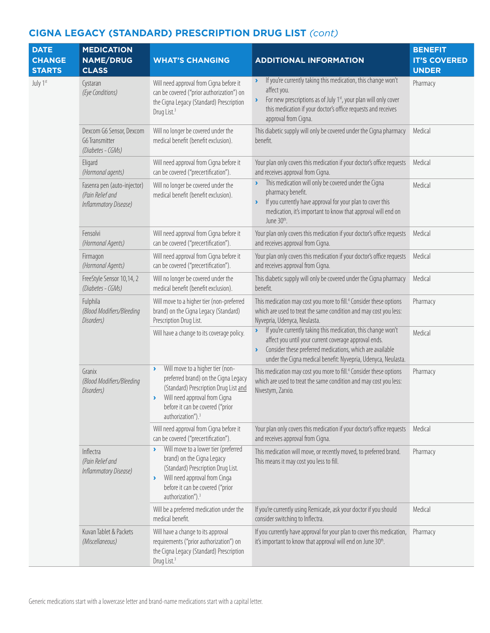| <b>DATE</b><br><b>CHANGE</b><br><b>STARTS</b> | <b>MEDICATION</b><br><b>NAME/DRUG</b><br><b>CLASS</b>                    | <b>WHAT'S CHANGING</b>                                                                                                                                                                                                                                           | <b>ADDITIONAL INFORMATION</b>                                                                                                                                                                                                                                                              | <b>BENEFIT</b><br><b>IT'S COVERED</b><br><b>UNDER</b> |
|-----------------------------------------------|--------------------------------------------------------------------------|------------------------------------------------------------------------------------------------------------------------------------------------------------------------------------------------------------------------------------------------------------------|--------------------------------------------------------------------------------------------------------------------------------------------------------------------------------------------------------------------------------------------------------------------------------------------|-------------------------------------------------------|
| July 1st                                      | Cystaran<br>(Eye Conditions)                                             | Will need approval from Cigna before it<br>can be covered ("prior authorization") on<br>the Cigna Legacy (Standard) Prescription<br>Drug List. <sup>3</sup>                                                                                                      | If you're currently taking this medication, this change won't<br>$\blacktriangleright$<br>affect you.<br>For new prescriptions as of July 1st, your plan will only cover<br>$\blacktriangleright$<br>this medication if your doctor's office requests and receives<br>approval from Cigna. | Pharmacy                                              |
|                                               | Dexcom G6 Sensor, Dexcom<br>G6 Transmitter<br>(Diabetes - CGMs)          | Will no longer be covered under the<br>medical benefit (benefit exclusion).                                                                                                                                                                                      | This diabetic supply will only be covered under the Cigna pharmacy<br>benefit.                                                                                                                                                                                                             | Medical                                               |
|                                               | Eligard<br>(Hormonal agents)                                             | Will need approval from Cigna before it<br>can be covered ("precertification").                                                                                                                                                                                  | Your plan only covers this medication if your doctor's office requests<br>and receives approval from Cigna.                                                                                                                                                                                | Medical                                               |
|                                               | Fasenra pen (auto-injector)<br>(Pain Relief and<br>Inflammatory Disease) | Will no longer be covered under the<br>medical benefit (benefit exclusion).                                                                                                                                                                                      | This medication will only be covered under the Cigna<br>Y<br>pharmacy benefit.<br>If you currently have approval for your plan to cover this<br>Y<br>medication, it's important to know that approval will end on<br>June 30th.                                                            | Medical                                               |
|                                               | Fensolvi<br>(Hormonal Agents)                                            | Will need approval from Cigna before it<br>can be covered ("precertification").                                                                                                                                                                                  | Your plan only covers this medication if your doctor's office requests<br>and receives approval from Cigna.                                                                                                                                                                                | Medical                                               |
|                                               | Firmagon<br>(Hormonal Agents)                                            | Will need approval from Cigna before it<br>can be covered ("precertification").                                                                                                                                                                                  | Your plan only covers this medication if your doctor's office requests<br>and receives approval from Cigna.                                                                                                                                                                                | Medical                                               |
|                                               | FreeStyle Sensor 10,14, 2<br>(Diabetes - CGMs)                           | Will no longer be covered under the<br>medical benefit (benefit exclusion).                                                                                                                                                                                      | This diabetic supply will only be covered under the Cigna pharmacy<br>benefit.                                                                                                                                                                                                             | Medical                                               |
|                                               | Fulphila<br>(Blood Modifiers/Bleeding<br>Disorders)                      | Will move to a higher tier (non-preferred<br>brand) on the Cigna Legacy (Standard)<br>Prescription Drug List.                                                                                                                                                    | This medication may cost you more to fill. <sup>4</sup> Consider these options<br>which are used to treat the same condition and may cost you less:<br>Nyvepria, Udenyca, Neulasta.                                                                                                        | Pharmacy                                              |
|                                               |                                                                          | Will have a change to its coverage policy.                                                                                                                                                                                                                       | If you're currently taking this medication, this change won't<br>$\blacktriangleright$<br>affect you until your current coverage approval ends.<br>Consider these preferred medications, which are available<br>under the Cigna medical benefit: Nyvepria, Udenyca, Neulasta.              | Medical                                               |
|                                               | Granix<br>(Blood Modifiers/Bleeding<br>Disorders)                        | Will move to a higher tier (non-<br>$\blacktriangleright$<br>preferred brand) on the Cigna Legacy<br>(Standard) Prescription Drug List and<br>Will need approval from Cigna<br>٠<br>before it can be covered ("prior<br>authorization"). <sup>3</sup>            | This medication may cost you more to fill. <sup>4</sup> Consider these options<br>which are used to treat the same condition and may cost you less:<br>Nivestym, Zarxio.                                                                                                                   | Pharmacy                                              |
|                                               |                                                                          | Will need approval from Cigna before it<br>can be covered ("precertification").                                                                                                                                                                                  | Your plan only covers this medication if your doctor's office requests<br>and receives approval from Cigna.                                                                                                                                                                                | Medical                                               |
|                                               | Inflectra<br>(Pain Relief and<br>Inflammatory Disease)                   | Will move to a lower tier (preferred<br>$\blacktriangleright$<br>brand) on the Cigna Legacy<br>(Standard) Prescription Drug List.<br>Will need approval from Cinga<br>$\blacktriangleright$<br>before it can be covered ("prior<br>authorization"). <sup>3</sup> | This medication will move, or recently moved, to preferred brand.<br>This means it may cost you less to fill.                                                                                                                                                                              | Pharmacy                                              |
|                                               |                                                                          | Will be a preferred medication under the<br>medical benefit.                                                                                                                                                                                                     | If you're currently using Remicade, ask your doctor if you should<br>consider switching to Inflectra.                                                                                                                                                                                      | Medical                                               |
|                                               | Kuvan Tablet & Packets<br>(Miscellaneous)                                | Will have a change to its approval<br>requirements ("prior authorization") on<br>the Cigna Legacy (Standard) Prescription<br>Drug List. <sup>3</sup>                                                                                                             | If you currently have approval for your plan to cover this medication,<br>it's important to know that approval will end on June 30th.                                                                                                                                                      | Pharmacy                                              |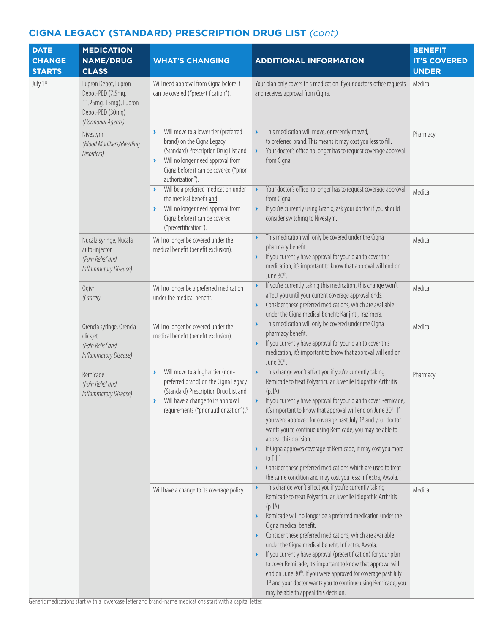| <b>DATE</b>   | <b>MEDICATION</b>                                                                                            |                                                                                                                                                                                                                                                                  |                                                                                                                                                                                                                                                                                                                                                                                                                                                                                                                                                                                                                                                                                                                                                                                   | <b>BENEFIT</b>      |
|---------------|--------------------------------------------------------------------------------------------------------------|------------------------------------------------------------------------------------------------------------------------------------------------------------------------------------------------------------------------------------------------------------------|-----------------------------------------------------------------------------------------------------------------------------------------------------------------------------------------------------------------------------------------------------------------------------------------------------------------------------------------------------------------------------------------------------------------------------------------------------------------------------------------------------------------------------------------------------------------------------------------------------------------------------------------------------------------------------------------------------------------------------------------------------------------------------------|---------------------|
| <b>CHANGE</b> | <b>NAME/DRUG</b>                                                                                             | <b>WHAT'S CHANGING</b>                                                                                                                                                                                                                                           | <b>ADDITIONAL INFORMATION</b>                                                                                                                                                                                                                                                                                                                                                                                                                                                                                                                                                                                                                                                                                                                                                     | <b>IT'S COVERED</b> |
| <b>STARTS</b> | <b>CLASS</b>                                                                                                 |                                                                                                                                                                                                                                                                  |                                                                                                                                                                                                                                                                                                                                                                                                                                                                                                                                                                                                                                                                                                                                                                                   | <b>UNDER</b>        |
| July 1st      | Lupron Depot, Lupron<br>Depot-PED (7.5mg,<br>11.25mg, 15mg), Lupron<br>Depot-PED (30mg)<br>(Hormonal Agents) | Will need approval from Cigna before it<br>can be covered ("precertification").                                                                                                                                                                                  | Your plan only covers this medication if your doctor's office requests<br>and receives approval from Cigna.                                                                                                                                                                                                                                                                                                                                                                                                                                                                                                                                                                                                                                                                       | Medical             |
|               | Nivestym<br>(Blood Modifiers/Bleeding<br>Disorders)                                                          | Will move to a lower tier (preferred<br>$\blacktriangleright$<br>brand) on the Cigna Legacy<br>(Standard) Prescription Drug List and<br>Will no longer need approval from<br>$\blacktriangleright$<br>Cigna before it can be covered ("prior<br>authorization"). | This medication will move, or recently moved,<br>$\blacktriangleright$<br>to preferred brand. This means it may cost you less to fill.<br>Your doctor's office no longer has to request coverage approval<br>$\blacktriangleright$<br>from Cigna.                                                                                                                                                                                                                                                                                                                                                                                                                                                                                                                                 | Pharmacy            |
|               |                                                                                                              | Will be a preferred medication under<br>$\blacktriangleright$<br>the medical benefit and<br>Will no longer need approval from<br>$\blacktriangleright$<br>Cigna before it can be covered<br>("precertification").                                                | Your doctor's office no longer has to request coverage approval<br>$\blacktriangleright$<br>from Cigna.<br>If you're currently using Granix, ask your doctor if you should<br>$\blacktriangleright$<br>consider switching to Nivestym.                                                                                                                                                                                                                                                                                                                                                                                                                                                                                                                                            | Medical             |
|               | Nucala syringe, Nucala<br>auto-injector<br>(Pain Relief and<br>Inflammatory Disease)                         | Will no longer be covered under the<br>medical benefit (benefit exclusion).                                                                                                                                                                                      | This medication will only be covered under the Cigna<br>١<br>pharmacy benefit.<br>If you currently have approval for your plan to cover this<br>$\blacktriangleright$<br>medication, it's important to know that approval will end on<br>June 30 <sup>th</sup> .                                                                                                                                                                                                                                                                                                                                                                                                                                                                                                                  | Medical             |
|               | Ogivri<br>(Cancer)                                                                                           | Will no longer be a preferred medication<br>under the medical benefit.                                                                                                                                                                                           | If you're currently taking this medication, this change won't<br>$\blacktriangleright$<br>affect you until your current coverage approval ends.<br>Consider these preferred medications, which are available<br>$\blacktriangleright$<br>under the Cigna medical benefit: Kanjinti, Trazimera.                                                                                                                                                                                                                                                                                                                                                                                                                                                                                    | Medical             |
|               | Orencia syringe, Orencia<br>clickjet<br>(Pain Relief and<br>Inflammatory Disease)                            | Will no longer be covered under the<br>medical benefit (benefit exclusion).                                                                                                                                                                                      | This medication will only be covered under the Cigna<br>$\blacktriangleright$<br>pharmacy benefit.<br>If you currently have approval for your plan to cover this<br>$\blacktriangleright$<br>medication, it's important to know that approval will end on<br>June 30 <sup>th</sup> .                                                                                                                                                                                                                                                                                                                                                                                                                                                                                              | Medical             |
|               | Remicade<br>(Pain Relief and<br>Inflammatory Disease)                                                        | Will move to a higher tier (non-<br>$\blacktriangleright$<br>preferred brand) on the Cigna Legacy<br>(Standard) Prescription Drug List and<br>Will have a change to its approval<br>$\blacktriangleright$<br>requirements ("prior authorization"). <sup>3</sup>  | This change won't affect you if you're currently taking<br>$\blacktriangleright$<br>Remicade to treat Polyarticular Juvenile Idiopathic Arthritis<br>(pJIA).<br>If you currently have approval for your plan to cover Remicade,<br>$\rightarrow$<br>it's important to know that approval will end on June 30 <sup>th</sup> . If<br>you were approved for coverage past July 1st and your doctor<br>wants you to continue using Remicade, you may be able to<br>appeal this decision.<br>If Cigna approves coverage of Remicade, it may cost you more<br>$\blacktriangleright$<br>to fill. <sup>4</sup><br>Consider these preferred medications which are used to treat<br>$\blacktriangleright$<br>the same condition and may cost you less: Inflectra, Avsola.                   | Pharmacy            |
|               |                                                                                                              | Will have a change to its coverage policy.                                                                                                                                                                                                                       | This change won't affect you if you're currently taking<br>$\blacktriangleright$<br>Remicade to treat Polyarticular Juvenile Idiopathic Arthritis<br>$(pJ A)$ .<br>Remicade will no longer be a preferred medication under the<br>$\blacktriangleright$<br>Cigna medical benefit.<br>Consider these preferred medications, which are available<br>$\blacktriangleright$<br>under the Cigna medical benefit: Inflectra, Avsola.<br>If you currently have approval (precertification) for your plan<br>$\blacktriangleright$<br>to cover Remicade, it's important to know that approval will<br>end on June 30 <sup>th</sup> . If you were approved for coverage past July<br>1st and your doctor wants you to continue using Remicade, you<br>may be able to appeal this decision. | Medical             |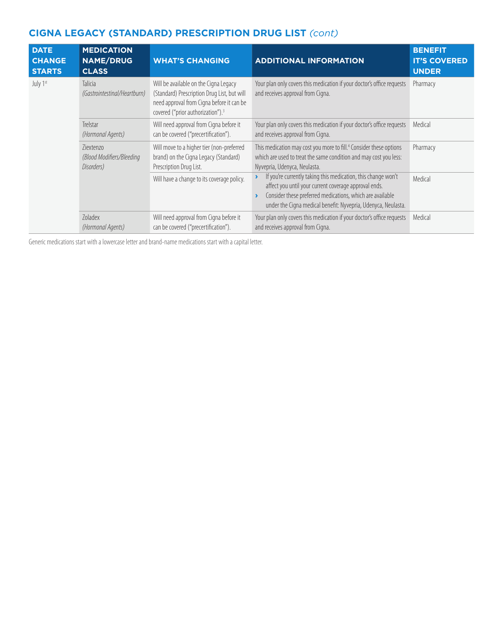| <b>DATE</b><br><b>CHANGE</b><br><b>STARTS</b> | <b>MEDICATION</b><br><b>NAME/DRUG</b><br><b>CLASS</b> | <b>WHAT'S CHANGING</b>                                                                                                                                                             | <b>ADDITIONAL INFORMATION</b>                                                                                                                                                                                                                                                 | <b>BENEFIT</b><br><b>IT'S COVERED</b><br><b>UNDER</b> |
|-----------------------------------------------|-------------------------------------------------------|------------------------------------------------------------------------------------------------------------------------------------------------------------------------------------|-------------------------------------------------------------------------------------------------------------------------------------------------------------------------------------------------------------------------------------------------------------------------------|-------------------------------------------------------|
| July 1st                                      | <b>Talicia</b><br>(Gastrointestinal/Heartburn)        | Will be available on the Cigna Legacy<br>(Standard) Prescription Drug List, but will<br>need approval from Cigna before it can be<br>covered ("prior authorization"). <sup>3</sup> | Your plan only covers this medication if your doctor's office requests<br>and receives approval from Cigna.                                                                                                                                                                   | Pharmacy                                              |
|                                               | Trelstar<br>(Hormonal Agents)                         | Will need approval from Cigna before it<br>can be covered ("precertification").                                                                                                    | Your plan only covers this medication if your doctor's office requests<br>and receives approval from Cigna.                                                                                                                                                                   | Medical                                               |
|                                               | Ziextenzo<br>(Blood Modifiers/Bleeding<br>Disorders)  | Will move to a higher tier (non-preferred<br>brand) on the Cigna Legacy (Standard)<br>Prescription Drug List.                                                                      | This medication may cost you more to fill. <sup>4</sup> Consider these options<br>which are used to treat the same condition and may cost you less:<br>Nyvepria, Udenyca, Neulasta.                                                                                           | Pharmacy                                              |
|                                               |                                                       | Will have a change to its coverage policy.                                                                                                                                         | If you're currently taking this medication, this change won't<br>$\blacktriangleright$<br>affect you until your current coverage approval ends.<br>Consider these preferred medications, which are available<br>under the Cigna medical benefit: Nyvepria, Udenyca, Neulasta. | Medical                                               |
|                                               | Zoladex<br>(Hormonal Agents)                          | Will need approval from Cigna before it<br>can be covered ("precertification").                                                                                                    | Your plan only covers this medication if your doctor's office requests<br>and receives approval from Cigna.                                                                                                                                                                   | Medical                                               |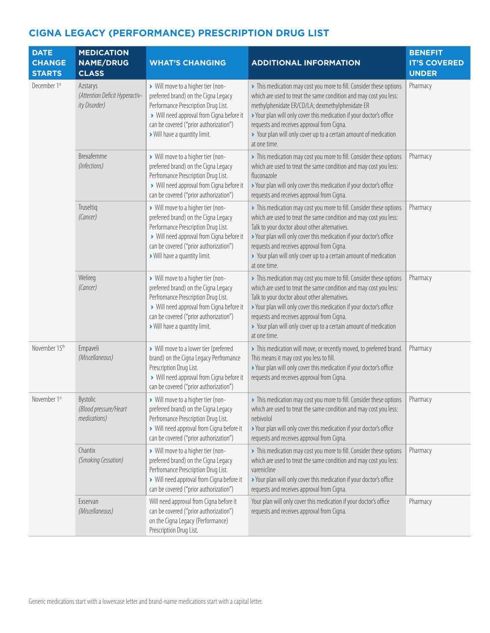| <b>DATE</b><br><b>CHANGE</b><br><b>STARTS</b> | <b>MEDICATION</b><br><b>NAME/DRUG</b><br><b>CLASS</b>       | <b>WHAT'S CHANGING</b>                                                                                                                                                                                                                    | <b>ADDITIONAL INFORMATION</b>                                                                                                                                                                                                                                                                                                                                                                        | <b>BENEFIT</b><br><b>IT'S COVERED</b><br><b>UNDER</b> |
|-----------------------------------------------|-------------------------------------------------------------|-------------------------------------------------------------------------------------------------------------------------------------------------------------------------------------------------------------------------------------------|------------------------------------------------------------------------------------------------------------------------------------------------------------------------------------------------------------------------------------------------------------------------------------------------------------------------------------------------------------------------------------------------------|-------------------------------------------------------|
| December 1st                                  | Azstarys<br>(Attention Deficit Hyperactiv-<br>ity Disorder) | > Will move to a higher tier (non-<br>preferred brand) on the Cigna Legacy<br>Performance Prescription Drug List.<br>> Will need approval from Cigna before it<br>can be covered ("prior authorization")<br>> Will have a quantity limit. | > This medication may cost you more to fill. Consider these options<br>which are used to treat the same condition and may cost you less:<br>methylphenidate ER/CD/LA; dexmethylphenidate ER<br>> Your plan will only cover this medication if your doctor's office<br>requests and receives approval from Cigna.<br>> Your plan will only cover up to a certain amount of medication<br>at one time. | Pharmacy                                              |
|                                               | Brexafemme<br>(Infections)                                  | > Will move to a higher tier (non-<br>preferred brand) on the Cigna Legacy<br>Perfromance Prescription Drug List.<br>> Will need approval from Cigna before it<br>can be covered ("prior authorization")                                  | > This medication may cost you more to fill. Consider these options<br>which are used to treat the same condition and may cost you less:<br>fluconazole<br>> Your plan will only cover this medication if your doctor's office<br>requests and receives approval from Cigna.                                                                                                                         | Pharmacy                                              |
|                                               | Truseltiq<br>(Cancer)                                       | > Will move to a higher tier (non-<br>preferred brand) on the Cigna Legacy<br>Performance Prescription Drug List.<br>> Will need approval from Cigna before it<br>can be covered ("prior authorization")<br>> Will have a quantity limit. | > This medication may cost you more to fill. Consider these options<br>which are used to treat the same condition and may cost you less:<br>Talk to your doctor about other alternatives.<br>> Your plan will only cover this medication if your doctor's office<br>requests and receives approval from Cigna.<br>> Your plan will only cover up to a certain amount of medication<br>at one time.   | Pharmacy                                              |
|                                               | Welireg<br>(Cancer)                                         | > Will move to a higher tier (non-<br>preferred brand) on the Cigna Legacy<br>Perfromance Prescription Drug List.<br>> Will need approval from Cigna before it<br>can be covered ("prior authorization")<br>> Will have a quantity limit. | > This medication may cost you more to fill. Consider these options<br>which are used to treat the same condition and may cost you less:<br>Talk to your doctor about other alternatives.<br>> Your plan will only cover this medication if your doctor's office<br>requests and receives approval from Cigna.<br>> Your plan will only cover up to a certain amount of medication<br>at one time.   | Pharmacy                                              |
| November 15th                                 | Empaveli<br>(Miscellaneous)                                 | > Will move to a lower tier (preferred<br>brand) on the Cigna Legacy Perfromance<br>Prescription Drug List.<br>> Will need approval from Cigna before it<br>can be covered ("prior authorization")                                        | > This medication will move, or recently moved, to preferred brand.<br>This means it may cost you less to fill.<br>> Your plan will only cover this medication if your doctor's office<br>requests and receives approval from Cigna.                                                                                                                                                                 | Pharmacy                                              |
| November 1st                                  | <b>Bystolic</b><br>(Blood pressure/Heart<br>medications)    | > Will move to a higher tier (non-<br>preferred brand) on the Cigna Legacy<br>Perfromance Prescription Drug List.<br>> Will need approval from Cigna before it<br>can be covered ("prior authorization")                                  | > This medication may cost you more to fill. Consider these options<br>which are used to treat the same condition and may cost you less:<br>nebivolol<br>> Your plan will only cover this medication if your doctor's office<br>requests and receives approval from Cigna.                                                                                                                           | Pharmacy                                              |
|                                               | Chantix<br>(Smoking Cessation)                              | > Will move to a higher tier (non-<br>preferred brand) on the Cigna Legacy<br>Perfromance Prescription Drug List.<br>> Will need approval from Cigna before it<br>can be covered ("prior authorization")                                  | > This medication may cost you more to fill. Consider these options<br>which are used to treat the same condition and may cost you less:<br>varenicline<br>> Your plan will only cover this medication if your doctor's office<br>requests and receives approval from Cigna.                                                                                                                         | Pharmacy                                              |
|                                               | Exservan<br>(Miscellaneous)                                 | Will need approval from Cigna before it<br>can be covered ("prior authorization")<br>on the Cigna Legacy (Performance)<br>Prescription Drug List.                                                                                         | Your plan will only cover this medication if your doctor's office<br>requests and receives approval from Cigna.                                                                                                                                                                                                                                                                                      | Pharmacy                                              |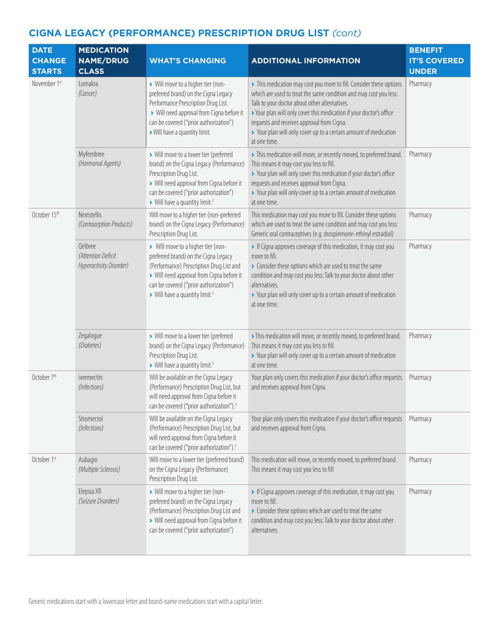| <b>DATE</b><br><b>CHANGE</b><br><b>STARTS</b> | <b>MEDICATION</b><br><b>NAME/DRUG</b><br><b>CLASS</b>    | <b>WHAT'S CHANGING</b>                                                                                                                                                                                                                                    | <b>ADDITIONAL INFORMATION</b>                                                                                                                                                                                                                                                                                                                                                                      | <b>BENEFIT</b><br><b>IT'S COVERED</b><br><b>UNDER</b> |
|-----------------------------------------------|----------------------------------------------------------|-----------------------------------------------------------------------------------------------------------------------------------------------------------------------------------------------------------------------------------------------------------|----------------------------------------------------------------------------------------------------------------------------------------------------------------------------------------------------------------------------------------------------------------------------------------------------------------------------------------------------------------------------------------------------|-------------------------------------------------------|
| November 1st                                  | Lumakra<br>(Cancer)                                      | > Will move to a higher tier (non-<br>preferred brand) on the Cigna Legacy<br>Performance Prescription Drug List.<br>> Will need approval from Cigna before it<br>can be covered ("prior authorization")<br>> Will have a quantity limit.                 | > This medication may cost you more to fill. Consider these options<br>which are used to treat the same condition and may cost you less:<br>Talk to your doctor about other alternatives.<br>> Your plan will only cover this medication if your doctor's office<br>requests and receives approval from Cigna.<br>> Your plan will only cover up to a certain amount of medication<br>at one time. | Pharmacy                                              |
|                                               | Myfembree<br>(Hormonal Agents)                           | > Will move to a lower tier (preferred<br>brand) on the Cigna Legacy (Performance)<br>Prescription Drug List.<br>> Will need approval from Cigna before it<br>can be covered ("prior authorization")<br>> Will have a quantity limit. <sup>3</sup>        | > This medication will move, or recently moved, to preferred brand.<br>This means it may cost you less to fill.<br>> Your plan will only cover this medication if your doctor's office<br>requests and receives approval from Cigna.<br>> Your plan will only cover up to a certain amount of medication<br>at one time.                                                                           | Pharmacy                                              |
| October 15th                                  | Nextstellis<br>(Contraception Products)                  | Will move to a higher tier (non-preferred<br>brand) on the Cigna Legacy (Performance)<br>Prescription Drug List.                                                                                                                                          | This medication may cost you more to fill. Consider these options<br>which are used to treat the same condition and may cost you less:<br>Generic oral contraceptives (e.g. drospirenone-ethinyl estradiol)                                                                                                                                                                                        | Pharmacy                                              |
|                                               | Qelbree<br>(Attention Deficit<br>Hyperactivity Disorder) | > Will move to a higher tier (non-<br>preferred brand) on the Cigna Legacy<br>(Performance) Prescription Drug List and<br>> Will need approval from Cigna before it<br>can be covered ("prior authorization")<br>Will have a quantity limit. <sup>3</sup> | If Cigna approves coverage of this medication, it may cost you<br>more to fill.<br>> Consider these options which are used to treat the same<br>condition and may cost you less: Talk to your doctor about other<br>alternatives.<br>> Your plan will only cover up to a certain amount of medication<br>at one time.                                                                              | Pharmacy                                              |
|                                               | Zegalogue<br>(Diabetes)                                  | > Will move to a lower tier (preferred<br>brand) on the Cigna Legacy (Performance)<br>Prescription Drug List.<br>> Will have a quantity limit. <sup>3</sup>                                                                                               | > This medication will move, or recently moved, to preferred brand.<br>This means it may cost you less to fill.<br>> Your plan will only cover up to a certain amount of medication<br>at one time.                                                                                                                                                                                                | Pharmacy                                              |
| October 7th                                   | ivermectin<br>(Infections)                               | Will be available on the Cigna Legacy<br>(Performance) Prescription Drug List, but<br>will need approval from Cigna before it<br>can be covered ("prior authorization"). <sup>3</sup>                                                                     | Your plan only covers this medication if your doctor's office requests<br>and receives approval from Cigna.                                                                                                                                                                                                                                                                                        | Pharmacy                                              |
|                                               | Stromectol<br>(Infections)                               | Will be available on the Cigna Legacy<br>(Performance) Prescription Drug List, but<br>will need approval from Cigna before it<br>can be covered ("prior authorization"). <sup>3</sup>                                                                     | Your plan only covers this medication if your doctor's office requests<br>and receives approval from Cigna.                                                                                                                                                                                                                                                                                        | Pharmacy                                              |
| October 1st                                   | Aubagio<br>(Multiple Sclerosis)                          | Will move to a lower tier (preferred brand)<br>on the Cigna Legacy (Performance)<br>Prescription Drug List.                                                                                                                                               | This medication will move, or recently moved, to preferred brand.<br>This means it may cost you less to fill                                                                                                                                                                                                                                                                                       | Pharmacy                                              |
|                                               | Elepsia XR<br>(Seizure Disorders)                        | > Will move to a higher tier (non-<br>preferred brand) on the Cigna Legacy<br>(Performance) Prescription Drug List and<br>> Will need approval from Cigna before it<br>can be covered ("prior authorization")                                             | If Cigna approves coverage of this medication, it may cost you<br>more to fill.<br>• Consider these options which are used to treat the same<br>condition and may cost you less: Talk to your doctor about other<br>alternatives.                                                                                                                                                                  | Pharmacy                                              |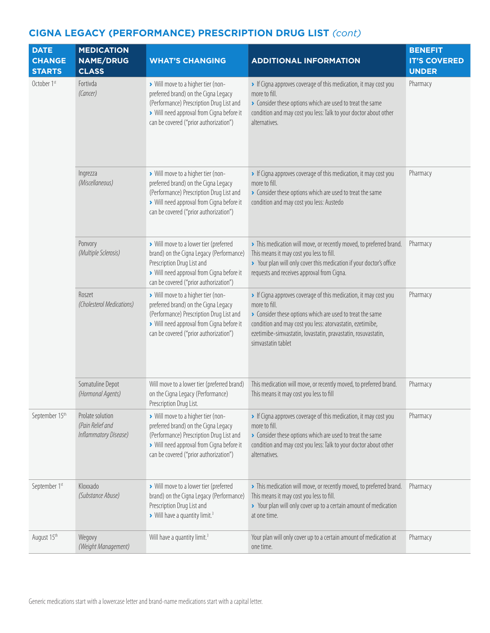| <b>DATE</b><br><b>CHANGE</b><br><b>STARTS</b> | <b>MEDICATION</b><br><b>NAME/DRUG</b><br><b>CLASS</b>         | <b>WHAT'S CHANGING</b>                                                                                                                                                                                        | <b>ADDITIONAL INFORMATION</b>                                                                                                                                                                                                                                                                  | <b>BENEFIT</b><br><b>IT'S COVERED</b><br><b>UNDER</b> |
|-----------------------------------------------|---------------------------------------------------------------|---------------------------------------------------------------------------------------------------------------------------------------------------------------------------------------------------------------|------------------------------------------------------------------------------------------------------------------------------------------------------------------------------------------------------------------------------------------------------------------------------------------------|-------------------------------------------------------|
| October 1st                                   | Fortivda<br>(Cancer)                                          | > Will move to a higher tier (non-<br>preferred brand) on the Cigna Legacy<br>(Performance) Prescription Drug List and<br>> Will need approval from Cigna before it<br>can be covered ("prior authorization") | If Cigna approves coverage of this medication, it may cost you<br>more to fill.<br>Consider these options which are used to treat the same<br>condition and may cost you less: Talk to your doctor about other<br>alternatives.                                                                | Pharmacy                                              |
|                                               | Ingrezza<br>(Miscellaneous)                                   | > Will move to a higher tier (non-<br>preferred brand) on the Cigna Legacy<br>(Performance) Prescription Drug List and<br>> Will need approval from Cigna before it<br>can be covered ("prior authorization") | If Cigna approves coverage of this medication, it may cost you<br>more to fill.<br>• Consider these options which are used to treat the same<br>condition and may cost you less: Austedo                                                                                                       | Pharmacy                                              |
|                                               | Ponvory<br>(Multiple Sclerosis)                               | > Will move to a lower tier (preferred<br>brand) on the Cigna Legacy (Performance)<br>Prescription Drug List and<br>> Will need approval from Cigna before it<br>can be covered ("prior authorization")       | > This medication will move, or recently moved, to preferred brand.<br>This means it may cost you less to fill.<br>> Your plan will only cover this medication if your doctor's office<br>requests and receives approval from Cigna.                                                           | Pharmacy                                              |
|                                               | Roszet<br>(Cholesterol Medications)                           | > Will move to a higher tier (non-<br>preferred brand) on the Cigna Legacy<br>(Performance) Prescription Drug List and<br>> Will need approval from Cigna before it<br>can be covered ("prior authorization") | If Cigna approves coverage of this medication, it may cost you<br>more to fill.<br>Consider these options which are used to treat the same<br>condition and may cost you less: atorvastatin, ezetimibe,<br>ezetimibe-simvastatin, lovastatin, pravastatin, rosuvastatin,<br>simvastatin tablet | Pharmacy                                              |
|                                               | Somatuline Depot<br>(Hormonal Agents)                         | Will move to a lower tier (preferred brand)<br>on the Cigna Legacy (Performance)<br>Prescription Drug List.                                                                                                   | This medication will move, or recently moved, to preferred brand.<br>This means it may cost you less to fill                                                                                                                                                                                   | Pharmacy                                              |
| September 15th                                | Prolate solution<br>(Pain Relief and<br>Inflammatory Disease) | > Will move to a higher tier (non-<br>preferred brand) on the Cigna Legacy<br>(Performance) Prescription Drug List and<br>> Will need approval from Cigna before it<br>can be covered ("prior authorization") | If Cigna approves coverage of this medication, it may cost you<br>more to fill.<br>Consider these options which are used to treat the same<br>condition and may cost you less: Talk to your doctor about other<br>alternatives.                                                                | Pharmacy                                              |
| September 1st                                 | Kloxxado<br>(Substance Abuse)                                 | > Will move to a lower tier (preferred<br>brand) on the Cigna Legacy (Performance)<br>Prescription Drug List and<br>> Will have a quantity limit. <sup>3</sup>                                                | > This medication will move, or recently moved, to preferred brand.<br>This means it may cost you less to fill.<br>> Your plan will only cover up to a certain amount of medication<br>at one time.                                                                                            | Pharmacy                                              |
| August 15th                                   | Wegovy<br>(Weight Management)                                 | Will have a quantity limit. <sup>3</sup>                                                                                                                                                                      | Your plan will only cover up to a certain amount of medication at<br>one time.                                                                                                                                                                                                                 | Pharmacy                                              |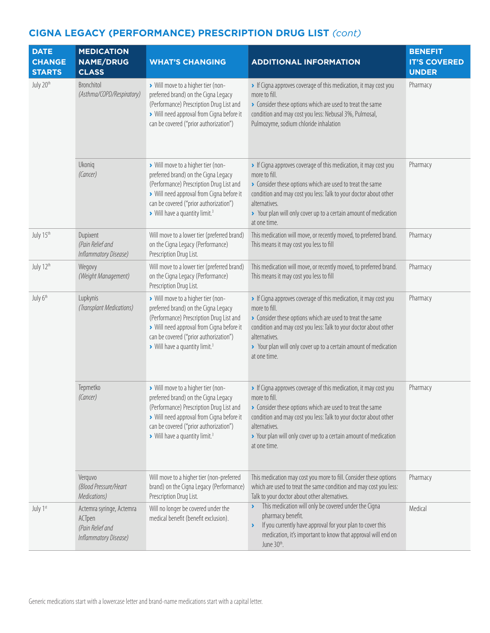| <b>DATE</b><br><b>CHANGE</b><br><b>STARTS</b> | <b>MEDICATION</b><br><b>NAME/DRUG</b><br><b>CLASS</b>                           | <b>WHAT'S CHANGING</b>                                                                                                                                                                                                                                      | <b>ADDITIONAL INFORMATION</b>                                                                                                                                                                                                                                                                                         | <b>BENEFIT</b><br><b>IT'S COVERED</b><br><b>UNDER</b> |
|-----------------------------------------------|---------------------------------------------------------------------------------|-------------------------------------------------------------------------------------------------------------------------------------------------------------------------------------------------------------------------------------------------------------|-----------------------------------------------------------------------------------------------------------------------------------------------------------------------------------------------------------------------------------------------------------------------------------------------------------------------|-------------------------------------------------------|
| July 20th                                     | Bronchitol<br>(Asthma/COPD/Respiratory)                                         | > Will move to a higher tier (non-<br>preferred brand) on the Cigna Legacy<br>(Performance) Prescription Drug List and<br>> Will need approval from Cigna before it<br>can be covered ("prior authorization")                                               | If Cigna approves coverage of this medication, it may cost you<br>more to fill.<br>> Consider these options which are used to treat the same<br>condition and may cost you less: Nebusal 3%, Pulmosal,<br>Pulmozyme, sodium chloride inhalation                                                                       | Pharmacy                                              |
|                                               | Ukoniq<br>(Cancer)                                                              | > Will move to a higher tier (non-<br>preferred brand) on the Cigna Legacy<br>(Performance) Prescription Drug List and<br>> Will need approval from Cigna before it<br>can be covered ("prior authorization")<br>> Will have a quantity limit. <sup>3</sup> | If Cigna approves coverage of this medication, it may cost you<br>more to fill.<br>Consider these options which are used to treat the same<br>condition and may cost you less: Talk to your doctor about other<br>alternatives.<br>> Your plan will only cover up to a certain amount of medication<br>at one time.   | Pharmacy                                              |
| July 15th                                     | Dupixent<br>(Pain Relief and<br>Inflammatory Disease)                           | Will move to a lower tier (preferred brand)<br>on the Cigna Legacy (Performance)<br>Prescription Drug List.                                                                                                                                                 | This medication will move, or recently moved, to preferred brand.<br>This means it may cost you less to fill                                                                                                                                                                                                          | Pharmacy                                              |
| July 12th                                     | Wegovy<br>(Weight Management)                                                   | Will move to a lower tier (preferred brand)<br>on the Cigna Legacy (Performance)<br>Prescription Drug List.                                                                                                                                                 | This medication will move, or recently moved, to preferred brand.<br>This means it may cost you less to fill                                                                                                                                                                                                          | Pharmacy                                              |
| July 6 <sup>th</sup>                          | Lupkynis<br>(Transplant Medications)                                            | > Will move to a higher tier (non-<br>preferred brand) on the Cigna Legacy<br>(Performance) Prescription Drug List and<br>> Will need approval from Cigna before it<br>can be covered ("prior authorization")<br>> Will have a quantity limit. <sup>3</sup> | If Cigna approves coverage of this medication, it may cost you<br>more to fill.<br>• Consider these options which are used to treat the same<br>condition and may cost you less: Talk to your doctor about other<br>alternatives.<br>> Your plan will only cover up to a certain amount of medication<br>at one time. | Pharmacy                                              |
|                                               | Tepmetko<br>(Cancer)                                                            | > Will move to a higher tier (non-<br>preferred brand) on the Cigna Legacy<br>(Performance) Prescription Drug List and<br>> Will need approval from Cigna before it<br>can be covered ("prior authorization")<br>> Will have a quantity limit. <sup>3</sup> | If Cigna approves coverage of this medication, it may cost you<br>more to fill.<br>• Consider these options which are used to treat the same<br>condition and may cost you less: Talk to your doctor about other<br>alternatives.<br>> Your plan will only cover up to a certain amount of medication<br>at one time. | Pharmacy                                              |
|                                               | Verguvo<br>(Blood Pressure/Heart<br>Medications)                                | Will move to a higher tier (non-preferred<br>brand) on the Cigna Legacy (Performance)<br>Prescription Drug List.                                                                                                                                            | This medication may cost you more to fill. Consider these options<br>which are used to treat the same condition and may cost you less:<br>Talk to your doctor about other alternatives.                                                                                                                               | Pharmacy                                              |
| July 1st                                      | Actemra syringe, Actemra<br>ACTpen<br>(Pain Relief and<br>Inflammatory Disease) | Will no longer be covered under the<br>medical benefit (benefit exclusion).                                                                                                                                                                                 | This medication will only be covered under the Cigna<br>pharmacy benefit.<br>If you currently have approval for your plan to cover this<br>$\blacktriangleright$<br>medication, it's important to know that approval will end on<br>June 30 <sup>th</sup> .                                                           | Medical                                               |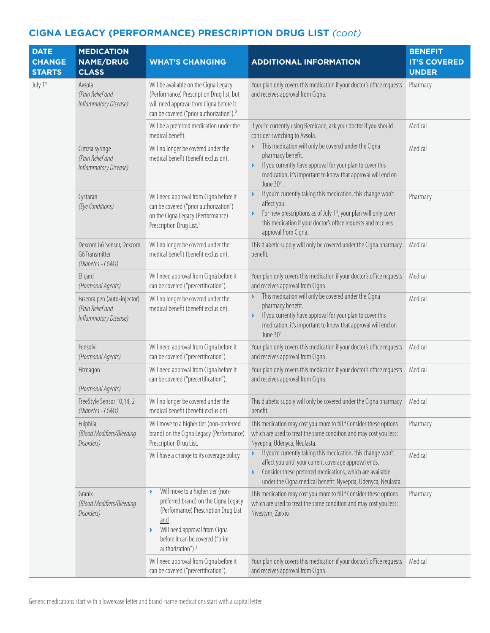| <b>DATE</b><br><b>CHANGE</b><br><b>STARTS</b> | <b>MEDICATION</b><br><b>NAME/DRUG</b><br><b>CLASS</b>                    | <b>WHAT'S CHANGING</b>                                                                                                                                                                                                                  | <b>ADDITIONAL INFORMATION</b>                                                                                                                                                                                                                                                        | <b>BENEFIT</b><br><b>IT'S COVERED</b><br><b>UNDER</b> |
|-----------------------------------------------|--------------------------------------------------------------------------|-----------------------------------------------------------------------------------------------------------------------------------------------------------------------------------------------------------------------------------------|--------------------------------------------------------------------------------------------------------------------------------------------------------------------------------------------------------------------------------------------------------------------------------------|-------------------------------------------------------|
| July 1st                                      | Avsola<br>(Pain Relief and<br>Inflammatory Disease)                      | Will be available on the Cigna Legacy<br>(Performance) Prescription Drug list, but<br>will need approval from Cigna before it<br>can be covered ("prior authorization"). <sup>3</sup>                                                   | Your plan only covers this medication if your doctor's office requests<br>and receives approval from Cigna.                                                                                                                                                                          | Pharmacy                                              |
|                                               |                                                                          | Will be a preferred medication under the<br>medical benefit.                                                                                                                                                                            | If you're currently using Remicade, ask your doctor if you should<br>consider switching to Avsola.                                                                                                                                                                                   | Medical                                               |
|                                               | Cimzia syringe<br>(Pain Relief and<br>Inflammatory Disease)              | Will no longer be covered under the<br>medical benefit (benefit exclusion).                                                                                                                                                             | This medication will only be covered under the Cigna<br>pharmacy benefit.<br>If you currently have approval for your plan to cover this<br>medication, it's important to know that approval will end on<br>June 30 <sup>th</sup> .                                                   | Medical                                               |
|                                               | Cystaran<br>(Eye Conditions)                                             | Will need approval from Cigna before it<br>can be covered ("prior authorization")<br>on the Cigna Legacy (Performance)<br>Prescription Drug List. <sup>3</sup>                                                                          | If you're currently taking this medication, this change won't<br>$\blacktriangleright$<br>affect you.<br>For new prescriptions as of July 1 <sup>st</sup> , your plan will only cover<br>this medication if your doctor's office requests and receives<br>approval from Cigna.       | Pharmacy                                              |
|                                               | Dexcom G6 Sensor, Dexcom<br>G6 Transmitter<br>(Diabetes - CGMs)          | Will no longer be covered under the<br>medical benefit (benefit exclusion).                                                                                                                                                             | This diabetic supply will only be covered under the Cigna pharmacy<br>benefit.                                                                                                                                                                                                       | Medical                                               |
|                                               | Eligard<br>(Hormonal Agents)                                             | Will need approval from Cigna before it<br>can be covered ("precertification").                                                                                                                                                         | Your plan only covers this medication if your doctor's office requests<br>and receives approval from Cigna.                                                                                                                                                                          | Medical                                               |
|                                               | Fasenra pen (auto-injector)<br>(Pain Relief and<br>Inflammatory Disease) | Will no longer be covered under the<br>medical benefit (benefit exclusion).                                                                                                                                                             | This medication will only be covered under the Cigna<br>$\blacktriangleright$<br>pharmacy benefit.<br>If you currently have approval for your plan to cover this<br>$\blacktriangleright$<br>medication, it's important to know that approval will end on<br>June 30 <sup>th</sup> . | Medical                                               |
|                                               | Fensolvi<br>(Hormonal Agents)                                            | Will need approval from Cigna before it<br>can be covered ("precertification").                                                                                                                                                         | Your plan only covers this medication if your doctor's office requests<br>and receives approval from Cigna.                                                                                                                                                                          | Medical                                               |
|                                               | Firmagon<br>(Hormonal Agents)                                            | Will need approval from Cigna before it<br>can be covered ("precertification").                                                                                                                                                         | Your plan only covers this medication if your doctor's office requests<br>and receives approval from Cigna.                                                                                                                                                                          | Medical                                               |
|                                               | FreeStyle Sensor 10,14, 2<br>(Diabetes - CGMs)                           | Will no longer be covered under the<br>medical benefit (benefit exclusion).                                                                                                                                                             | This diabetic supply will only be covered under the Cigna pharmacy<br>benefit.                                                                                                                                                                                                       | Medical                                               |
|                                               | Fulphila<br>(Blood Modifiers/Bleeding<br>Disorders)                      | Will move to a higher tier (non-preferred<br>brand) on the Cigna Legacy (Performance)<br>Prescription Drug List.                                                                                                                        | This medication may cost you more to fill. <sup>4</sup> Consider these options<br>which are used to treat the same condition and may cost you less:<br>Nyvepria, Udenyca, Neulasta.                                                                                                  | Pharmacy                                              |
|                                               |                                                                          | Will have a change to its coverage policy.                                                                                                                                                                                              | If you're currently taking this medication, this change won't<br>affect you until your current coverage approval ends.<br>Consider these preferred medications, which are available<br>under the Cigna medical benefit: Nyvepria, Udenyca, Neulasta.                                 | Medical                                               |
|                                               | Granix<br>(Blood Modifiers/Bleeding<br>Disorders)                        | Will move to a higher tier (non-<br>×<br>preferred brand) on the Cigna Legacy<br>(Performance) Prescription Drug List<br>and<br>Will need approval from Cigna<br>×<br>before it can be covered ("prior<br>authorization"). <sup>3</sup> | This medication may cost you more to fill. <sup>4</sup> Consider these options<br>which are used to treat the same condition and may cost you less:<br>Nivestym, Zarxio.                                                                                                             | Pharmacy                                              |
|                                               |                                                                          | Will need approval from Cigna before it<br>can be covered ("precertification").                                                                                                                                                         | Your plan only covers this medication if your doctor's office requests<br>and receives approval from Cigna.                                                                                                                                                                          | Medical                                               |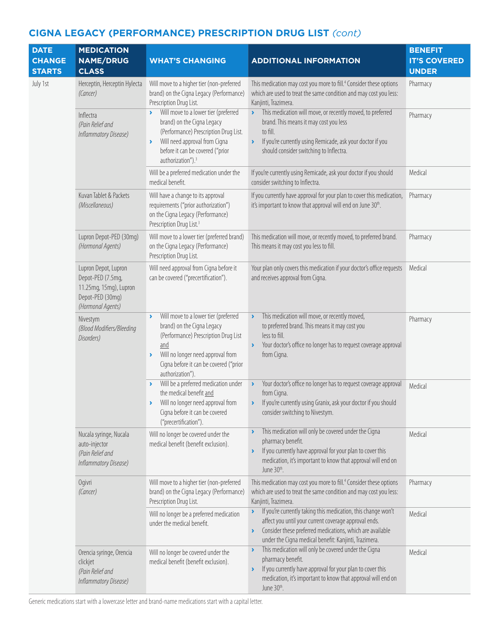| <b>DATE</b><br><b>CHANGE</b><br><b>STARTS</b> | <b>MEDICATION</b><br><b>NAME/DRUG</b><br><b>CLASS</b>                                                        | <b>WHAT'S CHANGING</b>                                                                                                                                                                                                                        | <b>ADDITIONAL INFORMATION</b>                                                                                                                                                                                                                                                                  | <b>BENEFIT</b><br><b>IT'S COVERED</b><br><b>UNDER</b> |
|-----------------------------------------------|--------------------------------------------------------------------------------------------------------------|-----------------------------------------------------------------------------------------------------------------------------------------------------------------------------------------------------------------------------------------------|------------------------------------------------------------------------------------------------------------------------------------------------------------------------------------------------------------------------------------------------------------------------------------------------|-------------------------------------------------------|
| July 1st                                      | Herceptin, Herceptin Hylecta<br>(Cancer)                                                                     | Will move to a higher tier (non-preferred<br>brand) on the Cigna Legacy (Performance)<br>Prescription Drug List.                                                                                                                              | This medication may cost you more to fill. <sup>4</sup> Consider these options<br>which are used to treat the same condition and may cost you less:<br>Kanjinti, Trazimera.                                                                                                                    | Pharmacy                                              |
|                                               | Inflectra<br>(Pain Relief and<br>Inflammatory Disease)                                                       | Will move to a lower tier (preferred<br>brand) on the Cigna Legacy<br>(Performance) Prescription Drug List.<br>Will need approval from Cigna<br>$\blacktriangleright$<br>before it can be covered ("prior<br>authorization"). <sup>3</sup>    | This medication will move, or recently moved, to preferred<br>$\blacktriangleright$<br>brand. This means it may cost you less<br>to fill.<br>If you're currently using Remicade, ask your doctor if you<br>$\blacktriangleright$<br>should consider switching to Inflectra.                    | Pharmacy                                              |
|                                               |                                                                                                              | Will be a preferred medication under the<br>medical benefit.                                                                                                                                                                                  | If you're currently using Remicade, ask your doctor if you should<br>consider switching to Inflectra.                                                                                                                                                                                          | Medical                                               |
|                                               | Kuvan Tablet & Packets<br>(Miscellaneous)                                                                    | Will have a change to its approval<br>requirements ("prior authorization")<br>on the Cigna Legacy (Performance)<br>Prescription Drug List. <sup>3</sup>                                                                                       | If you currently have approval for your plan to cover this medication,<br>it's important to know that approval will end on June 30th.                                                                                                                                                          | Pharmacy                                              |
|                                               | Lupron Depot-PED (30mq)<br>(Hormonal Agents)                                                                 | Will move to a lower tier (preferred brand)<br>on the Cigna Legacy (Performance)<br>Prescription Drug List.                                                                                                                                   | This medication will move, or recently moved, to preferred brand.<br>This means it may cost you less to fill.                                                                                                                                                                                  | Pharmacy                                              |
|                                               | Lupron Depot, Lupron<br>Depot-PED (7.5mg,<br>11.25mg, 15mg), Lupron<br>Depot-PED (30mg)<br>(Hormonal Agents) | Will need approval from Cigna before it<br>can be covered ("precertification").                                                                                                                                                               | Your plan only covers this medication if your doctor's office requests<br>and receives approval from Cigna.                                                                                                                                                                                    | Medical                                               |
|                                               | Nivestym<br>(Blood Modifiers/Bleeding<br>Disorders)                                                          | Will move to a lower tier (preferred<br>brand) on the Cigna Legacy<br>(Performance) Prescription Drug List<br>and<br>Will no longer need approval from<br>$\blacktriangleright$<br>Cigna before it can be covered ("prior<br>authorization"). | This medication will move, or recently moved,<br>$\blacktriangleright$<br>to preferred brand. This means it may cost you<br>less to fill.<br>Your doctor's office no longer has to request coverage approval<br>$\lambda$<br>from Cigna.                                                       | Pharmacy                                              |
|                                               |                                                                                                              | Will be a preferred medication under<br>the medical benefit and<br>Will no longer need approval from<br>Cigna before it can be covered<br>("precertification").                                                                               | Your doctor's office no longer has to request coverage approval<br>$\blacktriangleright$<br>from Cigna.<br>> If you're currently using Granix, ask your doctor if you should<br>consider switching to Nivestym.                                                                                | Medical                                               |
|                                               | Nucala syringe, Nucala<br>auto-injector<br>(Pain Relief and<br>Inflammatory Disease)                         | Will no longer be covered under the<br>medical benefit (benefit exclusion).                                                                                                                                                                   | This medication will only be covered under the Cigna<br>$\lambda$<br>pharmacy benefit.<br>If you currently have approval for your plan to cover this<br>medication, it's important to know that approval will end on<br>June 30 <sup>th</sup> .                                                | Medical                                               |
|                                               | Ogivri<br>(Cancer)                                                                                           | Will move to a higher tier (non-preferred<br>brand) on the Cigna Legacy (Performance)<br>Prescription Drug List.                                                                                                                              | This medication may cost you more to fill. <sup>4</sup> Consider these options<br>which are used to treat the same condition and may cost you less:<br>Kanjinti, Trazimera.                                                                                                                    | Pharmacy                                              |
|                                               |                                                                                                              | Will no longer be a preferred medication<br>under the medical benefit.                                                                                                                                                                        | If you're currently taking this medication, this change won't<br>$\blacktriangleright$<br>affect you until your current coverage approval ends.<br>Consider these preferred medications, which are available<br>$\blacktriangleright$<br>under the Cigna medical benefit: Kanjinti, Trazimera. | Medical                                               |
|                                               | Orencia syringe, Orencia<br>clickjet<br>(Pain Relief and<br>Inflammatory Disease)                            | Will no longer be covered under the<br>medical benefit (benefit exclusion).                                                                                                                                                                   | This medication will only be covered under the Cigna<br>$\blacktriangleright$<br>pharmacy benefit.<br>If you currently have approval for your plan to cover this<br>$\blacktriangleright$<br>medication, it's important to know that approval will end on<br>June 30 <sup>th</sup> .           | Medical                                               |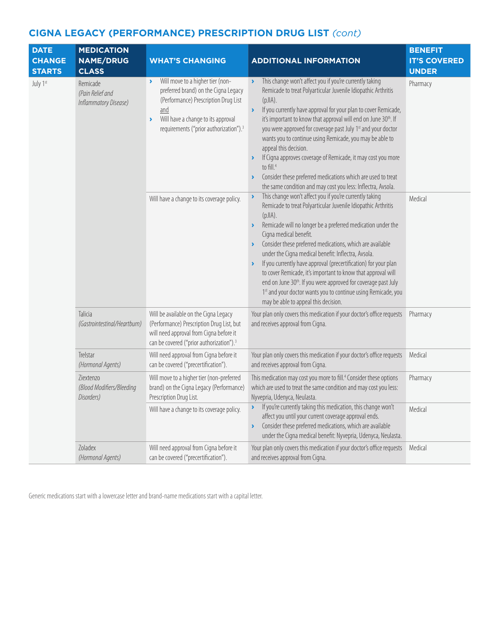| <b>DATE</b><br><b>CHANGE</b><br><b>STARTS</b> | <b>MEDICATION</b><br><b>NAME/DRUG</b><br><b>CLASS</b> | <b>WHAT'S CHANGING</b>                                                                                                                                                                                                                                                | <b>ADDITIONAL INFORMATION</b>                                                                                                                                                                                                                                                                                                                                                                                                                                                                                                                                                                                                                                                                                                                         | <b>BENEFIT</b><br><b>IT'S COVERED</b><br><b>UNDER</b> |
|-----------------------------------------------|-------------------------------------------------------|-----------------------------------------------------------------------------------------------------------------------------------------------------------------------------------------------------------------------------------------------------------------------|-------------------------------------------------------------------------------------------------------------------------------------------------------------------------------------------------------------------------------------------------------------------------------------------------------------------------------------------------------------------------------------------------------------------------------------------------------------------------------------------------------------------------------------------------------------------------------------------------------------------------------------------------------------------------------------------------------------------------------------------------------|-------------------------------------------------------|
| July 1st                                      | Remicade<br>(Pain Relief and<br>Inflammatory Disease) | Will move to a higher tier (non-<br>$\blacktriangleright$<br>preferred brand) on the Cigna Legacy<br>(Performance) Prescription Drug List<br>and<br>Will have a change to its approval<br>$\blacktriangleright$<br>requirements ("prior authorization"). <sup>3</sup> | This change won't affect you if you're currently taking<br>$\blacktriangleright$<br>Remicade to treat Polyarticular Juvenile Idiopathic Arthritis<br>$(pJ A)$ .<br>If you currently have approval for your plan to cover Remicade,<br>$\blacktriangleright$<br>it's important to know that approval will end on June 30th. If<br>you were approved for coverage past July 1st and your doctor<br>wants you to continue using Remicade, you may be able to<br>appeal this decision.<br>If Cigna approves coverage of Remicade, it may cost you more<br>to fill. <sup>4</sup><br>Consider these preferred medications which are used to treat<br>$\blacktriangleright$<br>the same condition and may cost you less: Inflectra, Avsola.                  | Pharmacy                                              |
|                                               |                                                       | Will have a change to its coverage policy.                                                                                                                                                                                                                            | This change won't affect you if you're currently taking<br>$\blacktriangleright$<br>Remicade to treat Polyarticular Juvenile Idiopathic Arthritis<br>(pJIA).<br>Remicade will no longer be a preferred medication under the<br>$\blacktriangleright$<br>Cigna medical benefit.<br>Consider these preferred medications, which are available<br>under the Cigna medical benefit: Inflectra, Avsola.<br>If you currently have approval (precertification) for your plan<br>$\blacktriangleright$<br>to cover Remicade, it's important to know that approval will<br>end on June 30 <sup>th</sup> . If you were approved for coverage past July<br>1st and your doctor wants you to continue using Remicade, you<br>may be able to appeal this decision. | Medical                                               |
|                                               | Talicia<br>(Gastrointestinal/Heartburn)               | Will be available on the Cigna Legacy<br>(Performance) Prescription Drug List, but<br>will need approval from Cigna before it<br>can be covered ("prior authorization"). <sup>3</sup>                                                                                 | Your plan only covers this medication if your doctor's office requests<br>and receives approval from Cigna.                                                                                                                                                                                                                                                                                                                                                                                                                                                                                                                                                                                                                                           | Pharmacy                                              |
|                                               | Trelstar<br>(Hormonal Agents)                         | Will need approval from Cigna before it<br>can be covered ("precertification").                                                                                                                                                                                       | Your plan only covers this medication if your doctor's office requests<br>and receives approval from Cigna.                                                                                                                                                                                                                                                                                                                                                                                                                                                                                                                                                                                                                                           | Medical                                               |
|                                               | Ziextenzo<br>(Blood Modifiers/Bleeding<br>Disorders)  | Will move to a higher tier (non-preferred<br>brand) on the Cigna Legacy (Performance)<br>Prescription Drug List.                                                                                                                                                      | This medication may cost you more to fill. <sup>4</sup> Consider these options<br>which are used to treat the same condition and may cost you less:<br>Nyvepria, Udenyca, Neulasta.                                                                                                                                                                                                                                                                                                                                                                                                                                                                                                                                                                   | Pharmacy                                              |
|                                               |                                                       | Will have a change to its coverage policy.                                                                                                                                                                                                                            | If you're currently taking this medication, this change won't<br>$\blacktriangleright$<br>affect you until your current coverage approval ends.<br>Consider these preferred medications, which are available<br>$\blacktriangleright$<br>under the Cigna medical benefit: Nyvepria, Udenyca, Neulasta.                                                                                                                                                                                                                                                                                                                                                                                                                                                | Medical                                               |
|                                               | Zoladex<br>(Hormonal Agents)                          | Will need approval from Cigna before it<br>can be covered ("precertification").                                                                                                                                                                                       | Your plan only covers this medication if your doctor's office requests<br>and receives approval from Cigna.                                                                                                                                                                                                                                                                                                                                                                                                                                                                                                                                                                                                                                           | Medical                                               |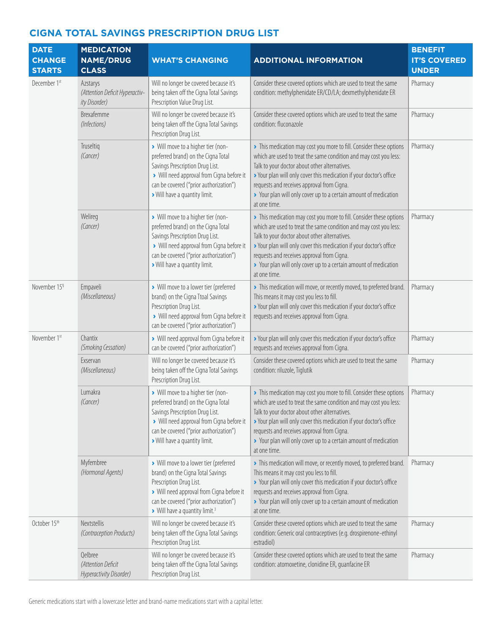| <b>DATE</b><br><b>CHANGE</b> | <b>MEDICATION</b><br><b>NAME/DRUG</b>                       | <b>WHAT'S CHANGING</b>                                                                                                                                                                                                                      | <b>ADDITIONAL INFORMATION</b>                                                                                                                                                                                                                                                                                                                                                                      | <b>BENEFIT</b><br><b>IT'S COVERED</b> |
|------------------------------|-------------------------------------------------------------|---------------------------------------------------------------------------------------------------------------------------------------------------------------------------------------------------------------------------------------------|----------------------------------------------------------------------------------------------------------------------------------------------------------------------------------------------------------------------------------------------------------------------------------------------------------------------------------------------------------------------------------------------------|---------------------------------------|
| <b>STARTS</b>                | <b>CLASS</b>                                                |                                                                                                                                                                                                                                             |                                                                                                                                                                                                                                                                                                                                                                                                    | <b>UNDER</b>                          |
| December 1st                 | Azstarys<br>(Attention Deficit Hyperactiv-<br>ity Disorder) | Will no longer be covered because it's<br>being taken off the Cigna Total Savings<br>Prescription Value Drug List.                                                                                                                          | Consider these covered options which are used to treat the same<br>condition: methylphenidate ER/CD/LA; dexmethylphenidate ER                                                                                                                                                                                                                                                                      | Pharmacy                              |
|                              | Brexafemme<br>(Infections)                                  | Will no longer be covered because it's<br>being taken off the Cigna Total Savings<br>Prescription Drug List.                                                                                                                                | Consider these covered options which are used to treat the same<br>condition: fluconazole                                                                                                                                                                                                                                                                                                          | Pharmacy                              |
|                              | Truseltig<br>(Cancer)                                       | > Will move to a higher tier (non-<br>preferred brand) on the Cigna Total<br>Savings Prescription Drug List.<br>> Will need approval from Cigna before it<br>can be covered ("prior authorization")<br>> Will have a quantity limit.        | > This medication may cost you more to fill. Consider these options<br>which are used to treat the same condition and may cost you less:<br>Talk to your doctor about other alternatives.<br>> Your plan will only cover this medication if your doctor's office<br>requests and receives approval from Cigna.<br>> Your plan will only cover up to a certain amount of medication<br>at one time. | Pharmacy                              |
|                              | Welireg<br>(Cancer)                                         | > Will move to a higher tier (non-<br>preferred brand) on the Cigna Total<br>Savings Prescription Drug List.<br>> Will need approval from Cigna before it<br>can be covered ("prior authorization")<br>> Will have a quantity limit.        | > This medication may cost you more to fill. Consider these options<br>which are used to treat the same condition and may cost you less:<br>Talk to your doctor about other alternatives.<br>> Your plan will only cover this medication if your doctor's office<br>requests and receives approval from Cigna.<br>> Your plan will only cover up to a certain amount of medication<br>at one time. | Pharmacy                              |
| November 15 <sup>tj</sup>    | Empaveli<br>(Miscellaneous)                                 | > Will move to a lower tier (preferred<br>brand) on the Cigna Ttoal Savings<br>Prescription Drug List.<br>> Will need approval from Cigna before it<br>can be covered ("prior authorization")                                               | > This medication will move, or recently moved, to preferred brand.<br>This means it may cost you less to fill.<br>> Your plan will only cover this medication if your doctor's office<br>requests and receives approval from Cigna.                                                                                                                                                               | Pharmacy                              |
| November 1st                 | Chantix<br>(Smoking Cessation)                              | > Will need approval from Cigna before it<br>can be covered ("prior authorization")                                                                                                                                                         | > Your plan will only cover this medication if your doctor's office<br>requests and receives approval from Cigna.                                                                                                                                                                                                                                                                                  | Pharmacy                              |
|                              | Exservan<br>(Miscellaneous)                                 | Will no longer be covered because it's<br>being taken off the Cigna Total Savings<br>Prescription Drug List.                                                                                                                                | Consider these covered options which are used to treat the same<br>condition: riluzole, Tiglutik                                                                                                                                                                                                                                                                                                   | Pharmacy                              |
|                              | Lumakra<br>(Cancer)                                         | > Will move to a higher tier (non-<br>preferred brand) on the Cigna Total<br>Savings Prescription Drug List.<br>> Will need approval from Cigna before it<br>can be covered ("prior authorization")<br>> Will have a quantity limit.        | > This medication may cost you more to fill. Consider these options<br>which are used to treat the same condition and may cost you less:<br>Talk to your doctor about other alternatives.<br>> Your plan will only cover this medication if your doctor's office<br>requests and receives approval from Cigna.<br>> Your plan will only cover up to a certain amount of medication<br>at one time. | Pharmacy                              |
|                              | Myfembree<br>(Hormonal Agents)                              | > Will move to a lower tier (preferred<br>brand) on the Cigna Total Savings<br>Prescription Drug List.<br>> Will need approval from Cigna before it<br>can be covered ("prior authorization")<br>> Will have a quantity limit. <sup>3</sup> | > This medication will move, or recently moved, to preferred brand.<br>This means it may cost you less to fill.<br>> Your plan will only cover this medication if your doctor's office<br>requests and receives approval from Cigna.<br>> Your plan will only cover up to a certain amount of medication<br>at one time.                                                                           | Pharmacy                              |
| October 15th                 | Nextstellis<br>(Contraception Products)                     | Will no longer be covered because it's<br>being taken off the Cigna Total Savings<br>Prescription Drug List.                                                                                                                                | Consider these covered options which are used to treat the same<br>condition: Generic oral contraceptives (e.g. drospirenone-ethinyl<br>estradiol)                                                                                                                                                                                                                                                 | Pharmacy                              |
|                              | Qelbree<br>(Attention Deficit<br>Hyperactivity Disorder)    | Will no longer be covered because it's<br>being taken off the Cigna Total Savings<br>Prescription Drug List.                                                                                                                                | Consider these covered options which are used to treat the same<br>condition: atomoxetine, clonidine ER, guanfacine ER                                                                                                                                                                                                                                                                             | Pharmacy                              |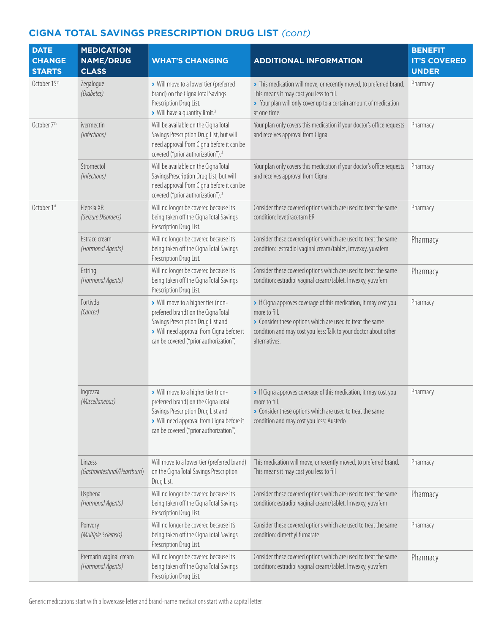| <b>DATE</b><br><b>CHANGE</b> | <b>MEDICATION</b><br><b>NAME/DRUG</b>       | <b>WHAT'S CHANGING</b>                                                                                                                                                                                 | <b>ADDITIONAL INFORMATION</b>                                                                                                                                                                                                     | <b>BENEFIT</b><br><b>IT'S COVERED</b> |
|------------------------------|---------------------------------------------|--------------------------------------------------------------------------------------------------------------------------------------------------------------------------------------------------------|-----------------------------------------------------------------------------------------------------------------------------------------------------------------------------------------------------------------------------------|---------------------------------------|
| <b>STARTS</b>                | <b>CLASS</b>                                |                                                                                                                                                                                                        |                                                                                                                                                                                                                                   | <b>UNDER</b>                          |
| October 15th                 | Zegalogue<br>(Diabetes)                     | > Will move to a lower tier (preferred<br>brand) on the Cigna Total Savings<br>Prescription Drug List.<br>> Will have a quantity limit. <sup>3</sup>                                                   | > This medication will move, or recently moved, to preferred brand.<br>This means it may cost you less to fill.<br>> Your plan will only cover up to a certain amount of medication<br>at one time.                               | Pharmacy                              |
| October 7th                  | ivermectin<br>(Infections)                  | Will be available on the Cigna Total<br>Savings Prescription Drug List, but will<br>need approval from Cigna before it can be<br>covered ("prior authorization"). <sup>3</sup>                         | Your plan only covers this medication if your doctor's office requests<br>and receives approval from Cigna.                                                                                                                       | Pharmacy                              |
|                              | Stromectol<br>(Infections)                  | Will be available on the Cigna Total<br>SavingsPrescription Drug List, but will<br>need approval from Cigna before it can be<br>covered ("prior authorization"). <sup>3</sup>                          | Your plan only covers this medication if your doctor's office requests<br>and receives approval from Cigna.                                                                                                                       | Pharmacy                              |
| October 1st                  | Elepsia XR<br>(Seizure Disorders)           | Will no longer be covered because it's<br>being taken off the Cigna Total Savings<br>Prescription Drug List.                                                                                           | Consider these covered options which are used to treat the same<br>condition: levetiracetam ER                                                                                                                                    | Pharmacy                              |
|                              | Estrace cream<br>(Hormonal Agents)          | Will no longer be covered because it's<br>being taken off the Cigna Total Savings<br>Prescription Drug List.                                                                                           | Consider these covered options which are used to treat the same<br>condition: estradiol vaginal cream/tablet, Imvexxy, yuvafem                                                                                                    | Pharmacy                              |
|                              | Estring<br>(Hormonal Agents)                | Will no longer be covered because it's<br>being taken off the Cigna Total Savings<br>Prescription Drug List.                                                                                           | Consider these covered options which are used to treat the same<br>condition: estradiol vaginal cream/tablet, Imvexxy, yuvafem                                                                                                    | Pharmacy                              |
|                              | Fortivda<br>(Cancer)                        | > Will move to a higher tier (non-<br>preferred brand) on the Cigna Total<br>Savings Prescription Drug List and<br>> Will need approval from Cigna before it<br>can be covered ("prior authorization") | If Cigna approves coverage of this medication, it may cost you<br>more to fill.<br>• Consider these options which are used to treat the same<br>condition and may cost you less: Talk to your doctor about other<br>alternatives. | Pharmacy                              |
|                              | Ingrezza<br>(Miscellaneous)                 | > Will move to a higher tier (non-<br>preferred brand) on the Cigna Total<br>Savings Prescription Drug List and<br>> Will need approval from Cigna before it<br>can be covered ("prior authorization") | If Cigna approves coverage of this medication, it may cost you<br>more to fill.<br>• Consider these options which are used to treat the same<br>condition and may cost you less: Austedo                                          | Pharmacy                              |
|                              | Linzess<br>(Gastrointestinal/Heartburn)     | Will move to a lower tier (preferred brand)<br>on the Cigna Total Savings Prescription<br>Drug List.                                                                                                   | This medication will move, or recently moved, to preferred brand.<br>This means it may cost you less to fill                                                                                                                      | Pharmacy                              |
|                              | Osphena<br>(Hormonal Agents)                | Will no longer be covered because it's<br>being taken off the Cigna Total Savings<br>Prescription Drug List.                                                                                           | Consider these covered options which are used to treat the same<br>condition: estradiol vaginal cream/tablet, Imvexxy, yuvafem                                                                                                    | Pharmacy                              |
|                              | Ponvory<br>(Multiple Sclerosis)             | Will no longer be covered because it's<br>being taken off the Cigna Total Savings<br>Prescription Drug List.                                                                                           | Consider these covered options which are used to treat the same<br>condition: dimethyl fumarate                                                                                                                                   | Pharmacy                              |
|                              | Premarin vaginal cream<br>(Hormonal Agents) | Will no longer be covered because it's<br>being taken off the Cigna Total Savings<br>Prescription Drug List.                                                                                           | Consider these covered options which are used to treat the same<br>condition: estradiol vaginal cream/tablet, Imvexxy, yuvafem                                                                                                    | Pharmacy                              |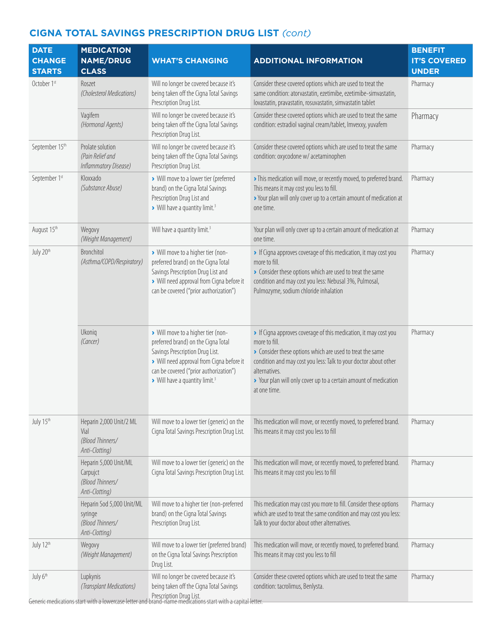| <b>DATE</b><br><b>CHANGE</b><br><b>STARTS</b> | <b>MEDICATION</b><br><b>NAME/DRUG</b><br><b>CLASS</b>                      | <b>WHAT'S CHANGING</b>                                                                                                                                                                                                                            | <b>ADDITIONAL INFORMATION</b>                                                                                                                                                                                                                                                                                       | <b>BENEFIT</b><br><b>IT'S COVERED</b><br><b>UNDER</b> |
|-----------------------------------------------|----------------------------------------------------------------------------|---------------------------------------------------------------------------------------------------------------------------------------------------------------------------------------------------------------------------------------------------|---------------------------------------------------------------------------------------------------------------------------------------------------------------------------------------------------------------------------------------------------------------------------------------------------------------------|-------------------------------------------------------|
| October 1st                                   | Roszet<br>(Cholesterol Medications)                                        | Will no longer be covered because it's<br>being taken off the Cigna Total Savings<br>Prescription Drug List.                                                                                                                                      | Consider these covered options which are used to treat the<br>same condition: atorvastatin, ezetimibe, ezetimibe-simvastatin,<br>lovastatin, pravastatin, rosuvastatin, simvastatin tablet                                                                                                                          | Pharmacy                                              |
|                                               | Vagifem<br>(Hormonal Agents)                                               | Will no longer be covered because it's<br>being taken off the Cigna Total Savings<br>Prescription Drug List.                                                                                                                                      | Consider these covered options which are used to treat the same<br>condition: estradiol vaginal cream/tablet, Imvexxy, yuvafem                                                                                                                                                                                      | Pharmacy                                              |
| September 15th                                | Prolate solution<br>(Pain Relief and<br>Inflammatory Disease)              | Will no longer be covered because it's<br>being taken off the Cigna Total Savings<br>Prescription Drug List.                                                                                                                                      | Consider these covered options which are used to treat the same<br>condition: oxycodone w/ acetaminophen                                                                                                                                                                                                            | Pharmacy                                              |
| September 1st                                 | Kloxxado<br>(Substance Abuse)                                              | > Will move to a lower tier (preferred<br>brand) on the Cigna Total Savings<br>Prescription Drug List and<br>> Will have a quantity limit. <sup>3</sup>                                                                                           | > This medication will move, or recently moved, to preferred brand.<br>This means it may cost you less to fill.<br>> Your plan will only cover up to a certain amount of medication at<br>one time.                                                                                                                 | Pharmacy                                              |
| August 15th                                   | Wegovy<br>(Weight Management)                                              | Will have a quantity limit. <sup>3</sup>                                                                                                                                                                                                          | Your plan will only cover up to a certain amount of medication at<br>one time.                                                                                                                                                                                                                                      | Pharmacy                                              |
| July 20th                                     | Bronchitol<br>(Asthma/COPD/Respiratory)                                    | > Will move to a higher tier (non-<br>preferred brand) on the Cigna Total<br>Savings Prescription Drug List and<br>> Will need approval from Cigna before it<br>can be covered ("prior authorization")                                            | If Cigna approves coverage of this medication, it may cost you<br>more to fill.<br>Consider these options which are used to treat the same<br>condition and may cost you less: Nebusal 3%, Pulmosal,<br>Pulmozyme, sodium chloride inhalation                                                                       | Pharmacy                                              |
|                                               | Ukoniq<br>(Cancer)                                                         | > Will move to a higher tier (non-<br>preferred brand) on the Cigna Total<br>Savings Prescription Drug List.<br>> Will need approval from Cigna before it<br>can be covered ("prior authorization")<br>> Will have a quantity limit. <sup>3</sup> | If Cigna approves coverage of this medication, it may cost you<br>more to fill.<br>Consider these options which are used to treat the same<br>condition and may cost you less: Talk to your doctor about other<br>alternatives.<br>> Your plan will only cover up to a certain amount of medication<br>at one time. | Pharmacy                                              |
| July 15th                                     | Heparin 2,000 Unit/2 ML<br>Vial<br>(Blood Thinners/<br>Anti-Clotting)      | Will move to a lower tier (generic) on the<br>Cigna Total Savings Prescription Drug List.                                                                                                                                                         | This medication will move, or recently moved, to preferred brand.<br>This means it may cost you less to fill                                                                                                                                                                                                        | Pharmacy                                              |
|                                               | Heparin 5,000 Unit/ML<br>Carpujct<br>(Blood Thinners/<br>Anti-Clotting)    | Will move to a lower tier (generic) on the<br>Cigna Total Savings Prescription Drug List.                                                                                                                                                         | This medication will move, or recently moved, to preferred brand.<br>This means it may cost you less to fill                                                                                                                                                                                                        | Pharmacy                                              |
|                                               | Heparin Sod 5,000 Unit/ML<br>syringe<br>(Blood Thinners/<br>Anti-Clotting) | Will move to a higher tier (non-preferred<br>brand) on the Cigna Total Savings<br>Prescription Drug List.                                                                                                                                         | This medication may cost you more to fill. Consider these options<br>which are used to treat the same condition and may cost you less:<br>Talk to your doctor about other alternatives.                                                                                                                             | Pharmacy                                              |
| July 12th                                     | Wegovy<br>(Weight Management)                                              | Will move to a lower tier (preferred brand)<br>on the Cigna Total Savings Prescription<br>Drug List.                                                                                                                                              | This medication will move, or recently moved, to preferred brand.<br>This means it may cost you less to fill                                                                                                                                                                                                        | Pharmacy                                              |
| July 6th                                      | Lupkynis<br>(Transplant Medications)                                       | Will no longer be covered because it's<br>being taken off the Cigna Total Savings<br>Prescription Drug List.<br>Generic medications start with a lowercase letter and brand-name medications start with a capital letter.                         | Consider these covered options which are used to treat the same<br>condition: tacrolimus, Benlysta.                                                                                                                                                                                                                 | Pharmacy                                              |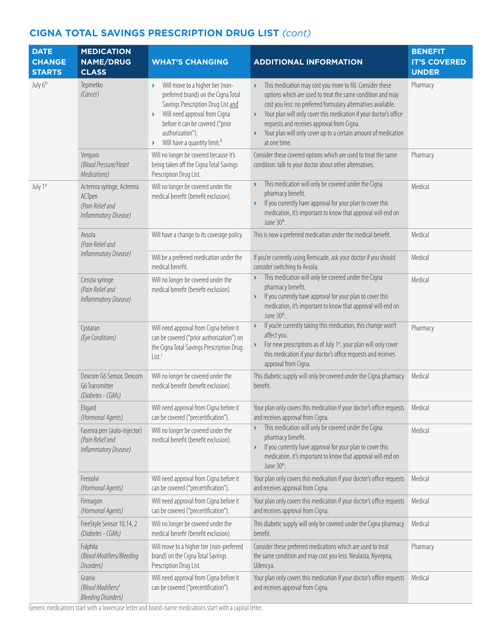| <b>DATE</b><br><b>CHANGE</b><br><b>STARTS</b> | <b>MEDICATION</b><br><b>NAME/DRUG</b><br><b>CLASS</b>                           | <b>WHAT'S CHANGING</b>                                                                                                                                                                                                                                             | <b>ADDITIONAL INFORMATION</b>                                                                                                                                                                                                                                                                                                                                                                                                                         | <b>BENEFIT</b><br><b>IT'S COVERED</b><br><b>UNDER</b> |
|-----------------------------------------------|---------------------------------------------------------------------------------|--------------------------------------------------------------------------------------------------------------------------------------------------------------------------------------------------------------------------------------------------------------------|-------------------------------------------------------------------------------------------------------------------------------------------------------------------------------------------------------------------------------------------------------------------------------------------------------------------------------------------------------------------------------------------------------------------------------------------------------|-------------------------------------------------------|
| July 6th                                      | Tepmetko<br>(Cancer)                                                            | Will move to a higher tier (non-<br>×.<br>preferred brand) on the Cigna Total<br>Savings Prescription Drug List and<br>Will need approval from Cigna<br>×<br>before it can be covered ("prior<br>authorization").<br>Will have a quantity limit. <sup>3</sup><br>× | This medication may cost you more to fill. Consider these<br>$\blacktriangleright$<br>options which are used to treat the same condition and may<br>cost you less: no preferred formulary alternatives available.<br>Your plan will only cover this medication if your doctor's office<br>$\blacktriangleright$<br>requests and receives approval from Cigna.<br>Your plan will only cover up to a certain amount of medication<br>×.<br>at one time. | Pharmacy                                              |
|                                               | Verquvo<br>(Blood Pressure/Heart<br>Medications)                                | Will no longer be covered because it's<br>being taken off the Cigna Total Savings<br>Prescription Drug List.                                                                                                                                                       | Consider these covered options which are used to treat the same<br>condition: talk to your doctor about other alternatives.                                                                                                                                                                                                                                                                                                                           | Pharmacy                                              |
| July 1st                                      | Actemra syringe, Actemra<br>ACTpen<br>(Pain Relief and<br>Inflammatory Disease) | Will no longer be covered under the<br>medical benefit (benefit exclusion).                                                                                                                                                                                        | This medication will only be covered under the Cigna<br>Y<br>pharmacy benefit.<br>If you currently have approval for your plan to cover this<br>$\blacktriangleright$<br>medication, it's important to know that approval will end on<br>June 30 <sup>th</sup> .                                                                                                                                                                                      | Medical                                               |
|                                               | Avsola<br>(Pain Relief and                                                      | Will have a change to its coverage policy.                                                                                                                                                                                                                         | This is now a preferred medication under the medical benefit.                                                                                                                                                                                                                                                                                                                                                                                         | Medical                                               |
|                                               | Inflammatory Disease)                                                           | Will be a preferred medication under the<br>medical benefit.                                                                                                                                                                                                       | If you're currently using Remicade, ask your doctor if you should<br>consider switching to Avsola.                                                                                                                                                                                                                                                                                                                                                    | Medical                                               |
|                                               | Cimzia syringe<br>(Pain Relief and<br>Inflammatory Disease)                     | Will no longer be covered under the<br>medical benefit (benefit exclusion).                                                                                                                                                                                        | This medication will only be covered under the Cigna<br>$\blacktriangleright$<br>pharmacy benefit.<br>If you currently have approval for your plan to cover this<br>Y<br>medication, it's important to know that approval will end on<br>June 30 <sup>th</sup> .                                                                                                                                                                                      | Medical                                               |
|                                               | Cystaran<br>(Eye Conditions)                                                    | Will need approval from Cigna before it<br>can be covered ("prior authorization") on<br>the Cigna Total Savings Prescription Drug<br>List. <sup>3</sup>                                                                                                            | If you're currently taking this medication, this change won't<br>$\blacktriangleright$<br>affect you.<br>For new prescriptions as of July 1 <sup>st</sup> , your plan will only cover<br>×<br>this medication if your doctor's office requests and receives<br>approval from Cigna.                                                                                                                                                                   | Pharmacy                                              |
|                                               | Dexcom G6 Sensor, Dexcom<br>G6 Transmitter<br>(Diabetes - CGMs)                 | Will no longer be covered under the<br>medical benefit (benefit exclusion).                                                                                                                                                                                        | This diabetic supply will only be covered under the Cigna pharmacy<br>benefit.                                                                                                                                                                                                                                                                                                                                                                        | Medical                                               |
|                                               | Eligard<br>(Hormonal Agents)                                                    | Will need approval from Cigna before it<br>can be covered ("precertification").                                                                                                                                                                                    | Your plan only covers this medication if your doctor's office requests<br>and receives approval from Cigna.                                                                                                                                                                                                                                                                                                                                           | Medical                                               |
|                                               | Fasenra pen (auto-injector)<br>(Pain Relief and<br>Inflammatory Disease)        | Will no longer be covered under the<br>medical benefit (benefit exclusion).                                                                                                                                                                                        | This medication will only be covered under the Cigna<br>pharmacy benefit.<br>If you currently have approval for your plan to cover this<br>$\blacktriangleright$<br>medication, it's important to know that approval will end on<br>June 30th.                                                                                                                                                                                                        | Medical                                               |
|                                               | Fensolvi<br>(Hormonal Agents)                                                   | Will need approval from Cigna before it<br>can be covered ("precertification").                                                                                                                                                                                    | Your plan only covers this medication if your doctor's office requests<br>and receives approval from Cigna.                                                                                                                                                                                                                                                                                                                                           | Medical                                               |
|                                               | Firmagon<br>(Hormonal Agents)                                                   | Will need approval from Cigna before it<br>can be covered ("precertification").                                                                                                                                                                                    | Your plan only covers this medication if your doctor's office requests<br>and receives approval from Cigna.                                                                                                                                                                                                                                                                                                                                           | Medical                                               |
|                                               | FreeStyle Sensor 10,14, 2<br>(Diabetes - CGMs)                                  | Will no longer be covered under the<br>medical benefit (benefit exclusion).                                                                                                                                                                                        | This diabetic supply will only be covered under the Cigna pharmacy<br>benefit.                                                                                                                                                                                                                                                                                                                                                                        | Medical                                               |
|                                               | Fulphila<br>(Blood Modifiers/Bleeding<br>Disorders)                             | Will move to a higher tier (non-preferred<br>brand) on the Cigna Total Savings<br>Prescription Drug List.                                                                                                                                                          | Consider these preferred medications which are used to treat<br>the same condition and may cost you less: Neulasta, Nyvepria,<br>Udencya.                                                                                                                                                                                                                                                                                                             | Pharmacy                                              |
|                                               | Granix<br>(Blood Modifiers/<br><b>Bleeding Disorders)</b>                       | Will need approval from Cigna before it<br>can be covered ("precertification").                                                                                                                                                                                    | Your plan only covers this medication if your doctor's office requests<br>and receives approval from Cigna.                                                                                                                                                                                                                                                                                                                                           | Medical                                               |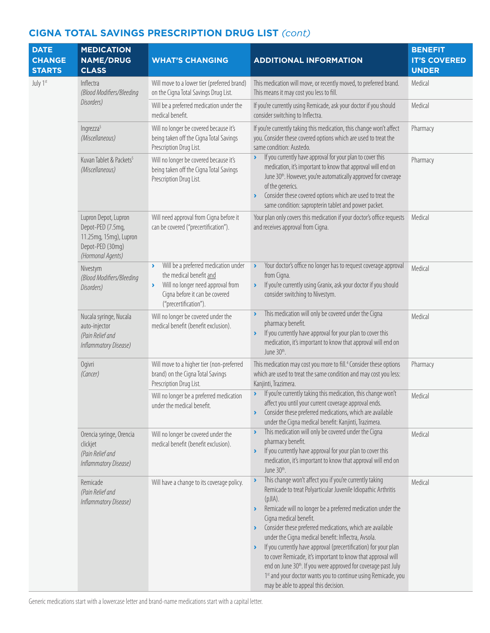| <b>DATE</b><br><b>CHANGE</b><br><b>STARTS</b> | <b>MEDICATION</b><br><b>NAME/DRUG</b><br><b>CLASS</b>                                                        | <b>WHAT'S CHANGING</b>                                                                                                                                                                         | <b>ADDITIONAL INFORMATION</b>                                                                                                                                                                                                                                                                                                                                                                                                                                                                                                                                                                                                                                                                                                                            | <b>BENEFIT</b><br><b>IT'S COVERED</b><br><b>UNDER</b> |
|-----------------------------------------------|--------------------------------------------------------------------------------------------------------------|------------------------------------------------------------------------------------------------------------------------------------------------------------------------------------------------|----------------------------------------------------------------------------------------------------------------------------------------------------------------------------------------------------------------------------------------------------------------------------------------------------------------------------------------------------------------------------------------------------------------------------------------------------------------------------------------------------------------------------------------------------------------------------------------------------------------------------------------------------------------------------------------------------------------------------------------------------------|-------------------------------------------------------|
| July 1st                                      | Inflectra<br>(Blood Modifiers/Bleeding                                                                       | Will move to a lower tier (preferred brand)<br>on the Cigna Total Savings Drug List.                                                                                                           | This medication will move, or recently moved, to preferred brand.<br>This means it may cost you less to fill.                                                                                                                                                                                                                                                                                                                                                                                                                                                                                                                                                                                                                                            | Medical                                               |
|                                               | Disorders)                                                                                                   | Will be a preferred medication under the<br>medical benefit.                                                                                                                                   | If you're currently using Remicade, ask your doctor if you should<br>consider switching to Inflectra.                                                                                                                                                                                                                                                                                                                                                                                                                                                                                                                                                                                                                                                    | Medical                                               |
|                                               | Ingrezza <sup>5</sup><br>(Miscellaneous)                                                                     | Will no longer be covered because it's<br>being taken off the Cigna Total Savings<br>Prescription Drug List.                                                                                   | If you're currently taking this medication, this change won't affect<br>you. Consider these covered options which are used to treat the<br>same condition: Austedo.                                                                                                                                                                                                                                                                                                                                                                                                                                                                                                                                                                                      | Pharmacy                                              |
|                                               | Kuvan Tablet & Packets <sup>5</sup><br>(Miscellaneous)                                                       | Will no longer be covered because it's<br>being taken off the Cigna Total Savings<br>Prescription Drug List.                                                                                   | If you currently have approval for your plan to cover this<br>$\blacktriangleright$<br>medication, it's important to know that approval will end on<br>June 30th. However, you're automatically approved for coverage<br>of the generics.<br>Consider these covered options which are used to treat the<br>$\blacktriangleright$<br>same condition: sapropterin tablet and power packet.                                                                                                                                                                                                                                                                                                                                                                 | Pharmacy                                              |
|                                               | Lupron Depot, Lupron<br>Depot-PED (7.5mg,<br>11.25mg, 15mg), Lupron<br>Depot-PED (30mg)<br>(Hormonal Agents) | Will need approval from Cigna before it<br>can be covered ("precertification").                                                                                                                | Your plan only covers this medication if your doctor's office requests<br>and receives approval from Cigna.                                                                                                                                                                                                                                                                                                                                                                                                                                                                                                                                                                                                                                              | Medical                                               |
|                                               | Nivestym<br>(Blood Modifiers/Bleeding<br>Disorders)                                                          | Will be a preferred medication under<br>×.<br>the medical benefit and<br>Will no longer need approval from<br>$\blacktriangleright$<br>Cigna before it can be covered<br>("precertification"). | Your doctor's office no longer has to request coverage approval<br>$\blacktriangleright$<br>from Cigna.<br>If you're currently using Granix, ask your doctor if you should<br>$\blacktriangleright$<br>consider switching to Nivestym.                                                                                                                                                                                                                                                                                                                                                                                                                                                                                                                   | Medical                                               |
|                                               | Nucala syringe, Nucala<br>auto-injector<br>(Pain Relief and<br>Inflammatory Disease)                         | Will no longer be covered under the<br>medical benefit (benefit exclusion).                                                                                                                    | This medication will only be covered under the Cigna<br>$\blacktriangleright$<br>pharmacy benefit.<br>If you currently have approval for your plan to cover this<br>$\blacktriangleright$<br>medication, it's important to know that approval will end on<br>June 30th.                                                                                                                                                                                                                                                                                                                                                                                                                                                                                  | Medical                                               |
|                                               | Ogivri<br>(Cancer)                                                                                           | Will move to a higher tier (non-preferred<br>brand) on the Cigna Total Savings<br>Prescription Drug List.                                                                                      | This medication may cost you more to fill. <sup>4</sup> Consider these options<br>which are used to treat the same condition and may cost you less:<br>Kanjinti, Trazimera.                                                                                                                                                                                                                                                                                                                                                                                                                                                                                                                                                                              | Pharmacy                                              |
|                                               |                                                                                                              | Will no longer be a preferred medication<br>under the medical benefit.                                                                                                                         | If you're currently taking this medication, this change won't<br>$\blacktriangleright$<br>affect you until your current coverage approval ends.<br>Consider these preferred medications, which are available<br>under the Cigna medical benefit: Kanjinti, Trazimera.                                                                                                                                                                                                                                                                                                                                                                                                                                                                                    | Medical                                               |
|                                               | Orencia syringe, Orencia<br>clickjet<br>(Pain Relief and<br>Inflammatory Disease)                            | Will no longer be covered under the<br>medical benefit (benefit exclusion).                                                                                                                    | This medication will only be covered under the Cigna<br>$\blacktriangleright$<br>pharmacy benefit.<br>If you currently have approval for your plan to cover this<br>$\blacktriangleright$<br>medication, it's important to know that approval will end on<br>June 30th.                                                                                                                                                                                                                                                                                                                                                                                                                                                                                  | Medical                                               |
|                                               | Remicade<br>(Pain Relief and<br>Inflammatory Disease)                                                        | Will have a change to its coverage policy.                                                                                                                                                     | This change won't affect you if you're currently taking<br>$\blacktriangleright$<br>Remicade to treat Polyarticular Juvenile Idiopathic Arthritis<br>$(pJIA)$ .<br>Remicade will no longer be a preferred medication under the<br>$\blacktriangleright$<br>Cigna medical benefit.<br>Consider these preferred medications, which are available<br>under the Cigna medical benefit: Inflectra, Avsola.<br>If you currently have approval (precertification) for your plan<br>$\blacktriangleright$<br>to cover Remicade, it's important to know that approval will<br>end on June 30 <sup>th</sup> . If you were approved for coverage past July<br>1st and your doctor wants you to continue using Remicade, you<br>may be able to appeal this decision. | Medical                                               |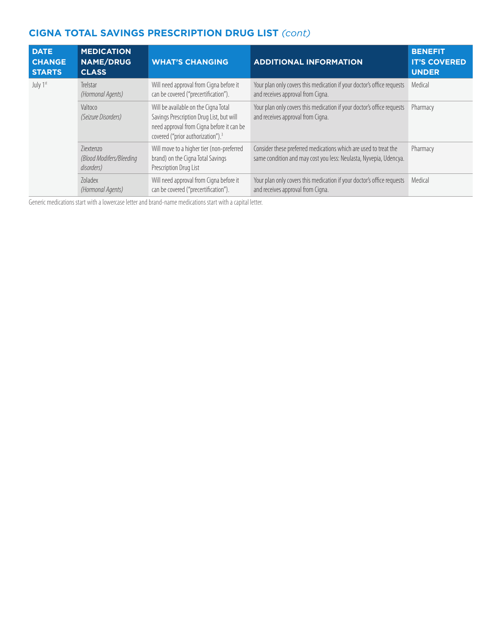| <b>DATE</b><br><b>CHANGE</b><br><b>STARTS</b> | <b>MEDICATION</b><br><b>NAME/DRUG</b><br><b>CLASS</b> | <b>WHAT'S CHANGING</b>                                                                                                                                                         | <b>ADDITIONAL INFORMATION</b>                                                                                                         | <b>BENEFIT</b><br><b>IT'S COVERED</b><br><b>UNDER</b> |
|-----------------------------------------------|-------------------------------------------------------|--------------------------------------------------------------------------------------------------------------------------------------------------------------------------------|---------------------------------------------------------------------------------------------------------------------------------------|-------------------------------------------------------|
| July 1st                                      | Trelstar<br>(Hormonal Agents)                         | Will need approval from Cigna before it<br>can be covered ("precertification").                                                                                                | Your plan only covers this medication if your doctor's office requests<br>and receives approval from Cigna.                           | Medical                                               |
|                                               | Valtoco<br>(Seizure Disorders)                        | Will be available on the Cigna Total<br>Savings Prescription Drug List, but will<br>need approval from Cigna before it can be<br>covered ("prior authorization"). <sup>3</sup> | Your plan only covers this medication if your doctor's office requests<br>and receives approval from Cigna.                           | Pharmacy                                              |
|                                               | 7iextenzo<br>(Blood Modifers/Bleeding<br>disorders)   | Will move to a higher tier (non-preferred<br>brand) on the Cigna Total Savings<br>Prescription Drug List                                                                       | Consider these preferred medications which are used to treat the<br>same condition and may cost you less: Neulasta, Nyvepia, Udencya. | Pharmacy                                              |
|                                               | Zoladex<br>(Hormonal Agents)                          | Will need approval from Cigna before it<br>can be covered ("precertification").                                                                                                | Your plan only covers this medication if your doctor's office requests<br>and receives approval from Cigna.                           | Medical                                               |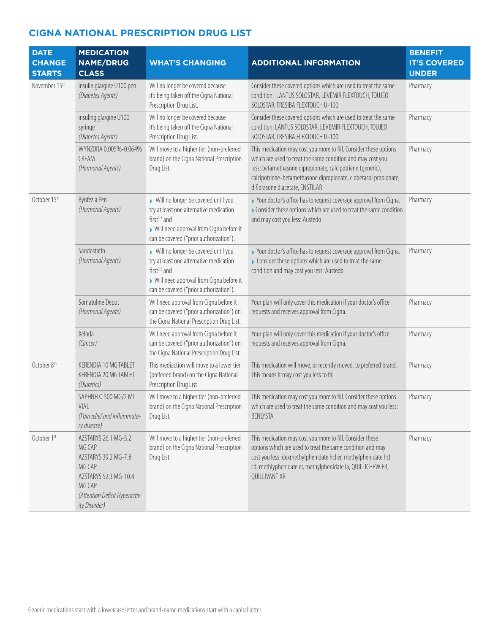| <b>DATE</b><br><b>CHANGE</b><br><b>STARTS</b> | <b>MEDICATION</b><br><b>NAME/DRUG</b><br><b>CLASS</b>                                                                                                  | <b>WHAT'S CHANGING</b>                                                                                                                                                                             | <b>ADDITIONAL INFORMATION</b>                                                                                                                                                                                                                                                                         | <b>BENEFIT</b><br><b>IT'S COVERED</b><br><b>UNDER</b> |
|-----------------------------------------------|--------------------------------------------------------------------------------------------------------------------------------------------------------|----------------------------------------------------------------------------------------------------------------------------------------------------------------------------------------------------|-------------------------------------------------------------------------------------------------------------------------------------------------------------------------------------------------------------------------------------------------------------------------------------------------------|-------------------------------------------------------|
| November 15st                                 | insulin glargine U100 pen<br>(Diabetes Agents)                                                                                                         | Will no longer be covered because<br>it's being taken off the Cigna National<br>Prescription Drug List.                                                                                            | Consider these covered options which are used to treat the same<br>condition: LANTUS SOLOSTAR, LEVEMIR FLEXTOUCH, TOUJEO<br>SOLOSTAR, TRESIBA FLEXTOUCH U-100                                                                                                                                         | Pharmacy                                              |
|                                               | insuling glargine U100<br>syringe<br>(Diabetes Agents)                                                                                                 | Will no longer be covered because<br>it's being taken off the Cigna National<br>Prescription Drug List.                                                                                            | Consider these covered options which are used to treat the same<br>condition: LANTUS SOLOSTAR, LEVEMIR FLEXTOUCH, TOUJEO<br>SOLOSTAR, TRESIBA FLEXTOUCH U-100                                                                                                                                         | Pharmacy                                              |
|                                               | WYNZORA 0.005%-0.064%<br>CREAM<br>(Hormonal Agents)                                                                                                    | Will move to a higher tier (non-preferred<br>brand) on the Cigna National Prescription<br>Drug List.                                                                                               | This medication may cost you more to fill. Consider these options<br>which are used to treat the same condition and may cost you<br>less: betamethasone dipropionate, calcipotriene (generic),<br>calcipotriene-betamethasone dipropionate, clobetasol propionate,<br>diflorasone diacetate, ENSTILAR | Pharmacy                                              |
| October 15th                                  | Bynfezia Pen<br>(Hormonal Agents)                                                                                                                      | > Will no longer be covered until you<br>try at least one alternative medication<br>first $3,5$ and<br>> Will need approval from Cigna before it<br>can be covered ("prior authorization").        | > Your doctor's office has to request coverage approval from Cigna.<br>Consider these options which are used to treat the same condition<br>and may cost you less: Austedo                                                                                                                            | Pharmacy                                              |
|                                               | Sandostatin<br>(Hormonal Agents)                                                                                                                       | Will no longer be covered until you<br>try at least one alternative medication<br>first <sup>3,5</sup> and<br>> Will need approval from Cigna before it<br>can be covered ("prior authorization"). | > Your doctor's office has to request coverage approval from Cigna.<br>Consider these options which are used to treat the same<br>condition and may cost you less: Austedo                                                                                                                            | Pharmacy                                              |
|                                               | Somatuline Depot<br>(Hormonal Agents)                                                                                                                  | Will need approval from Cigna before it<br>can be covered ("prior authorization") on<br>the Cigna National Prescription Drug List.                                                                 | Your plan will only cover this medication if your doctor's office<br>requests and receives approval from Cigna.                                                                                                                                                                                       | Pharmacy                                              |
|                                               | Xeloda<br>(Cancer)                                                                                                                                     | Will need approval from Cigna before it<br>can be covered ("prior authorization") on<br>the Cigna National Prescription Drug List.                                                                 | Your plan will only cover this medication if your doctor's office<br>requests and receives approval from Cigna.                                                                                                                                                                                       | Pharmacy                                              |
| October 8th                                   | KERENDIA 10 MG TABLET<br>KERENDIA 20 MG TABLET<br>(Diuretics)                                                                                          | This mediaction will move to a lower tier<br>(preferred brand) on the Cigna National<br>Prescription Drug List                                                                                     | This medication will move, or recently moved, to preferred brand.<br>This means it may cost you less to fill                                                                                                                                                                                          | Pharmacy                                              |
|                                               | SAPHNELO 300 MG/2 ML<br>VIAL<br>(Pain relief and Inflammato-<br>ry disease)                                                                            | Will move to a higher tier (non-preferred<br>brand) on the Cigna National Prescription<br>Drug List.                                                                                               | This medication may cost you more to fill. Consider these options<br>which are used to treat the same condition and may cost you less:<br><b>BENLYSTA</b>                                                                                                                                             | Pharmacy                                              |
| October 1st                                   | AZSTARYS 26.1 MG-5.2<br>MG CAP<br>AZSTARYS 39.2 MG-7.8<br>MG CAP<br>AZSTARYS 52.3 MG-10.4<br>MG CAP<br>(Attention Deficit Hyperactiv-<br>ity Disorder) | Will move to a higher tier (non-preferred<br>brand) on the Cigna National Prescription<br>Drug List.                                                                                               | This medication may cost you more to fill. Consider these<br>options which are used to treat the same condition and may<br>cost you less: dexmethylphenidate hcl er, methylphenidate hcl<br>cd, methlyphenidate er, methylphenidate la, QUILLICHEW ER,<br>QUILLIVANT XR                               | Pharmacy                                              |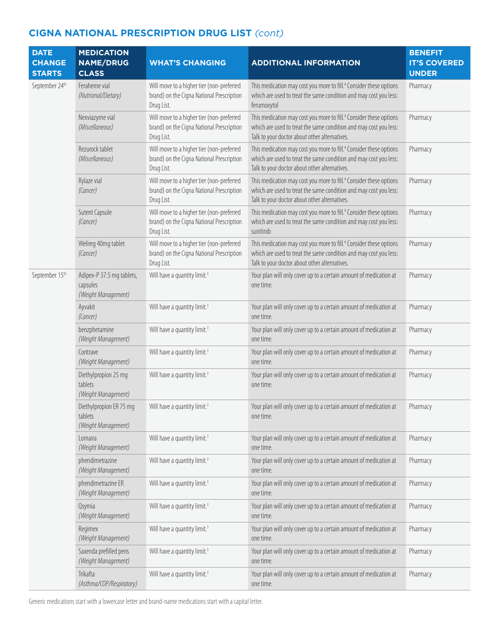| <b>DATE</b><br><b>CHANGE</b><br><b>STARTS</b> | <b>MEDICATION</b><br><b>NAME/DRUG</b><br><b>CLASS</b>        | <b>WHAT'S CHANGING</b>                                                                               | <b>ADDITIONAL INFORMATION</b>                                                                                                                                                                        | <b>BENEFIT</b><br><b>IT'S COVERED</b><br><b>UNDER</b> |
|-----------------------------------------------|--------------------------------------------------------------|------------------------------------------------------------------------------------------------------|------------------------------------------------------------------------------------------------------------------------------------------------------------------------------------------------------|-------------------------------------------------------|
| September 24th                                | Feraheme vial<br>(Nutrional/Dietary)                         | Will move to a higher tier (non-preferred<br>brand) on the Cigna National Prescription<br>Drug List. | This medication may cost you more to fill. <sup>4</sup> Consider these options<br>which are used to treat the same condition and may cost you less:<br>ferumoxytol                                   | Pharmacy                                              |
|                                               | Nexviazyme vial<br>(Miscellaneous)                           | Will move to a higher tier (non-preferred<br>brand) on the Cigna National Prescription<br>Drug List. | This medication may cost you more to fill. <sup>4</sup> Consider these options<br>which are used to treat the same condition and may cost you less:<br>Talk to your doctor about other alternatives. | Pharmacy                                              |
|                                               | Rezurock tablet<br>(Miscellaneous)                           | Will move to a higher tier (non-preferred<br>brand) on the Cigna National Prescription<br>Drug List. | This medication may cost you more to fill. <sup>4</sup> Consider these options<br>which are used to treat the same condition and may cost you less:<br>Talk to your doctor about other alternatives. | Pharmacy                                              |
|                                               | Rylaze vial<br>(Cancer)                                      | Will move to a higher tier (non-preferred<br>brand) on the Cigna National Prescription<br>Drug List. | This medication may cost you more to fill. <sup>4</sup> Consider these options<br>which are used to treat the same condition and may cost you less:<br>Talk to your doctor about other alternatives. | Pharmacy                                              |
|                                               | Sutent Capsule<br>(Cancer)                                   | Will move to a higher tier (non-preferred<br>brand) on the Cigna National Prescription<br>Drug List. | This medication may cost you more to fill. <sup>4</sup> Consider these options<br>which are used to treat the same condition and may cost you less:<br>sunitinib                                     | Pharmacy                                              |
|                                               | Welireg 40mg tablet<br>(Cancer)                              | Will move to a higher tier (non-preferred<br>brand) on the Cigna National Prescription<br>Drug List. | This medication may cost you more to fill. <sup>4</sup> Consider these options<br>which are used to treat the same condition and may cost you less:<br>Talk to your doctor about other alternatives. | Pharmacy                                              |
| September 15th                                | Adipex-P 37.5 mg tablets,<br>capsules<br>(Weight Management) | Will have a quantity limit. <sup>3</sup>                                                             | Your plan will only cover up to a certain amount of medication at<br>one time.                                                                                                                       | Pharmacy                                              |
|                                               | Ayvakit<br>(Cancer)                                          | Will have a quantity limit. <sup>3</sup>                                                             | Your plan will only cover up to a certain amount of medication at<br>one time.                                                                                                                       | Pharmacy                                              |
|                                               | benzphetamine<br>(Weight Management)                         | Will have a quantity limit. <sup>3</sup>                                                             | Your plan will only cover up to a certain amount of medication at<br>one time.                                                                                                                       | Pharmacy                                              |
|                                               | Contrave<br>(Weight Management)                              | Will have a quantity limit. <sup>3</sup>                                                             | Your plan will only cover up to a certain amount of medication at<br>one time.                                                                                                                       | Pharmacy                                              |
|                                               | Diethylpropion 25 mg<br>tablets<br>(Weight Management)       | Will have a quantity limit. <sup>3</sup>                                                             | Your plan will only cover up to a certain amount of medication at<br>one time.                                                                                                                       | Pharmacy                                              |
|                                               | Diethylpropion ER 75 mg<br>tablets<br>(Weight Management)    | Will have a quantity limit. <sup>3</sup>                                                             | Your plan will only cover up to a certain amount of medication at<br>one time.                                                                                                                       | Pharmacy                                              |
|                                               | Lomaira<br>(Weight Management)                               | Will have a quantity limit. <sup>3</sup>                                                             | Your plan will only cover up to a certain amount of medication at<br>one time.                                                                                                                       | Pharmacy                                              |
|                                               | phendimetrazine<br>(Weight Management)                       | Will have a quantity limit. <sup>3</sup>                                                             | Your plan will only cover up to a certain amount of medication at<br>one time.                                                                                                                       | Pharmacy                                              |
|                                               | phendimetrazine ER<br>(Weight Management)                    | Will have a quantity limit. <sup>3</sup>                                                             | Your plan will only cover up to a certain amount of medication at<br>one time.                                                                                                                       | Pharmacy                                              |
|                                               | Qsymia<br>(Weight Management)                                | Will have a quantity limit. <sup>3</sup>                                                             | Your plan will only cover up to a certain amount of medication at<br>one time.                                                                                                                       | Pharmacy                                              |
|                                               | Regimex<br>(Weight Management)                               | Will have a quantity limit. <sup>3</sup>                                                             | Your plan will only cover up to a certain amount of medication at<br>one time.                                                                                                                       | Pharmacy                                              |
|                                               | Saxenda prefilled pens<br>(Weight Management)                | Will have a quantity limit. <sup>3</sup>                                                             | Your plan will only cover up to a certain amount of medication at<br>one time.                                                                                                                       | Pharmacy                                              |
|                                               | Trikafta<br>(Asthma/COP/Respiratory)                         | Will have a quantity limit. <sup>3</sup>                                                             | Your plan will only cover up to a certain amount of medication at<br>one time.                                                                                                                       | Pharmacy                                              |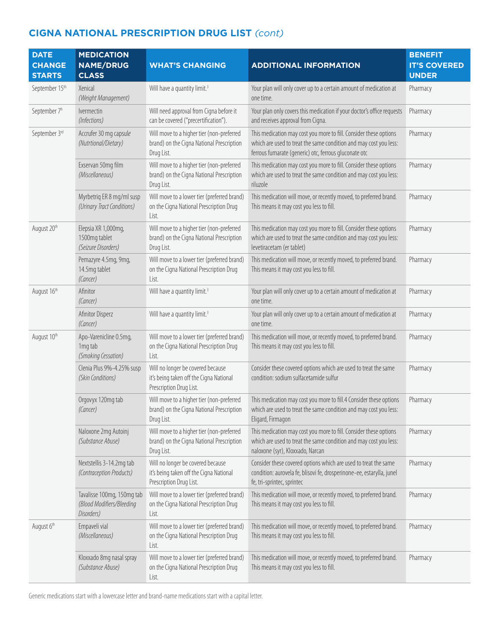| <b>DATE</b><br><b>CHANGE</b><br><b>STARTS</b> | <b>MEDICATION</b><br><b>NAME/DRUG</b><br><b>CLASS</b>                 | <b>WHAT'S CHANGING</b>                                                                                  | <b>ADDITIONAL INFORMATION</b>                                                                                                                                                                   | <b>BENEFIT</b><br><b>IT'S COVERED</b><br><b>UNDER</b> |
|-----------------------------------------------|-----------------------------------------------------------------------|---------------------------------------------------------------------------------------------------------|-------------------------------------------------------------------------------------------------------------------------------------------------------------------------------------------------|-------------------------------------------------------|
| September 15th                                | Xenical<br>(Weight Management)                                        | Will have a quantity limit. <sup>3</sup>                                                                | Your plan will only cover up to a certain amount of medication at<br>one time.                                                                                                                  | Pharmacy                                              |
| September 7 <sup>h</sup>                      | lvermectin<br>(Infections)                                            | Will need approval from Cigna before it<br>can be covered ("precertification").                         | Your plan only covers this medication if your doctor's office requests<br>and receives approval from Cigna.                                                                                     | Pharmacy                                              |
| September 3rd                                 | Accrufer 30 mg capsule<br>(Nutrtional/Dietary)                        | Will move to a higher tier (non-preferred<br>brand) on the Cigna National Prescription<br>Drug List.    | This medication may cost you more to fill. Consider these options<br>which are used to treat the same condition and may cost you less:<br>ferrous fumarate (generic) otc, ferrous gluconate otc | Pharmacy                                              |
|                                               | Exservan 50mg film<br>(Miscellaneous)                                 | Will move to a higher tier (non-preferred<br>brand) on the Cigna National Prescription<br>Drug List.    | This medication may cost you more to fill. Consider these options<br>which are used to treat the same condition and may cost you less:<br>riluzole                                              | Pharmacy                                              |
|                                               | Myrbetriq ER 8 mg/ml susp<br>(Urinary Tract Conditions)               | Will move to a lower tier (preferred brand)<br>on the Cigna National Prescription Drug<br>List.         | This medication will move, or recently moved, to preferred brand.<br>This means it may cost you less to fill.                                                                                   | Pharmacy                                              |
| August 20th                                   | Elepsia XR 1,000mg,<br>1500mg tablet<br>(Seizure Disorders)           | Will move to a higher tier (non-preferred<br>brand) on the Cigna National Prescription<br>Drug List.    | This medication may cost you more to fill. Consider these options<br>which are used to treat the same condition and may cost you less:<br>levetiracetam (er tablet)                             | Pharmacy                                              |
|                                               | Pemazyre 4.5mg, 9mg,<br>14.5mg tablet<br>(Cancer)                     | Will move to a lower tier (preferred brand)<br>on the Cigna National Prescription Drug<br>List.         | This medication will move, or recently moved, to preferred brand.<br>This means it may cost you less to fill.                                                                                   | Pharmacy                                              |
| August 16th                                   | Afinitor<br>(Cancer)                                                  | Will have a quantity limit. <sup>3</sup>                                                                | Your plan will only cover up to a certain amount of medication at<br>one time.                                                                                                                  | Pharmacy                                              |
|                                               | Afinitor Disperz<br>(Cancer)                                          | Will have a quantity limit. <sup>3</sup>                                                                | Your plan will only cover up to a certain amount of medication at<br>one time.                                                                                                                  | Pharmacy                                              |
| August 10th                                   | Apo-Varenicline 0.5mg,<br>1mg tab<br>(Smoking Cessation)              | Will move to a lower tier (preferred brand)<br>on the Cigna National Prescription Drug<br>List.         | This medication will move, or recently moved, to preferred brand.<br>This means it may cost you less to fill.                                                                                   | Pharmacy                                              |
|                                               | Clenia Plus 9%-4.25% susp<br>(Skin Conditions)                        | Will no longer be covered because<br>it's being taken off the Cigna National<br>Prescription Drug List. | Consider these covered options which are used to treat the same<br>condition: sodium sulfacetamide sulfur                                                                                       | Pharmacy                                              |
|                                               | Orgovyx 120mg tab<br>(Cancer)                                         | Will move to a higher tier (non-preferred<br>brand) on the Cigna National Prescription<br>Drug List.    | This medication may cost you more to fill.4 Consider these options<br>which are used to treat the same condition and may cost you less:<br>Eligard, Firmagon                                    | Pharmacy                                              |
|                                               | Naloxone 2mg Autoinj<br>(Substance Abuse)                             | Will move to a higher tier (non-preferred<br>brand) on the Cigna National Prescription<br>Drug List.    | This medication may cost you more to fill. Consider these options<br>which are used to treat the same condition and may cost you less:<br>naloxone (syr), Kloxxado, Narcan                      | Pharmacy                                              |
|                                               | Nextstellis 3-14.2mg tab<br>(Contraception Products)                  | Will no longer be covered because<br>it's being taken off the Cigna National<br>Prescription Drug List. | Consider these covered options which are used to treat the same<br>condition: aurovela fe, blisovi fe, drosperinone-ee, estarylla, junel<br>fe, tri-sprintec, sprintec                          | Pharmacy                                              |
|                                               | Tavalisse 100mg, 150mg tab<br>(Blood Modifiers/Bleeding<br>Disorders) | Will move to a lower tier (preferred brand)<br>on the Cigna National Prescription Drug<br>List.         | This medication will move, or recently moved, to preferred brand.<br>This means it may cost you less to fill.                                                                                   | Pharmacy                                              |
| August 6th                                    | Empaveli vial<br>(Miscellaneous)                                      | Will move to a lower tier (preferred brand)<br>on the Cigna National Prescription Drug<br>List.         | This medication will move, or recently moved, to preferred brand.<br>This means it may cost you less to fill.                                                                                   | Pharmacy                                              |
|                                               | Kloxxado 8mg nasal spray<br>(Substance Abuse)                         | Will move to a lower tier (preferred brand)<br>on the Cigna National Prescription Drug<br>List.         | This medication will move, or recently moved, to preferred brand.<br>This means it may cost you less to fill.                                                                                   | Pharmacy                                              |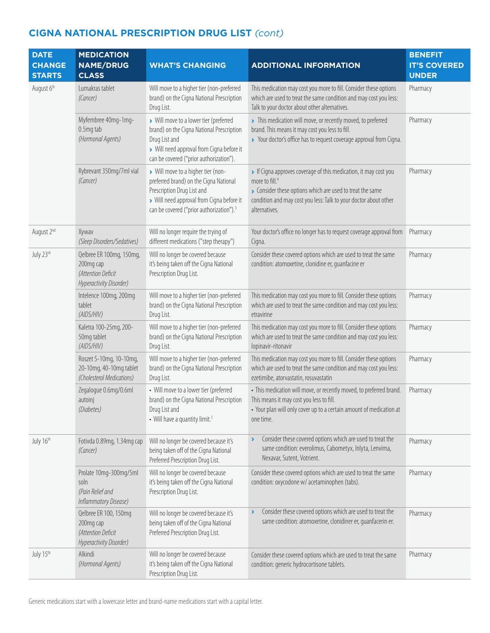| <b>DATE</b><br><b>CHANGE</b><br><b>STARTS</b> | <b>MEDICATION</b><br><b>NAME/DRUG</b><br><b>CLASS</b>                                  | <b>WHAT'S CHANGING</b>                                                                                                                                                                                          | <b>ADDITIONAL INFORMATION</b>                                                                                                                                                                                                                | <b>BENEFIT</b><br><b>IT'S COVERED</b><br><b>UNDER</b> |
|-----------------------------------------------|----------------------------------------------------------------------------------------|-----------------------------------------------------------------------------------------------------------------------------------------------------------------------------------------------------------------|----------------------------------------------------------------------------------------------------------------------------------------------------------------------------------------------------------------------------------------------|-------------------------------------------------------|
| August 6th                                    | Lumakras tablet<br>(Cancer)                                                            | Will move to a higher tier (non-preferred<br>brand) on the Cigna National Prescription<br>Drug List.                                                                                                            | This medication may cost you more to fill. Consider these options<br>which are used to treat the same condition and may cost you less:<br>Talk to your doctor about other alternatives.                                                      | Pharmacy                                              |
|                                               | Myfembree 40mg-1mg-<br>0.5mg tab<br>(Hormonal Agents)                                  | Will move to a lower tier (preferred<br>brand) on the Cigna National Prescription<br>Drug List and<br>> Will need approval from Cigna before it<br>can be covered ("prior authorization").                      | > This medication will move, or recently moved, to preferred<br>brand. This means it may cost you less to fill.<br>> Your doctor's office has to request coverage approval from Cigna.                                                       | Pharmacy                                              |
|                                               | Rybrevant 350mg/7ml vial<br>(Cancer)                                                   | > Will move to a higher tier (non-<br>preferred brand) on the Cigna National<br>Prescription Drug List and<br>> Will need approval from Cigna before it<br>can be covered ("prior authorization"). <sup>3</sup> | If Cigna approves coverage of this medication, it may cost you<br>more to fill. <sup>4</sup><br>Consider these options which are used to treat the same<br>condition and may cost you less: Talk to your doctor about other<br>alternatives. | Pharmacy                                              |
| August 2nd                                    | Xywav<br>(Sleep Disorders/Sedatives)                                                   | Will no longer require the trying of<br>different medications ("step therapy")                                                                                                                                  | Your doctor's office no longer has to request coverage approval from<br>Cigna.                                                                                                                                                               | Pharmacy                                              |
| July 23rd                                     | Qelbree ER 100mg, 150mg,<br>200mg cap<br>(Attention Deficit<br>Hyperactivity Disorder) | Will no longer be covered because<br>it's being taken off the Cigna National<br>Prescription Drug List.                                                                                                         | Consider these covered options which are used to treat the same<br>condition: atomoxetine, clonidine er, guanfacine er                                                                                                                       | Pharmacy                                              |
|                                               | Intelence 100mg, 200mg<br>tablet<br>(AIDS/HIV)                                         | Will move to a higher tier (non-preferred<br>brand) on the Cigna National Prescription<br>Drug List.                                                                                                            | This medication may cost you more to fill. Consider these options<br>which are used to treat the same condition and may cost you less:<br>etravirine                                                                                         | Pharmacy                                              |
|                                               | Kaletra 100-25mg, 200-<br>50mg tablet<br>(AIDS/HIV)                                    | Will move to a higher tier (non-preferred<br>brand) on the Cigna National Prescription<br>Drug List.                                                                                                            | This medication may cost you more to fill. Consider these options<br>which are used to treat the same condition and may cost you less:<br>lopinavir-ritonavir                                                                                | Pharmacy                                              |
|                                               | Roszet 5-10mg, 10-10mg,<br>20-10mg, 40-10mg tablet<br>(Cholesterol Medications)        | Will move to a higher tier (non-preferred<br>brand) on the Cigna National Prescription<br>Drug List.                                                                                                            | This medication may cost you more to fill. Consider these options<br>which are used to treat the same condition and may cost you less:<br>ezetimibe, atorvastatin, rosuvastatin                                                              | Pharmacy                                              |
|                                               | Zegalogue 0.6mg/0.6ml<br>autoinj<br>(Diabetes)                                         | • Will move to a lower tier (preferred<br>brand) on the Cigna National Prescription<br>Drug List and<br>• Will have a quantity limit. <sup>3</sup>                                                              | · This medication will move, or recently moved, to preferred brand.<br>This means it may cost you less to fill.<br>• Your plan will only cover up to a certain amount of medication at<br>one time.                                          | Pharmacy                                              |
| July 16th                                     | Fotivda 0.89mg, 1.34mg cap<br>(Cancer)                                                 | Will no longer be covered because it's<br>being taken off of the Cigna National<br>Preferred Prescription Drug List.                                                                                            | Consider these covered options which are used to treat the<br>Y<br>same condition: everolimus, Cabometyx, Inlyta, Lenvima,<br>Nexavar, Sutent, Votrient.                                                                                     | Pharmacy                                              |
|                                               | Prolate 10mg-300mg/5ml<br>soln<br>(Pain Relief and<br>Inflammatory Disease)            | Will no longer be covered because<br>it's being taken off the Cigna National<br>Prescription Drug List.                                                                                                         | Consider these covered options which are used to treat the same<br>condition: oxycodone w/ acetaminophen (tabs).                                                                                                                             | Pharmacy                                              |
|                                               | Qelbree ER 100, 150mg<br>200mg cap<br>(Attention Deficit<br>Hyperactivity Disorder)    | Will no longer be covered because it's<br>being taken off of the Cigna National<br>Preferred Prescription Drug List.                                                                                            | Consider these covered options which are used to treat the<br>٧<br>same condition: atomoxetine, clonidiner er, guanfacerin er.                                                                                                               | Pharmacy                                              |
| July 15th                                     | Alkindi<br>(Hormonal Agents)                                                           | Will no longer be covered because<br>it's being taken off the Cigna National<br>Prescription Drug List.                                                                                                         | Consider these covered options which are used to treat the same<br>condition: generic hydrocortisone tablets.                                                                                                                                | Pharmacy                                              |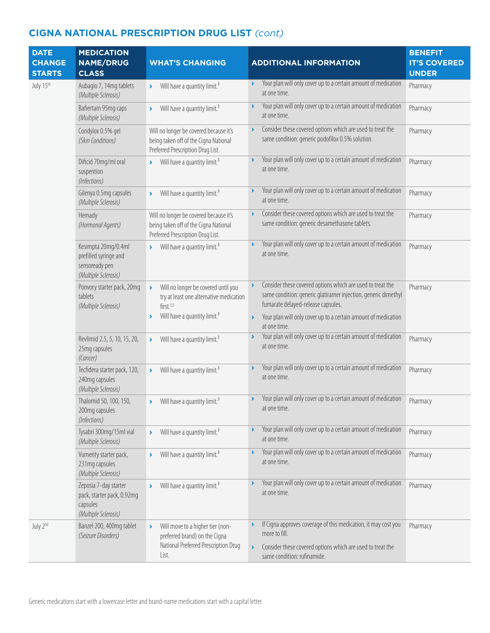| <b>DATE</b><br><b>CHANGE</b><br><b>STARTS</b> | <b>MEDICATION</b><br><b>NAME/DRUG</b><br><b>CLASS</b>                                   | <b>WHAT'S CHANGING</b>                                                                                                                      | <b>ADDITIONAL INFORMATION</b>                                                                                                                                                                         | <b>BENEFIT</b><br><b>IT'S COVERED</b><br><b>UNDER</b> |
|-----------------------------------------------|-----------------------------------------------------------------------------------------|---------------------------------------------------------------------------------------------------------------------------------------------|-------------------------------------------------------------------------------------------------------------------------------------------------------------------------------------------------------|-------------------------------------------------------|
| July 15th                                     | Aubagio 7, 14mg tablets<br>(Multiple Sclerosis)                                         | Will have a quantity limit. <sup>3</sup><br>$\blacktriangleright$                                                                           | Your plan will only cover up to a certain amount of medication<br>$\blacktriangleright$<br>at one time.                                                                                               | Pharmacy                                              |
|                                               | Bafiertam 95mg caps<br>(Multiple Sclerosis)                                             | Will have a quantity limit. <sup>3</sup><br>$\blacktriangleright$                                                                           | Your plan will only cover up to a certain amount of medication<br>$\lambda$<br>at one time.                                                                                                           | Pharmacy                                              |
|                                               | Condylox 0.5% gel<br>(Skin Conditions)                                                  | Will no longer be covered because it's<br>being taken off of the Cigna National<br>Preferred Prescription Drug List.                        | Consider these covered options which are used to treat the<br>$\blacktriangleright$<br>same condition: generic podofilox 0.5% solution.                                                               | Pharmacy                                              |
|                                               | Dificid 70mg/ml oral<br>suspention<br>(Infections)                                      | Will have a quantity limit. <sup>3</sup><br>$\sum_{i=1}^{n}$                                                                                | Your plan will only cover up to a certain amount of medication<br>$\blacktriangleright$<br>at one time.                                                                                               | Pharmacy                                              |
|                                               | Gilenya 0.5mg capsules<br>(Multiple Sclerosis)                                          | Will have a quantity limit. <sup>3</sup><br>$\blacktriangleright$                                                                           | Your plan will only cover up to a certain amount of medication<br>$\blacktriangleright$<br>at one time.                                                                                               | Pharmacy                                              |
|                                               | Hemady<br>(Hormonal Agents)                                                             | Will no longer be covered because it's<br>being taken off of the Cigna National<br>Preferred Prescription Drug List.                        | Consider these covered options which are used to treat the<br>$\blacktriangleright$<br>same condition: generic desamethasone tablets.                                                                 | Pharmacy                                              |
|                                               | Kesimpta 20mg/0.4ml<br>prefilled syringe and<br>sensoready pen<br>(Multiple Sclerosis)  | Will have a quantity limit. <sup>3</sup><br>$\sum_{i=1}^{n}$                                                                                | Your plan will only cover up to a certain amount of medication<br>$\blacktriangleright$<br>at one time.                                                                                               | Pharmacy                                              |
|                                               | Ponvory starter pack, 20mg<br>tablets<br>(Multiple Sclerosis)                           | Will no longer be covered until you<br>$\lambda$<br>try at least one alternative medication<br>first. <sup>3,5</sup>                        | Consider these covered options which are used to treat the<br>$\blacktriangleright$<br>same condition: generic glatiramer injection, generic dimethyl<br>fumarate delayed-release capsules.           | Pharmacy                                              |
|                                               |                                                                                         | Will have a quantity limit. <sup>3</sup><br>$\rightarrow$                                                                                   | Your plan will only cover up to a certain amount of medication<br>$\blacktriangleright$<br>at one time.                                                                                               |                                                       |
|                                               | Revlimid 2.5, 5, 10, 15, 20,<br>25mg capsules<br>(Cancer)                               | Will have a quantity limit. <sup>3</sup><br>$\blacktriangleright$                                                                           | Your plan will only cover up to a certain amount of medication<br>$\blacktriangleright$<br>at one time.                                                                                               | Pharmacy                                              |
|                                               | Tecfidera starter pack, 120,<br>240mg capsules<br>(Multiple Sclerosis)                  | Will have a quantity limit. <sup>3</sup><br>$\blacktriangleright$                                                                           | Your plan will only cover up to a certain amount of medication<br>$\blacktriangleright$<br>at one time.                                                                                               | Pharmacy                                              |
|                                               | Thalomid 50, 100, 150,<br>200mg capsules<br>(Infections)                                | Will have a quantity limit. <sup>3</sup><br>$\sum_{i=1}^{n}$                                                                                | Your plan will only cover up to a certain amount of medication<br>$\blacktriangleright$<br>at one time.                                                                                               | Pharmacy                                              |
|                                               | Tysabri 300mg/15ml vial<br>(Multiple Sclerosis)                                         | Will have a quantity limit. <sup>3</sup><br>$\blacktriangleright$                                                                           | Your plan will only cover up to a certain amount of medication<br>$\blacktriangleright$<br>at one time.                                                                                               | Pharmacy                                              |
|                                               | Vumerity starter pack,<br>231mg capsules<br>(Multiple Sclerosis)                        | Will have a quantity limit. <sup>3</sup><br>$\blacktriangleright$                                                                           | Your plan will only cover up to a certain amount of medication<br>$\blacktriangleright$<br>at one time.                                                                                               | Pharmacy                                              |
|                                               | Zeposia 7-day starter<br>pack, starter pack, 0.92mg<br>capsules<br>(Multiple Sclerosis) | Will have a quantity limit. <sup>3</sup>                                                                                                    | Your plan will only cover up to a certain amount of medication<br>at one time.                                                                                                                        | Pharmacy                                              |
| July 2nd                                      | Banzel 200, 400mg tablet<br>(Seizure Disorders)                                         | Will move to a higher tier (non-<br>$\blacktriangleright$<br>preferred brand) on the Cigna<br>National Preferred Prescription Drug<br>List. | If Cigna approves coverage of this medication, it may cost you<br>more to fill.<br>Consider these covered options which are used to treat the<br>$\blacktriangleright$<br>same condition: rufinamide. | Pharmacy                                              |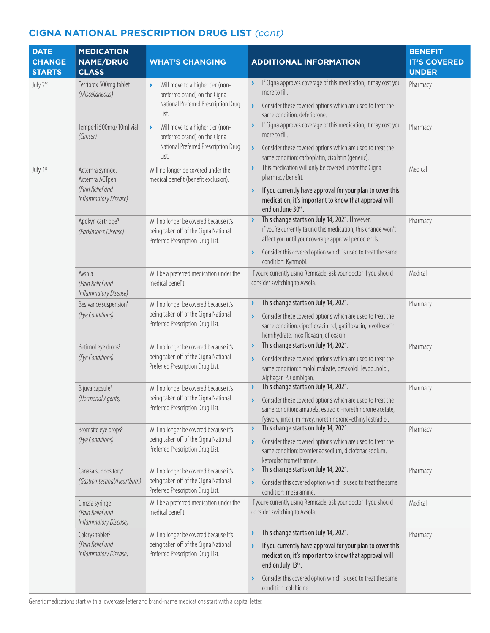| <b>DATE</b><br><b>CHANGE</b><br><b>STARTS</b> | <b>MEDICATION</b><br><b>NAME/DRUG</b><br><b>CLASS</b>                           | <b>WHAT'S CHANGING</b>                                                                                                                      | <b>ADDITIONAL INFORMATION</b>                                                                                                                                                                                                                                                                                 | <b>BENEFIT</b><br><b>IT'S COVERED</b><br><b>UNDER</b> |
|-----------------------------------------------|---------------------------------------------------------------------------------|---------------------------------------------------------------------------------------------------------------------------------------------|---------------------------------------------------------------------------------------------------------------------------------------------------------------------------------------------------------------------------------------------------------------------------------------------------------------|-------------------------------------------------------|
| July 2 <sup>nd</sup>                          | Ferriprox 500mg tablet<br>(Miscellaneous)                                       | Will move to a higher tier (non-<br>$\blacktriangleright$<br>preferred brand) on the Cigna<br>National Preferred Prescription Drug<br>List. | If Cigna approves coverage of this medication, it may cost you<br>$\blacktriangleright$<br>more to fill.<br>Consider these covered options which are used to treat the<br>¥<br>same condition: deferiprone.                                                                                                   | Pharmacy                                              |
|                                               | Jemperli 500mg/10ml vial<br>(Cancer)                                            | Will move to a higher tier (non-<br>$\blacktriangleright$<br>preferred brand) on the Cigna<br>National Preferred Prescription Drug<br>List. | If Cigna approves coverage of this medication, it may cost you<br>Y<br>more to fill.<br>Consider these covered options which are used to treat the<br>$\blacktriangleright$<br>same condition: carboplatin, cisplatin (generic).                                                                              | Pharmacy                                              |
| July 1st                                      | Actemra syringe,<br>Actemra ACTpen<br>(Pain Relief and<br>Inflammatory Disease) | Will no longer be covered under the<br>medical benefit (benefit exclusion).                                                                 | This medication will only be covered under the Cigna<br>$\blacktriangleright$<br>pharmacy benefit.<br>If you currently have approval for your plan to cover this<br>$\blacktriangleright$<br>medication, it's important to know that approval will<br>end on June 30th.                                       | Medical                                               |
|                                               | Apokyn cartridge <sup>5</sup><br>(Parkinson's Disease)                          | Will no longer be covered because it's<br>being taken off of the Cigna National<br>Preferred Prescription Drug List.                        | This change starts on July 14, 2021. However,<br>$\blacktriangleright$<br>if you're currently taking this medication, this change won't<br>affect you until your coverage approval period ends.<br>Consider this covered option which is used to treat the same<br>×<br>condition: Kynmobi.                   | Pharmacy                                              |
|                                               | Avsola<br>(Pain Relief and<br>Inflammatory Disease)                             | Will be a preferred medication under the<br>medical benefit.                                                                                | If you're currently using Remicade, ask your doctor if you should<br>consider switching to Avsola.                                                                                                                                                                                                            | Medical                                               |
|                                               | Besivance suspension <sup>5</sup><br>(Eye Conditions)                           | Will no longer be covered because it's<br>being taken off of the Cigna National<br>Preferred Prescription Drug List.                        | This change starts on July 14, 2021.<br>Y<br>Consider these covered options which are used to treat the<br>$\blacktriangleright$<br>same condition: ciprofloxacin hcl, gatifloxacin, levofloxacin<br>hemihydrate, moxifloxacin, ofloxacin.                                                                    | Pharmacy                                              |
|                                               | Betimol eye drops <sup>5</sup><br>(Eye Conditions)                              | Will no longer be covered because it's<br>being taken off of the Cigna National<br>Preferred Prescription Drug List.                        | This change starts on July 14, 2021.<br>٧<br>Consider these covered options which are used to treat the<br>$\blacktriangleright$<br>same condition: timolol maleate, betaxolol, levobunolol,<br>Alphagan P, Combigan.                                                                                         | Pharmacy                                              |
|                                               | Bijuva capsule <sup>5</sup><br>(Hormonal Agents)                                | Will no longer be covered because it's<br>being taken off of the Cigna National<br>Preferred Prescription Drug List.                        | This change starts on July 14, 2021.<br>Y<br>Consider these covered options which are used to treat the<br>×<br>same condition: amabelz, estradiol-norethindrone acetate,<br>fyavolv, jinteli, mimvey, norethindrone-ethinyl estradiol.                                                                       | Pharmacy                                              |
|                                               | Bromsite eye drops <sup>5</sup><br>(Eye Conditions)                             | Will no longer be covered because it's<br>being taken off of the Cigna National<br>Preferred Prescription Drug List.                        | This change starts on July 14, 2021.<br>Y<br>Consider these covered options which are used to treat the<br>$\blacktriangleright$<br>same condition: bromfenac sodium, diclofenac sodium,<br>ketorolac tromethamine.                                                                                           | Pharmacy                                              |
|                                               | Canasa suppository <sup>5</sup><br>(Gastrointestinal/Heartburn)                 | Will no longer be covered because it's<br>being taken off of the Cigna National<br>Preferred Prescription Drug List.                        | This change starts on July 14, 2021.<br>×<br>Consider this covered option which is used to treat the same<br>×<br>condition: mesalamine.                                                                                                                                                                      | Pharmacy                                              |
|                                               | Cimzia syringe<br>(Pain Relief and<br>Inflammatory Disease)                     | Will be a preferred medication under the<br>medical benefit.                                                                                | If you're currently using Remicade, ask your doctor if you should<br>consider switching to Avsola.                                                                                                                                                                                                            | Medical                                               |
|                                               | Colcrys tablet <sup>5</sup><br>(Pain Relief and<br>Inflammatory Disease)        | Will no longer be covered because it's<br>being taken off of the Cigna National<br>Preferred Prescription Drug List.                        | This change starts on July 14, 2021.<br>Y<br>If you currently have approval for your plan to cover this<br>$\blacktriangleright$<br>medication, it's important to know that approval will<br>end on July 13th.<br>Consider this covered option which is used to treat the same<br>Y<br>condition: colchicine. | Pharmacy                                              |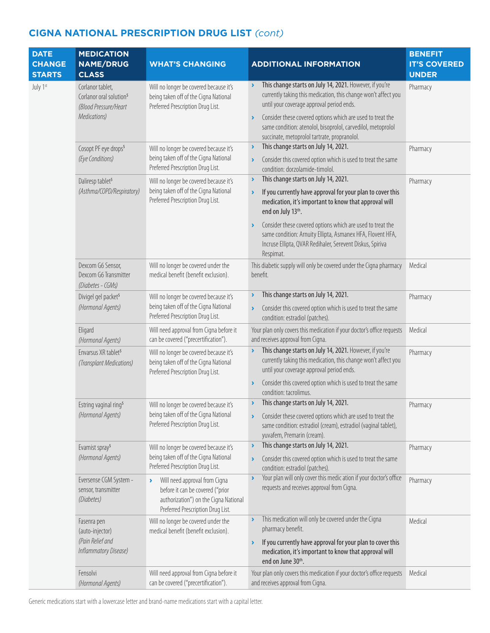| <b>DATE</b><br><b>CHANGE</b><br><b>STARTS</b> | <b>MEDICATION</b><br><b>NAME/DRUG</b><br><b>CLASS</b>                                            | <b>WHAT'S CHANGING</b>                                                                                                                                                   | <b>ADDITIONAL INFORMATION</b>                                                                                                                                                                                                                                                                                                                                                                                                                                     | <b>BENEFIT</b><br><b>IT'S COVERED</b><br><b>UNDER</b> |
|-----------------------------------------------|--------------------------------------------------------------------------------------------------|--------------------------------------------------------------------------------------------------------------------------------------------------------------------------|-------------------------------------------------------------------------------------------------------------------------------------------------------------------------------------------------------------------------------------------------------------------------------------------------------------------------------------------------------------------------------------------------------------------------------------------------------------------|-------------------------------------------------------|
| July 1st                                      | Corlanor tablet,<br>Corlanor oral solution <sup>5</sup><br>(Blood Pressure/Heart<br>Medications) | Will no longer be covered because it's<br>being taken off of the Cigna National<br>Preferred Prescription Drug List.                                                     | This change starts on July 14, 2021. However, if you're<br>$\blacktriangleright$<br>currently taking this medication, this change won't affect you<br>until your coverage approval period ends.<br>Consider these covered options which are used to treat the<br>$\blacktriangleright$<br>same condition: atenolol, bisoprolol, carvedilol, metoprolol<br>succinate, metoprolol tartrate, propranolol.                                                            | Pharmacy                                              |
|                                               | Cosopt PF eye drops <sup>5</sup><br>(Eye Conditions)                                             | Will no longer be covered because it's<br>being taken off of the Cigna National<br>Preferred Prescription Drug List.                                                     | This change starts on July 14, 2021.<br>١<br>Consider this covered option which is used to treat the same<br>$\blacktriangleright$<br>condition: dorzolamide-timolol.                                                                                                                                                                                                                                                                                             | Pharmacy                                              |
|                                               | Daliresp tablet <sup>5</sup><br>(Asthma/COPD/Respiratory)                                        | Will no longer be covered because it's<br>being taken off of the Cigna National<br>Preferred Prescription Drug List.                                                     | This change starts on July 14, 2021.<br>$\blacktriangleright$<br>If you currently have approval for your plan to cover this<br>$\blacktriangleright$<br>medication, it's important to know that approval will<br>end on July 13th.<br>Consider these covered options which are used to treat the<br>$\blacktriangleright$<br>same condition: Arnuity Ellipta, Asmanex HFA, Flovent HFA,<br>Incruse Ellipta, QVAR Redihaler, Serevent Diskus, Spiriva<br>Respimat. | Pharmacy                                              |
|                                               | Dexcom G6 Sensor,<br>Dexcom G6 Transmitter<br>(Diabetes - CGMs)                                  | Will no longer be covered under the<br>medical benefit (benefit exclusion).                                                                                              | This diabetic supply will only be covered under the Cigna pharmacy<br>benefit.                                                                                                                                                                                                                                                                                                                                                                                    | Medical                                               |
|                                               | Divigel gel packet <sup>5</sup><br>(Hormonal Agents)                                             | Will no longer be covered because it's<br>being taken off of the Cigna National<br>Preferred Prescription Drug List.                                                     | This change starts on July 14, 2021.<br>Y<br>Consider this covered option which is used to treat the same<br>$\blacktriangleright$<br>condition: estradiol (patches).                                                                                                                                                                                                                                                                                             | Pharmacy                                              |
|                                               | Eligard<br>(Hormonal Agents)                                                                     | Will need approval from Cigna before it<br>can be covered ("precertification").                                                                                          | Your plan only covers this medication if your doctor's office requests<br>and receives approval from Cigna.                                                                                                                                                                                                                                                                                                                                                       | Medical                                               |
|                                               | Envarsus XR tablet <sup>5</sup><br>(Transplant Medications)                                      | Will no longer be covered because it's<br>being taken off of the Cigna National<br>Preferred Prescription Drug List.                                                     | This change starts on July 14, 2021. However, if you're<br>$\blacktriangleright$<br>currently taking this medication, this change won't affect you<br>until your coverage approval period ends.<br>Consider this covered option which is used to treat the same<br>$\blacktriangleright$<br>condition: tacrolimus.                                                                                                                                                | Pharmacy                                              |
|                                               | Estring vaginal ring <sup>5</sup><br>(Hormonal Agents)                                           | Will no longer be covered because it's<br>being taken off of the Cigna National<br>Preferred Prescription Drug List.                                                     | This change starts on July 14, 2021.<br>$\blacktriangleright$<br>Consider these covered options which are used to treat the<br>$\blacktriangleright$<br>same condition: estradiol (cream), estradiol (vaginal tablet),<br>yuvafem, Premarin (cream).                                                                                                                                                                                                              | Pharmacy                                              |
|                                               | Evamist spray <sup>5</sup><br>(Hormonal Agents)                                                  | Will no longer be covered because it's<br>being taken off of the Cigna National<br>Preferred Prescription Drug List.                                                     | This change starts on July 14, 2021.<br>×<br>Consider this covered option which is used to treat the same<br>×<br>condition: estradiol (patches).                                                                                                                                                                                                                                                                                                                 | Pharmacy                                              |
|                                               | Eversense CGM System -<br>sensor, transmitter<br>(Diabetes)                                      | Will need approval from Cigna<br>$\blacktriangleright$<br>before it can be covered ("prior<br>authorization") on the Cigna National<br>Preferred Prescription Drug List. | Your plan will only cover this medic ation if your doctor's office<br>$\blacktriangleright$<br>requests and receives approval from Cigna.                                                                                                                                                                                                                                                                                                                         | Pharmacy                                              |
|                                               | Fasenra pen<br>(auto-injector)<br>(Pain Relief and<br>Inflammatory Disease)                      | Will no longer be covered under the<br>medical benefit (benefit exclusion).                                                                                              | This medication will only be covered under the Cigna<br>$\blacktriangleright$<br>pharmacy benefit.<br>If you currently have approval for your plan to cover this<br>$\blacktriangleright$<br>medication, it's important to know that approval will<br>end on June 30th.                                                                                                                                                                                           | Medical                                               |
|                                               | Fensolvi<br>(Hormonal Agents)                                                                    | Will need approval from Cigna before it<br>can be covered ("precertification").                                                                                          | Your plan only covers this medication if your doctor's office requests<br>and receives approval from Cigna.                                                                                                                                                                                                                                                                                                                                                       | Medical                                               |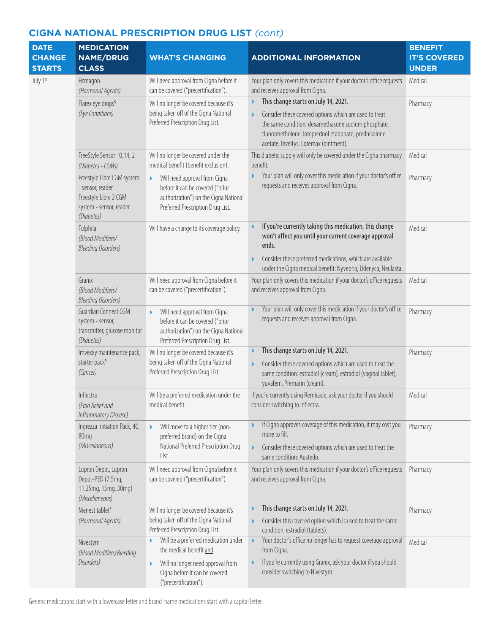| <b>DATE</b><br><b>CHANGE</b><br><b>STARTS</b> | <b>MEDICATION</b><br><b>NAME/DRUG</b><br><b>CLASS</b>                                                            | <b>WHAT'S CHANGING</b>                                                                                                                                                   | <b>ADDITIONAL INFORMATION</b>                                                                                                                                                                                                                                                                             | <b>BENEFIT</b><br><b>IT'S COVERED</b><br><b>UNDER</b> |
|-----------------------------------------------|------------------------------------------------------------------------------------------------------------------|--------------------------------------------------------------------------------------------------------------------------------------------------------------------------|-----------------------------------------------------------------------------------------------------------------------------------------------------------------------------------------------------------------------------------------------------------------------------------------------------------|-------------------------------------------------------|
| July 1st                                      | Firmagon<br>(Hormonal Agents)                                                                                    | Will need approval from Cigna before it<br>can be covered ("precertification").                                                                                          | Your plan only covers this medication if your doctor's office requests<br>and receives approval from Cigna.                                                                                                                                                                                               | Medical                                               |
|                                               | Flarex eye drops <sup>5</sup><br>(Eye Conditions)                                                                | Will no longer be covered because it's<br>being taken off of the Cigna National<br>Preferred Prescription Drug List.                                                     | This change starts on July 14, 2021.<br>$\blacktriangleright$<br>Consider these covered options which are used to treat<br>$\blacktriangleright$<br>the same condition: dexamethasone sodium phosphate,<br>fluorometholone, loteprednol etabonate, prednisolone<br>acetate, Inveltys, Lotemax (ointment). | Pharmacy                                              |
|                                               | FreeStyle Sensor 10,14, 2<br>(Diabetes - CGMs)                                                                   | Will no longer be covered under the<br>medical benefit (benefit exclusion).                                                                                              | This diabetic supply will only be covered under the Cigna pharmacy<br>benefit.                                                                                                                                                                                                                            | Medical                                               |
|                                               | Freestyle Libre CGM system<br>- sensor, reader<br>Freestyle Libre 2 CGM<br>system - sensor, reader<br>(Diabetes) | Will need approval from Cigna<br>$\blacktriangleright$<br>before it can be covered ("prior<br>authorization") on the Cigna National<br>Preferred Prescription Drug List. | Your plan will only cover this medic ation if your doctor's office<br>$\blacktriangleright$<br>requests and receives approval from Cigna.                                                                                                                                                                 | Pharmacy                                              |
|                                               | Fulphila<br>(Blood Modifiers/<br><b>Bleeding Disorders)</b>                                                      | Will have a change to its coverage policy.                                                                                                                               | If you're currently taking this medication, this change<br>won't affect you until your current coverage approval<br>ends.<br>Consider these preferred medications, which are available<br>$\blacktriangleright$<br>under the Cigna medical benefit: Nyvepria, Udenyca, Neulasta.                          | Medical                                               |
|                                               | Granix<br>(Blood Modifiers/<br><b>Bleeding Disorders)</b>                                                        | Will need approval from Cigna before it<br>can be covered ("precertification").                                                                                          | Your plan only covers this medication if your doctor's office requests<br>and receives approval from Cigna.                                                                                                                                                                                               | Medical                                               |
|                                               | Guardian Connect CGM<br>system - sensor,<br>transmitter, glucose monitor<br>(Diabetes)                           | Will need approval from Cigna<br>$\blacktriangleright$<br>before it can be covered ("prior<br>authorization") on the Cigna National<br>Preferred Prescription Drug List. | Your plan will only cover this medic ation if your doctor's office<br>$\lambda$<br>requests and receives approval from Cigna.                                                                                                                                                                             | Pharmacy                                              |
|                                               | Imvexxy maintenance pack,<br>starter pack <sup>5</sup><br>(Cancer)                                               | Will no longer be covered because it's<br>being taken off of the Cigna National<br>Preferred Prescription Drug List.                                                     | This change starts on July 14, 2021.<br>×,<br>Consider these covered options which are used to treat the<br>same condition: estradiol (cream), estradiol (vaginal tablet),<br>yuvafem, Premarin (cream).                                                                                                  | Pharmacy                                              |
|                                               | Inflectra<br>(Pain Relief and<br>Inflammatory Disease)                                                           | Will be a preferred medication under the<br>medical benefit.                                                                                                             | If you're currently using Remicade, ask your doctor if you should<br>consider switching to Inflectra.                                                                                                                                                                                                     | Medical                                               |
|                                               | Ingrezza Initiation Pack, 40,<br>80mg<br>(Miscellaneous)                                                         | Will move to a higher tier (non-<br>$\lambda$<br>preferred brand) on the Cigna<br>National Preferred Prescription Drug<br>List.                                          | If Cigna approves coverage of this medication, it may cost you<br>more to fill.<br>Consider these covered options which are used to treat the<br>$\blacktriangleright$<br>same condition: Austedo.                                                                                                        | Pharmacy                                              |
|                                               | Lupron Depot, Lupron<br>Depot-PED (7.5mg,<br>11.25mg, 15mg, 30mg)<br>(Miscellaneous)                             | Will need approval from Cigna before it<br>can be covered ("precertification")                                                                                           | Your plan only covers this medication if your doctor's office requests<br>and receives approval from Cigna.                                                                                                                                                                                               | Pharmacy                                              |
|                                               | Menest tablet <sup>5</sup><br>(Hormonal Agents)                                                                  | Will no longer be covered because it's<br>being taken off of the Cigna National<br>Preferred Prescription Drug List.                                                     | This change starts on July 14, 2021.<br>٠<br>Consider this covered option which is used to treat the same<br>$\blacktriangleright$<br>condition: estradiol (tablets).                                                                                                                                     | Pharmacy                                              |
|                                               | Nivestym<br>(Blood Modifiers/Bleeding                                                                            | Will be a preferred medication under<br>Y.<br>the medical benefit and                                                                                                    | Your doctor's office no longer has to request coverage approval<br>$\blacktriangleright$<br>from Cigna.                                                                                                                                                                                                   | Medical                                               |
|                                               | Disorders)                                                                                                       | Will no longer need approval from<br>١<br>Cigna before it can be covered<br>("precertification").                                                                        | If you're currently using Granix, ask your doctor if you should<br>$\blacktriangleright$<br>consider switching to Nivestym.                                                                                                                                                                               |                                                       |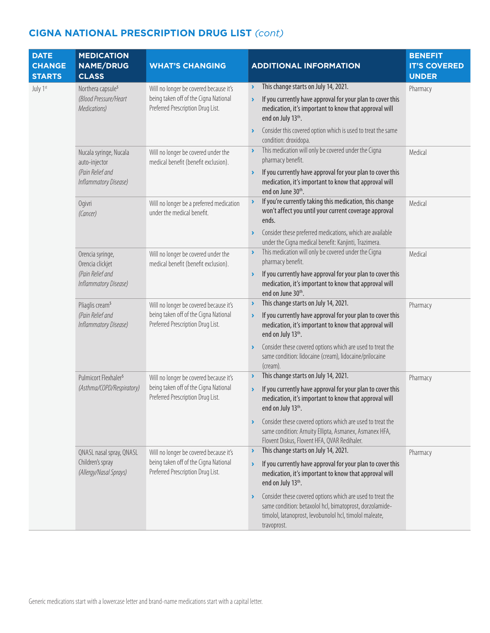| <b>DATE</b><br><b>CHANGE</b><br><b>STARTS</b> | <b>MEDICATION</b><br><b>NAME/DRUG</b><br><b>CLASS</b>                             | <b>WHAT'S CHANGING</b>                                                                                               | <b>ADDITIONAL INFORMATION</b>                                                                                                                                                                                                                                                                                                                                             | <b>BENEFIT</b><br><b>IT'S COVERED</b><br><b>UNDER</b> |
|-----------------------------------------------|-----------------------------------------------------------------------------------|----------------------------------------------------------------------------------------------------------------------|---------------------------------------------------------------------------------------------------------------------------------------------------------------------------------------------------------------------------------------------------------------------------------------------------------------------------------------------------------------------------|-------------------------------------------------------|
| July 1st                                      | Northera capsule <sup>5</sup><br>(Blood Pressure/Heart<br>Medications)            | Will no longer be covered because it's<br>being taken off of the Cigna National<br>Preferred Prescription Drug List. | This change starts on July 14, 2021.<br>$\rightarrow$<br>If you currently have approval for your plan to cover this<br>$\blacktriangleright$<br>medication, it's important to know that approval will<br>end on July 13th.                                                                                                                                                | Pharmacy                                              |
|                                               | Nucala syringe, Nucala                                                            | Will no longer be covered under the                                                                                  | Consider this covered option which is used to treat the same<br>$\blacktriangleright$<br>condition: droxidopa.<br>This medication will only be covered under the Cigna<br>$\blacktriangleright$<br>pharmacy benefit.                                                                                                                                                      | Medical                                               |
|                                               | auto-injector<br>(Pain Relief and<br>Inflammatory Disease)                        | medical benefit (benefit exclusion).                                                                                 | If you currently have approval for your plan to cover this<br>$\blacktriangleright$<br>medication, it's important to know that approval will<br>end on June 30th.                                                                                                                                                                                                         |                                                       |
|                                               | Ogivri<br>(Cancer)                                                                | Will no longer be a preferred medication<br>under the medical benefit.                                               | If you're currently taking this medication, this change<br>$\blacktriangleright$<br>won't affect you until your current coverage approval<br>ends.<br>Consider these preferred medications, which are available<br>$\blacktriangleright$                                                                                                                                  | Medical                                               |
|                                               | Orencia syringe,<br>Orencia clickjet<br>(Pain Relief and<br>Inflammatory Disease) | Will no longer be covered under the<br>medical benefit (benefit exclusion).                                          | under the Cigna medical benefit: Kanjinti, Trazimera.<br>This medication will only be covered under the Cigna<br>$\blacktriangleright$<br>pharmacy benefit.<br>If you currently have approval for your plan to cover this<br>$\blacktriangleright$<br>medication, it's important to know that approval will<br>end on June 30th.                                          | Medical                                               |
|                                               | Pliaglis cream <sup>5</sup><br>(Pain Relief and<br>Inflammatory Disease)          | Will no longer be covered because it's<br>being taken off of the Cigna National<br>Preferred Prescription Drug List. | This change starts on July 14, 2021.<br>$\blacktriangleright$<br>If you currently have approval for your plan to cover this<br>$\blacktriangleright$<br>medication, it's important to know that approval will<br>end on July 13th.<br>Consider these covered options which are used to treat the<br>Y<br>same condition: lidocaine (cream), lidocaine/prilocaine          | Pharmacy                                              |
|                                               | Pulmicort Flexhaler <sup>5</sup><br>(Asthma/COPD/Respiratory)                     | Will no longer be covered because it's<br>being taken off of the Cigna National<br>Preferred Prescription Drug List. | (cream).<br>This change starts on July 14, 2021.<br>Y<br>If you currently have approval for your plan to cover this<br>$\blacktriangleright$<br>medication, it's important to know that approval will<br>end on July 13th.<br>Consider these covered options which are used to treat the<br>٠<br>same condition: Arnuity Ellipta, Asmanex, Asmanex HFA,                   | Pharmacy                                              |
|                                               | QNASL nasal spray, QNASL<br>Children's spray<br>(Allergy/Nasal Sprays)            | Will no longer be covered because it's<br>being taken off of the Cigna National<br>Preferred Prescription Drug List. | Flovent Diskus, Flovent HFA, QVAR Redihaler.<br>This change starts on July 14, 2021.<br>$\blacktriangleright$<br>If you currently have approval for your plan to cover this<br>$\blacktriangleright$<br>medication, it's important to know that approval will<br>end on July 13th.<br>Consider these covered options which are used to treat the<br>$\blacktriangleright$ | Pharmacy                                              |
|                                               |                                                                                   |                                                                                                                      | same condition: betaxolol hcl, bimatoprost, dorzolamide-<br>timolol, latanoprost, levobunolol hcl, timolol maleate,<br>travoprost.                                                                                                                                                                                                                                        |                                                       |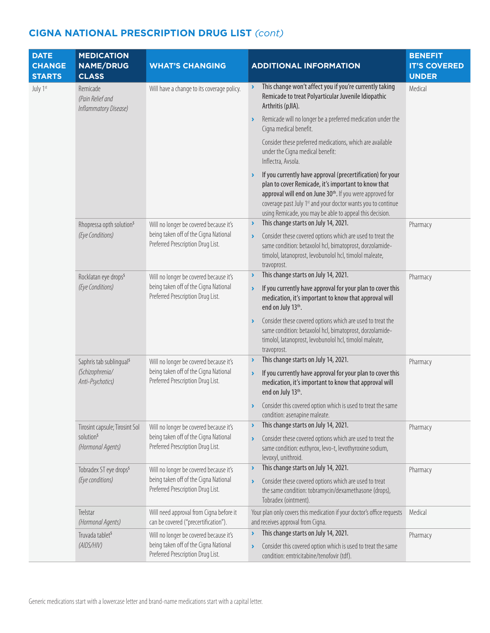| <b>DATE</b><br><b>CHANGE</b><br><b>STARTS</b> | <b>MEDICATION</b><br><b>NAME/DRUG</b><br><b>CLASS</b>                                                                                                                                              | <b>WHAT'S CHANGING</b>                                                                                                                                                                                                    | <b>ADDITIONAL INFORMATION</b>                                                                                                                                                                                                                                                                                                                  | <b>BENEFIT</b><br><b>IT'S COVERED</b><br><b>UNDER</b> |
|-----------------------------------------------|----------------------------------------------------------------------------------------------------------------------------------------------------------------------------------------------------|---------------------------------------------------------------------------------------------------------------------------------------------------------------------------------------------------------------------------|------------------------------------------------------------------------------------------------------------------------------------------------------------------------------------------------------------------------------------------------------------------------------------------------------------------------------------------------|-------------------------------------------------------|
| July 1st                                      | Remicade<br>(Pain Relief and<br>Inflammatory Disease)                                                                                                                                              | Will have a change to its coverage policy.                                                                                                                                                                                | This change won't affect you if you're currently taking<br>×.<br>Remicade to treat Polyarticular Juvenile Idiopathic<br>Arthritis (pJIA).                                                                                                                                                                                                      | Medical                                               |
|                                               |                                                                                                                                                                                                    |                                                                                                                                                                                                                           | Remicade will no longer be a preferred medication under the<br>٧<br>Cigna medical benefit.                                                                                                                                                                                                                                                     |                                                       |
|                                               |                                                                                                                                                                                                    |                                                                                                                                                                                                                           | Consider these preferred medications, which are available<br>under the Cigna medical benefit:<br>Inflectra, Avsola.                                                                                                                                                                                                                            |                                                       |
|                                               |                                                                                                                                                                                                    |                                                                                                                                                                                                                           | If you currently have approval (precertification) for your<br>$\blacktriangleright$<br>plan to cover Remicade, it's important to know that<br>approval will end on June 30th. If you were approved for<br>coverage past July 1 <sup>st</sup> and your doctor wants you to continue<br>using Remicade, you may be able to appeal this decision. |                                                       |
|                                               | Rhopressa opth solution <sup>5</sup>                                                                                                                                                               | Will no longer be covered because it's                                                                                                                                                                                    | This change starts on July 14, 2021.<br>×                                                                                                                                                                                                                                                                                                      | Pharmacy                                              |
|                                               | (Eye Conditions)                                                                                                                                                                                   | being taken off of the Cigna National<br>Preferred Prescription Drug List.                                                                                                                                                | Consider these covered options which are used to treat the<br>$\blacktriangleright$<br>same condition: betaxolol hcl, bimatoprost, dorzolamide-<br>timolol, latanoprost, levobunolol hcl, timolol maleate,<br>travoprost.                                                                                                                      |                                                       |
|                                               | Will no longer be covered because it's<br>Rocklatan eye drops <sup>5</sup><br>being taken off of the Cigna National<br>(Eye Conditions)<br>Preferred Prescription Drug List.                       |                                                                                                                                                                                                                           | This change starts on July 14, 2021.<br>$\blacktriangleright$                                                                                                                                                                                                                                                                                  | Pharmacy                                              |
|                                               |                                                                                                                                                                                                    |                                                                                                                                                                                                                           | If you currently have approval for your plan to cover this<br>$\blacktriangleright$<br>medication, it's important to know that approval will<br>end on July 13th.                                                                                                                                                                              |                                                       |
|                                               |                                                                                                                                                                                                    | Consider these covered options which are used to treat the<br>$\blacktriangleright$<br>same condition: betaxolol hcl, bimatoprost, dorzolamide-<br>timolol, latanoprost, levobunolol hcl, timolol maleate,<br>travoprost. |                                                                                                                                                                                                                                                                                                                                                |                                                       |
|                                               | Will no longer be covered because it's<br>Saphris tab sublingual <sup>5</sup><br>being taken off of the Cigna National<br>(Schizophrenia/<br>Preferred Prescription Drug List.<br>Anti-Psychotics) |                                                                                                                                                                                                                           | This change starts on July 14, 2021.<br>$\blacktriangleright$                                                                                                                                                                                                                                                                                  | Pharmacy                                              |
|                                               |                                                                                                                                                                                                    | If you currently have approval for your plan to cover this<br>$\blacktriangleright$<br>medication, it's important to know that approval will<br>end on July 13th.                                                         |                                                                                                                                                                                                                                                                                                                                                |                                                       |
|                                               |                                                                                                                                                                                                    | > Consider this covered option which is used to treat the same<br>condition: asenapine maleate.                                                                                                                           |                                                                                                                                                                                                                                                                                                                                                |                                                       |
|                                               | Tirosint capsule; Tirosint Sol                                                                                                                                                                     | Will no longer be covered because it's                                                                                                                                                                                    | This change starts on July 14, 2021.<br>Y                                                                                                                                                                                                                                                                                                      | Pharmacy                                              |
|                                               | solution <sup>5</sup><br>(Hormonal Agents)                                                                                                                                                         | being taken off of the Cigna National<br>Preferred Prescription Drug List.                                                                                                                                                | Consider these covered options which are used to treat the<br>$\blacktriangleright$<br>same condition: euthyrox, levo-t, levothyroxine sodium,<br>levoxyl, unithroid.                                                                                                                                                                          |                                                       |
|                                               | Tobradex ST eye drops <sup>5</sup>                                                                                                                                                                 | Will no longer be covered because it's                                                                                                                                                                                    | This change starts on July 14, 2021.<br>١                                                                                                                                                                                                                                                                                                      | Pharmacy                                              |
|                                               | being taken off of the Cigna National<br>(Eye conditions)<br>Preferred Prescription Drug List.                                                                                                     | Consider these covered options which are used to treat<br>$\blacktriangleright$<br>the same condition: tobramycin/dexamethasone (drops),<br>Tobradex (ointment).                                                          |                                                                                                                                                                                                                                                                                                                                                |                                                       |
|                                               | Trelstar<br>(Hormonal Agents)                                                                                                                                                                      | Will need approval from Cigna before it<br>can be covered ("precertification").                                                                                                                                           | Your plan only covers this medication if your doctor's office requests<br>and receives approval from Cigna.                                                                                                                                                                                                                                    | Medical                                               |
|                                               | Truvada tablet <sup>5</sup>                                                                                                                                                                        | Will no longer be covered because it's                                                                                                                                                                                    | This change starts on July 14, 2021.<br>٧                                                                                                                                                                                                                                                                                                      | Pharmacy                                              |
|                                               | (AIDS/HIV)                                                                                                                                                                                         | being taken off of the Cigna National<br>Preferred Prescription Drug List.                                                                                                                                                | Consider this covered option which is used to treat the same<br>$\blacktriangleright$<br>condition: emtricitabine/tenofovir (tdf).                                                                                                                                                                                                             |                                                       |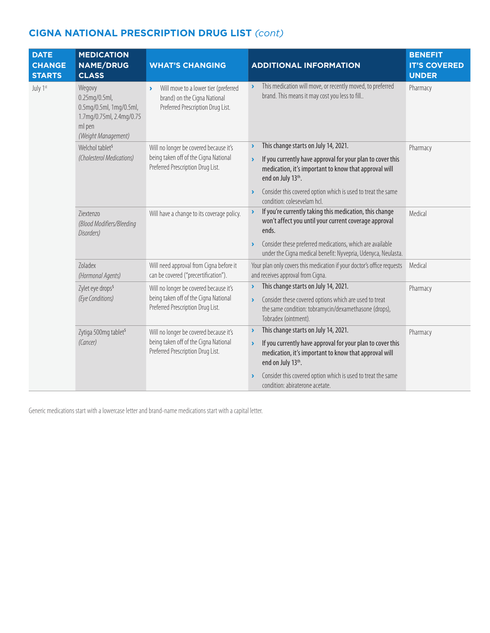| <b>DATE</b><br><b>CHANGE</b><br><b>STARTS</b> | <b>MEDICATION</b><br><b>NAME/DRUG</b><br><b>CLASS</b>                                                                                                                    | <b>WHAT'S CHANGING</b>                                                                                                                                           | <b>ADDITIONAL INFORMATION</b>                                                                                                                                                                                                                                                 | <b>BENEFIT</b><br><b>IT'S COVERED</b><br><b>UNDER</b> |
|-----------------------------------------------|--------------------------------------------------------------------------------------------------------------------------------------------------------------------------|------------------------------------------------------------------------------------------------------------------------------------------------------------------|-------------------------------------------------------------------------------------------------------------------------------------------------------------------------------------------------------------------------------------------------------------------------------|-------------------------------------------------------|
| July 1st                                      | Wegovy<br>$0.25$ mg/ $0.5$ ml,<br>0.5mg/0.5ml, 1mg/0.5ml,<br>1.7mg/0.75ml, 2.4mg/0.75<br>ml pen<br>(Weight Management)                                                   | Will move to a lower tier (preferred<br>X<br>brand) on the Cigna National<br>Preferred Prescription Drug List.                                                   | This medication will move, or recently moved, to preferred<br>$\blacktriangleright$<br>brand. This means it may cost you less to fill                                                                                                                                         | Pharmacy                                              |
|                                               | Welchol tablet <sup>5</sup>                                                                                                                                              | Will no longer be covered because it's                                                                                                                           | This change starts on July 14, 2021.<br>$\blacktriangleright$                                                                                                                                                                                                                 | Pharmacy                                              |
|                                               | (Cholesterol Medications)                                                                                                                                                | being taken off of the Cigna National<br>Preferred Prescription Drug List.                                                                                       | If you currently have approval for your plan to cover this<br>$\lambda$<br>medication, it's important to know that approval will<br>end on July 13th.                                                                                                                         |                                                       |
|                                               |                                                                                                                                                                          |                                                                                                                                                                  | Consider this covered option which is used to treat the same<br>condition: colesevelam hcl.                                                                                                                                                                                   |                                                       |
|                                               | Ziextenzo<br>(Blood Modifiers/Bleeding<br>Disorders)                                                                                                                     | Will have a change to its coverage policy.                                                                                                                       | If you're currently taking this medication, this change<br>$\mathbf{\hat{z}}$<br>won't affect you until your current coverage approval<br>ends.<br>Consider these preferred medications, which are available<br>under the Cigna medical benefit: Nyvepria, Udenyca, Neulasta. | Medical                                               |
|                                               | Zoladex<br>(Hormonal Agents)                                                                                                                                             | Will need approval from Cigna before it<br>can be covered ("precertification").                                                                                  | Your plan only covers this medication if your doctor's office requests<br>and receives approval from Cigna.                                                                                                                                                                   | Medical                                               |
|                                               | Zylet eye drops <sup>5</sup><br>Will no longer be covered because it's<br>being taken off of the Cigna National<br>(Eye Conditions)<br>Preferred Prescription Drug List. | This change starts on July 14, 2021.                                                                                                                             | Pharmacy                                                                                                                                                                                                                                                                      |                                                       |
|                                               |                                                                                                                                                                          | Consider these covered options which are used to treat<br>$\blacktriangleright$<br>the same condition: tobramycin/dexamethasone (drops),<br>Tobradex (ointment). |                                                                                                                                                                                                                                                                               |                                                       |
|                                               | Zytiga 500mg tablet <sup>5</sup>                                                                                                                                         | Will no longer be covered because it's                                                                                                                           | This change starts on July 14, 2021.<br>$\blacktriangleright$                                                                                                                                                                                                                 | Pharmacy                                              |
|                                               | being taken off of the Cigna National<br>(Cancer)<br>Preferred Prescription Drug List.                                                                                   | If you currently have approval for your plan to cover this<br>$\lambda$<br>medication, it's important to know that approval will<br>end on July 13th.            |                                                                                                                                                                                                                                                                               |                                                       |
|                                               |                                                                                                                                                                          |                                                                                                                                                                  | Consider this covered option which is used to treat the same<br>condition: abiraterone acetate.                                                                                                                                                                               |                                                       |